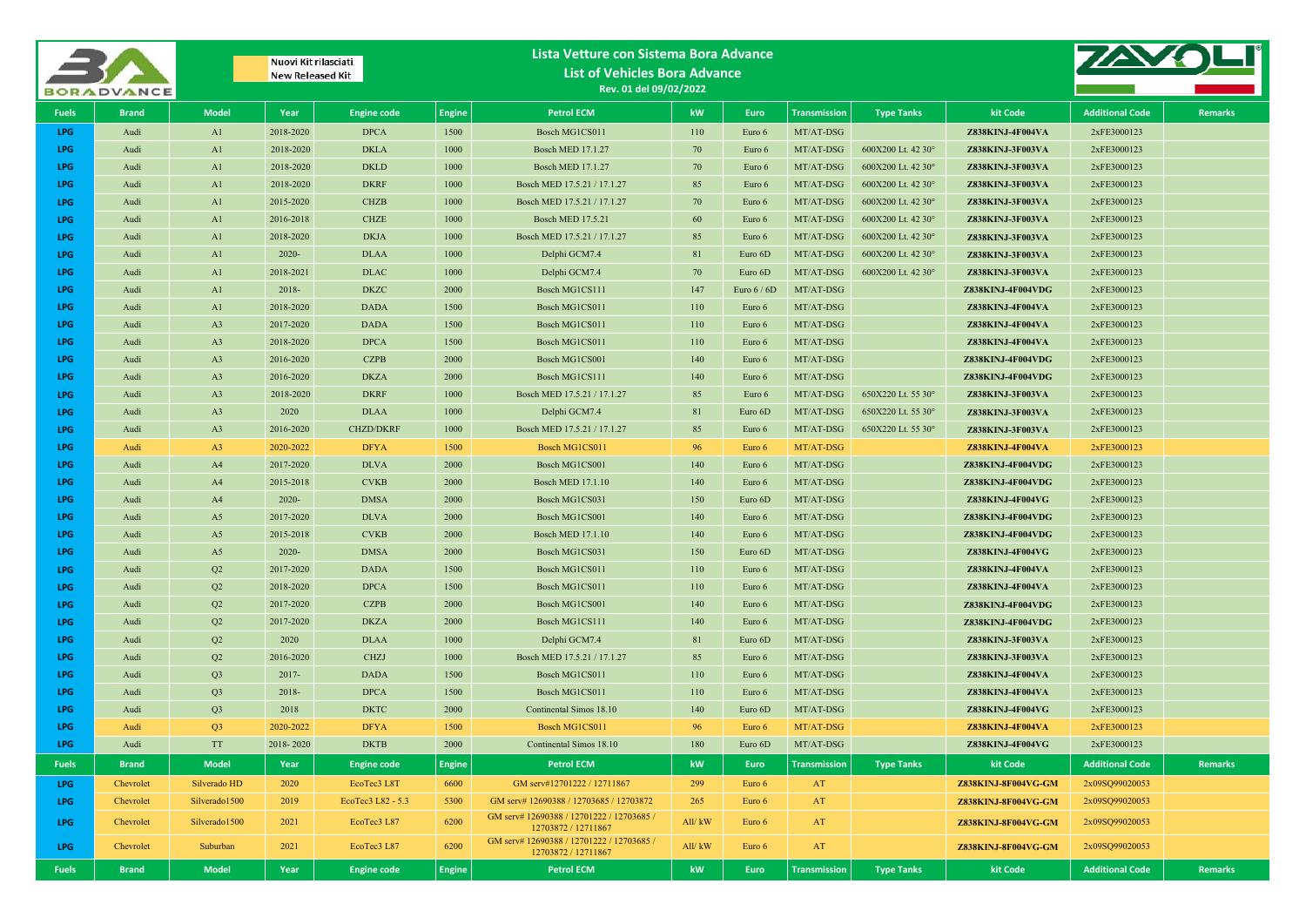|                          | <b>BORADVANCE</b> |                                  | Nuovi Kit rilasciati<br><b>New Released Kit</b> |                            |               | Lista Vetture con Sistema Bora Advance<br><b>List of Vehicles Bora Advance</b><br>Rev. 01 del 09/02/2022 |           |                  |                        |                    |                                       |                            |                |
|--------------------------|-------------------|----------------------------------|-------------------------------------------------|----------------------------|---------------|----------------------------------------------------------------------------------------------------------|-----------|------------------|------------------------|--------------------|---------------------------------------|----------------------------|----------------|
| <b>Fuels</b>             | <b>Brand</b>      | <b>Model</b>                     | Year                                            | <b>Engine code</b>         | <b>Engine</b> | <b>Petrol ECM</b>                                                                                        | kW        | Euro             | <b>Transmission</b>    | <b>Type Tanks</b>  | kit Code                              | <b>Additional Code</b>     | <b>Remarks</b> |
| LPG                      | Audi              | A1                               | 2018-2020                                       | <b>DPCA</b>                | 1500          | Bosch MG1CS011                                                                                           | 110       | Euro 6           | MT/AT-DSG              |                    | Z838KINJ-4F004VA                      | 2xFE3000123                |                |
| LPG                      | Audi              | A1                               | 2018-2020                                       | <b>DKLA</b>                | 1000          | <b>Bosch MED 17.1.27</b>                                                                                 | 70        | Euro 6           | MT/AT-DSG              | 600X200 Lt. 42 30° | Z838KINJ-3F003VA                      | 2xFE3000123                |                |
| LPG                      | Audi              | A1                               | 2018-2020                                       | <b>DKLD</b>                | 1000          | <b>Bosch MED 17.1.27</b>                                                                                 | 70        | Euro 6           | MT/AT-DSG              | 600X200 Lt. 42 30° | Z838KINJ-3F003VA                      | 2xFE3000123                |                |
| <b>LPG</b>               | Audi              | A1                               | 2018-2020                                       | <b>DKRF</b>                | 1000          | Bosch MED 17.5.21 / 17.1.27                                                                              | 85        | Euro 6           | MT/AT-DSG              | 600X200 Lt. 42 30° | Z838KINJ-3F003VA                      | 2xFE3000123                |                |
| <b>LPG</b>               | Audi              | A1                               | 2015-2020                                       | <b>CHZB</b>                | 1000          | Bosch MED 17.5.21 / 17.1.27                                                                              | 70        | Euro 6           | MT/AT-DSG              | 600X200 Lt. 42 30° | Z838KINJ-3F003VA                      | 2xFE3000123                |                |
| <b>LPG</b>               | Audi              | A1                               | 2016-2018                                       | <b>CHZE</b>                | 1000          | <b>Bosch MED 17.5.21</b>                                                                                 | 60        | Euro 6           | MT/AT-DSG              | 600X200 Lt. 42 30° | Z838KINJ-3F003VA                      | 2xFE3000123                |                |
| <b>LPG</b>               | Audi              | A1                               | 2018-2020                                       | <b>DKJA</b>                | 1000          | Bosch MED 17.5.21 / 17.1.27                                                                              | 85        | Euro 6           | MT/AT-DSG              | 600X200 Lt. 42 30° | Z838KINJ-3F003VA                      | 2xFE3000123                |                |
| <b>LPG</b>               | Audi              | A1                               | $2020 -$                                        | <b>DLAA</b>                | 1000          | Delphi GCM7.4                                                                                            | 81        | Euro 6D          | MT/AT-DSG              | 600X200 Lt. 42 30° | Z838KINJ-3F003VA                      | 2xFE3000123                |                |
| <b>LPG</b>               | Audi              | A1                               | 2018-2021                                       | <b>DLAC</b>                | 1000          | Delphi GCM7.4                                                                                            | 70        | Euro 6D          | MT/AT-DSG              | 600X200 Lt. 42 30° | Z838KINJ-3F003VA                      | 2xFE3000123                |                |
| <b>LPG</b>               | Audi              | A1                               | 2018-                                           | <b>DKZC</b>                | 2000          | Bosch MG1CS111                                                                                           | 147       | Euro $6/6D$      | MT/AT-DSG              |                    | Z838KINJ-4F004VDG                     | 2xFE3000123                |                |
| LPG                      | Audi              | A1                               | 2018-2020                                       | <b>DADA</b>                | 1500          | Bosch MG1CS011                                                                                           | 110       | Euro 6           | MT/AT-DSG              |                    | Z838KINJ-4F004VA                      | 2xFE3000123                |                |
| <b>LPG</b>               | Audi              | A <sub>3</sub>                   | 2017-2020                                       | <b>DADA</b>                | 1500          | Bosch MG1CS011                                                                                           | 110       | Euro 6           | MT/AT-DSG              |                    | Z838KINJ-4F004VA                      | 2xFE3000123                |                |
| <b>LPG</b>               | Audi              | A <sub>3</sub>                   | 2018-2020                                       | <b>DPCA</b>                | 1500          | Bosch MG1CS011                                                                                           | 110       | Euro 6           | MT/AT-DSG              |                    | Z838KINJ-4F004VA                      | 2xFE3000123                |                |
| <b>LPG</b>               | Audi              | A <sub>3</sub>                   | 2016-2020                                       | <b>CZPB</b>                | 2000          | Bosch MG1CS001                                                                                           | 140       | Euro 6           | MT/AT-DSG              |                    | Z838KINJ-4F004VDG                     | 2xFE3000123<br>2xFE3000123 |                |
| <b>LPG</b><br><b>LPG</b> | Audi<br>Audi      | A <sub>3</sub><br>A <sub>3</sub> | 2016-2020<br>2018-2020                          | <b>DKZA</b><br><b>DKRF</b> | 2000<br>1000  | Bosch MG1CS111<br>Bosch MED 17.5.21 / 17.1.27                                                            | 140<br>85 | Euro 6<br>Euro 6 | MT/AT-DSG<br>MT/AT-DSG | 650X220 Lt. 55 30° | Z838KINJ-4F004VDG<br>Z838KINJ-3F003VA | 2xFE3000123                |                |
| <b>LPG</b>               | Audi              | A <sub>3</sub>                   | 2020                                            | <b>DLAA</b>                | 1000          | Delphi GCM7.4                                                                                            | 81        | Euro 6D          | MT/AT-DSG              | 650X220 Lt. 55 30° | Z838KINJ-3F003VA                      | 2xFE3000123                |                |
| LPG                      | Audi              | A <sub>3</sub>                   | 2016-2020                                       | <b>CHZD/DKRF</b>           | 1000          | Bosch MED 17.5.21 / 17.1.27                                                                              | 85        | Euro 6           | MT/AT-DSG              | 650X220 Lt. 55 30° | Z838KINJ-3F003VA                      | 2xFE3000123                |                |
| LPG                      | Audi              | A <sub>3</sub>                   | 2020-2022                                       | <b>DFYA</b>                | 1500          | Bosch MG1CS011                                                                                           | 96        | Euro 6           | MT/AT-DSG              |                    | Z838KINJ-4F004VA                      | 2xFE3000123                |                |
| LPG                      | Audi              | A <sup>4</sup>                   | 2017-2020                                       | <b>DLVA</b>                | 2000          | Bosch MG1CS001                                                                                           | 140       | Euro 6           | MT/AT-DSG              |                    | Z838KINJ-4F004VDG                     | 2xFE3000123                |                |
| <b>LPG</b>               | Audi              | A4                               | 2015-2018                                       | <b>CVKB</b>                | 2000          | <b>Bosch MED 17.1.10</b>                                                                                 | 140       | Euro 6           | MT/AT-DSG              |                    | Z838KINJ-4F004VDG                     | 2xFE3000123                |                |
| <b>LPG</b>               | Audi              | A4                               | $2020 -$                                        | <b>DMSA</b>                | 2000          | Bosch MG1CS031                                                                                           | 150       | Euro 6D          | MT/AT-DSG              |                    | Z838KINJ-4F004VG                      | 2xFE3000123                |                |
| LPG                      | Audi              | A5                               | 2017-2020                                       | <b>DLVA</b>                | 2000          | Bosch MG1CS001                                                                                           | 140       | Euro 6           | MT/AT-DSG              |                    | Z838KINJ-4F004VDG                     | 2xFE3000123                |                |
| <b>LPG</b>               | Audi              | A <sub>5</sub>                   | 2015-2018                                       | <b>CVKB</b>                | 2000          | <b>Bosch MED 17.1.10</b>                                                                                 | 140       | Euro 6           | MT/AT-DSG              |                    | Z838KINJ-4F004VDG                     | 2xFE3000123                |                |
| LPG                      | Audi              | A <sub>5</sub>                   | 2020-                                           | <b>DMSA</b>                | 2000          | Bosch MG1CS031                                                                                           | 150       | Euro 6D          | MT/AT-DSG              |                    | Z838KINJ-4F004VG                      | 2xFE3000123                |                |
| <b>LPG</b>               | Audi              | Q <sub>2</sub>                   | 2017-2020                                       | <b>DADA</b>                | 1500          | Bosch MG1CS011                                                                                           | 110       | Euro 6           | MT/AT-DSG              |                    | Z838KINJ-4F004VA                      | 2xFE3000123                |                |
| <b>LPG</b>               | Audi              | Q <sub>2</sub>                   | 2018-2020                                       | <b>DPCA</b>                | 1500          | Bosch MG1CS011                                                                                           | 110       | Euro 6           | MT/AT-DSG              |                    | Z838KINJ-4F004VA                      | 2xFE3000123                |                |
| LPG                      | Audi              | Q <sub>2</sub>                   | 2017-2020                                       | <b>CZPB</b>                | 2000          | Bosch MG1CS001                                                                                           | 140       | Euro 6           | MT/AT-DSG              |                    | Z838KINJ-4F004VDG                     | 2xFE3000123                |                |
| <b>LPG</b>               | Audi              | Q <sub>2</sub>                   | 2017-2020                                       | <b>DKZA</b>                | 2000          | Bosch MG1CS111                                                                                           | 140       | Euro 6           | MT/AT-DSG              |                    | Z838KINJ-4F004VDG                     | 2xFE3000123                |                |
| <b>LPG</b>               | Audi              | Q <sub>2</sub>                   | 2020                                            | <b>DLAA</b>                | 1000          | Delphi GCM7.4                                                                                            | 81        | Euro 6D          | MT/AT-DSG              |                    | Z838KINJ-3F003VA                      | 2xFE3000123                |                |
| <b>LPG</b>               | Audi              | Q <sub>2</sub>                   | 2016-2020                                       | <b>CHZJ</b>                | 1000          | Bosch MED 17.5.21 / 17.1.27                                                                              | 85        | Euro 6           | MT/AT-DSG              |                    | Z838KINJ-3F003VA                      | 2xFE3000123                |                |
| <b>LPG</b>               | Audi              | Q <sub>3</sub>                   | $2017 -$                                        | <b>DADA</b>                | 1500          | Bosch MG1CS011                                                                                           | 110       | Euro 6           | MT/AT-DSG              |                    | Z838KINJ-4F004VA                      | 2xFE3000123                |                |
| <b>LPG</b>               | Audi              | Q <sub>3</sub>                   | 2018-                                           | <b>DPCA</b>                | 1500          | Bosch MG1CS011                                                                                           | 110       | Euro 6           | MT/AT-DSG              |                    | Z838KINJ-4F004VA                      | 2xFE3000123                |                |
| <b>LPG</b>               | Audi              | Q <sub>3</sub>                   | 2018                                            | <b>DKTC</b>                | 2000          | Continental Simos 18.10                                                                                  | 140       | Euro 6D          | MT/AT-DSG              |                    | Z838KINJ-4F004VG                      | 2xFE3000123                |                |
| LPG                      | Audi              | Q <sub>3</sub>                   | 2020-2022                                       | <b>DFYA</b>                | 1500          | Bosch MG1CS011                                                                                           | 96        | Euro 6           | MT/AT-DSG              |                    | Z838KINJ-4F004VA                      | 2xFE3000123                |                |
| LPG                      | Audi              | <b>TT</b>                        | 2018-2020                                       | <b>DKTB</b>                | 2000          | Continental Simos 18.10                                                                                  | 180       | Euro 6D          | MT/AT-DSG              |                    | Z838KINJ-4F004VG                      | 2xFE3000123                |                |
| <b>Fuels</b>             | <b>Brand</b>      | <b>Model</b>                     | Year                                            | <b>Engine code</b>         | <b>Engine</b> | <b>Petrol ECM</b>                                                                                        | kW        | <b>Euro</b>      | <b>Transmission</b>    | <b>Type Tanks</b>  | kit Code                              | <b>Additional Code</b>     | <b>Remarks</b> |
| LPG                      | Chevrolet         | Silverado HD                     | 2020                                            | EcoTec3 L8T                | 6600          | GM serv#12701222 / 12711867                                                                              | 299       | Euro 6           | AT                     |                    | Z838KINJ-8F004VG-GM                   | 2x09SQ99020053             |                |
| LPG                      | Chevrolet         | Silverado1500                    | 2019                                            | EcoTec3 L82 - 5.3          | 5300          | GM serv# 12690388 / 12703685 / 12703872<br>GM serv# 12690388 / 12701222 / 12703685 /                     | 265       | Euro 6           | AT                     |                    | Z838KINJ-8F004VG-GM                   | 2x09SQ99020053             |                |
| LPG                      | Chevrolet         | Silverado 1500                   | 2021                                            | EcoTec3 L87                | 6200          | 12703872 / 12711867                                                                                      | All/kW    | Euro 6           | AT                     |                    | Z838KINJ-8F004VG-GM                   | 2x09SQ99020053             |                |
| LPG                      | Chevrolet         | Suburban                         | 2021                                            | EcoTec3 L87                | 6200          | GM serv# 12690388 / 12701222 / 12703685 /<br>12703872 / 12711867                                         | All/kW    | Euro 6           | AT                     |                    | Z838KINJ-8F004VG-GM                   | 2x09SQ99020053             |                |
| <b>Fuels</b>             | <b>Brand</b>      | <b>Model</b>                     | Year                                            | <b>Engine code</b>         | <b>Engine</b> | <b>Petrol ECM</b>                                                                                        | kW        | Euro             | <b>Transmission</b>    | <b>Type Tanks</b>  | kit Code                              | <b>Additional Code</b>     | <b>Remarks</b> |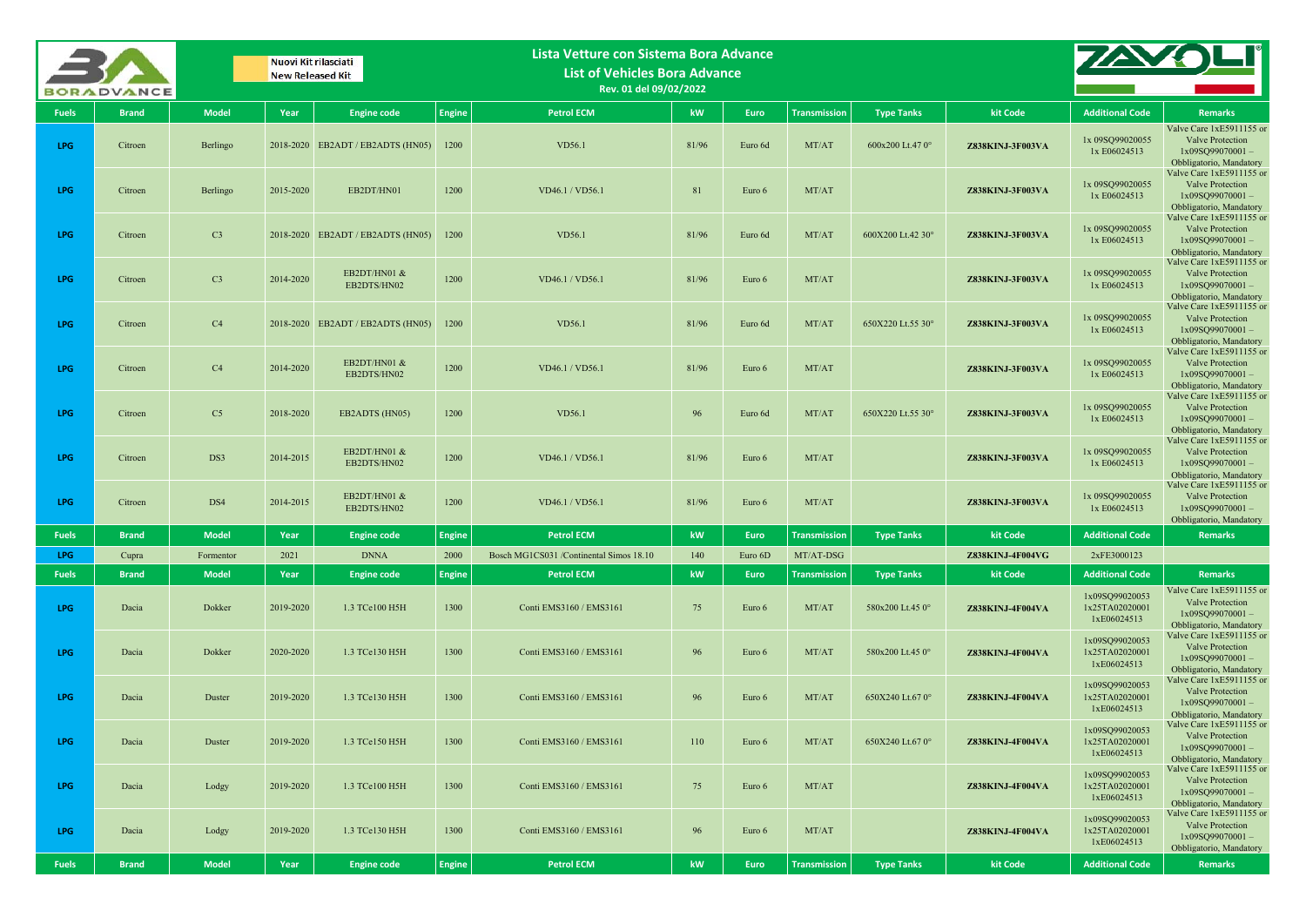|              | <b>BORADVANCE</b> |                | Nuovi Kit rilasciati<br><b>New Released Kit</b> |                                   |               | Lista Vetture con Sistema Bora Advance<br><b>List of Vehicles Bora Advance</b><br>Rev. 01 del 09/02/2022 |       |         |                     |                   |                  |                                                 |                                                                                                      |
|--------------|-------------------|----------------|-------------------------------------------------|-----------------------------------|---------------|----------------------------------------------------------------------------------------------------------|-------|---------|---------------------|-------------------|------------------|-------------------------------------------------|------------------------------------------------------------------------------------------------------|
| <b>Fuels</b> | <b>Brand</b>      | <b>Model</b>   | Year                                            | <b>Engine code</b>                | <b>Engine</b> | <b>Petrol ECM</b>                                                                                        | kW    | Euro    | <b>Transmission</b> | <b>Type Tanks</b> | kit Code         | <b>Additional Code</b>                          | <b>Remarks</b>                                                                                       |
| <b>LPG</b>   | Citroen           | Berlingo       |                                                 | 2018-2020 EB2ADT / EB2ADTS (HN05) | 1200          | VD56.1                                                                                                   | 81/96 | Euro 6d | MT/AT               | 600x200 Lt.47 0°  | Z838KINJ-3F003VA | 1x 09SQ99020055<br>1x E06024513                 | Valve Care 1xE5911155 or<br>Valve Protection<br>1x09SQ99070001-<br>Obbligatorio, Mandatory           |
| <b>LPG</b>   | Citroen           | Berlingo       | 2015-2020                                       | EB2DT/HN01                        | 1200          | VD46.1 / VD56.1                                                                                          | 81    | Euro 6  | MT/AT               |                   | Z838KINJ-3F003VA | 1x 09SQ99020055<br>1x E06024513                 | Valve Care 1xE5911155 or<br>Valve Protection<br>1x09SQ99070001-<br>Obbligatorio, Mandatory           |
| <b>LPG</b>   | Citroen           | C <sub>3</sub> |                                                 | 2018-2020 EB2ADT / EB2ADTS (HN05) | 1200          | VD56.1                                                                                                   | 81/96 | Euro 6d | MT/AT               | 600X200 Lt.42 30° | Z838KINJ-3F003VA | 1x 09SQ99020055<br>1x E06024513                 | Valve Care 1xE5911155 or<br>Valve Protection<br>$1x09SO99070001 -$<br>Obbligatorio, Mandatory        |
| <b>LPG</b>   | Citroen           | C <sub>3</sub> | 2014-2020                                       | EB2DT/HN01 &<br>EB2DTS/HN02       | 1200          | VD46.1 / VD56.1                                                                                          | 81/96 | Euro 6  | MT/AT               |                   | Z838KINJ-3F003VA | 1x 09SQ99020055<br>1x E06024513                 | Valve Care 1xE5911155 or<br><b>Valve Protection</b><br>$1x09SO99070001 -$<br>Obbligatorio, Mandatory |
| <b>LPG</b>   | Citroen           | C4             |                                                 | 2018-2020 EB2ADT / EB2ADTS (HN05) | 1200          | VD56.1                                                                                                   | 81/96 | Euro 6d | MT/AT               | 650X220 Lt.55 30° | Z838KINJ-3F003VA | 1x 09SQ99020055<br>1x E06024513                 | Valve Care 1xE5911155 or<br>Valve Protection<br>$1x09SO99070001 -$<br>Obbligatorio, Mandatory        |
| <b>LPG</b>   | Citroen           | C4             | 2014-2020                                       | EB2DT/HN01 &<br>EB2DTS/HN02       | 1200          | VD46.1 / VD56.1                                                                                          | 81/96 | Euro 6  | MT/AT               |                   | Z838KINJ-3F003VA | 1x 09SQ99020055<br>1x E06024513                 | Valve Care 1xE5911155 or<br>Valve Protection<br>$1x09SO99070001 -$<br>Obbligatorio, Mandatory        |
| <b>LPG</b>   | Citroen           | C <sub>5</sub> | 2018-2020                                       | EB2ADTS (HN05)                    | 1200          | VD56.1                                                                                                   | 96    | Euro 6d | MT/AT               | 650X220 Lt.55 30° | Z838KINJ-3F003VA | 1x 09SQ99020055<br>1x E06024513                 | Valve Care 1xE5911155 or<br>Valve Protection<br>$1x09SQ99070001 -$<br>Obbligatorio, Mandatory        |
| <b>LPG</b>   | Citroen           | DS3            | 2014-2015                                       | EB2DT/HN01 &<br>EB2DTS/HN02       | 1200          | VD46.1 / VD56.1                                                                                          | 81/96 | Euro 6  | MT/AT               |                   | Z838KINJ-3F003VA | 1x 09SQ99020055<br>1x E06024513                 | Valve Care 1xE5911155 or<br>Valve Protection<br>$1x09SO99070001 -$<br>Obbligatorio, Mandatory        |
| <b>LPG</b>   | Citroen           | DS4            | 2014-2015                                       | EB2DT/HN01 &<br>EB2DTS/HN02       | 1200          | VD46.1 / VD56.1                                                                                          | 81/96 | Euro 6  | MT/AT               |                   | Z838KINJ-3F003VA | 1x 09SQ99020055<br>1x E06024513                 | Valve Care 1xE5911155 or<br>Valve Protection<br>1x09SQ99070001-<br>Obbligatorio, Mandatory           |
| <b>Fuels</b> | <b>Brand</b>      | <b>Model</b>   | Year                                            | <b>Engine code</b>                | <b>Engine</b> | <b>Petrol ECM</b>                                                                                        | kW    | Euro    | <b>Transmission</b> | <b>Type Tanks</b> | kit Code         | <b>Additional Code</b>                          | <b>Remarks</b>                                                                                       |
| <b>LPG</b>   | Cupra             | Formentor      | 2021                                            | <b>DNNA</b>                       | 2000          | Bosch MG1CS031 /Continental Simos 18.10                                                                  | 140   | Euro 6D | MT/AT-DSG           |                   | Z838KINJ-4F004VG | 2xFE3000123                                     |                                                                                                      |
| <b>Fuels</b> | <b>Brand</b>      | <b>Model</b>   | Year                                            | <b>Engine code</b>                | <b>Engine</b> | <b>Petrol ECM</b>                                                                                        | kW    | Euro    | Transmission        | <b>Type Tanks</b> | kit Code         | <b>Additional Code</b>                          | <b>Remarks</b>                                                                                       |
| <b>LPG</b>   | Dacia             | Dokker         | 2019-2020                                       | 1.3 TCe100 H5H                    | 1300          | Conti EMS3160 / EMS3161                                                                                  | 75    | Euro 6  | MT/AT               | 580x200 Lt.45 0°  | Z838KINJ-4F004VA | 1x09SQ99020053<br>1x25TA02020001<br>1xE06024513 | Valve Care 1xE5911155 or<br>Valve Protection<br>$1x09SQ99070001 -$<br>Obbligatorio, Mandatory        |
| <b>LPG</b>   | Dacia             | Dokker         | 2020-2020                                       | 1.3 TCe130 H5H                    | 1300          | Conti EMS3160 / EMS3161                                                                                  | 96    | Euro 6  | MT/AT               | 580x200 Lt.45 0°  | Z838KINJ-4F004VA | 1x09SQ99020053<br>1x25TA02020001<br>1xE06024513 | Valve Care 1xE5911155 or<br>Valve Protection<br>$1x09SQ99070001 -$<br>Obbligatorio, Mandatory        |
| <b>LPG</b>   | Dacia             | Duster         | 2019-2020                                       | 1.3 TCe130 H5H                    | 1300          | Conti EMS3160 / EMS3161                                                                                  | 96    | Euro 6  | MT/AT               | 650X240 Lt.67 0°  | Z838KINJ-4F004VA | 1x09SQ99020053<br>1x25TA02020001<br>1xE06024513 | Valve Care 1xE5911155 or<br><b>Valve Protection</b><br>$1x09SQ99070001 -$<br>Obbligatorio, Mandatory |
| LPG          | Dacia             | Duster         | 2019-2020                                       | 1.3 TCe150 H5H                    | 1300          | Conti EMS3160 / EMS3161                                                                                  | 110   | Euro 6  | MT/AT               | 650X240 Lt.67 0°  | Z838KINJ-4F004VA | 1x09SQ99020053<br>1x25TA02020001<br>1xE06024513 | Valve Care 1xE5911155 or<br>Valve Protection<br>$1x09SQ99070001 -$<br>Obbligatorio, Mandatory        |
| LPG          | Dacia             | Lodgy          | 2019-2020                                       | 1.3 TCe100 H5H                    | 1300          | Conti EMS3160 / EMS3161                                                                                  | 75    | Euro 6  | MT/AT               |                   | Z838KINJ-4F004VA | 1x09SQ99020053<br>1x25TA02020001<br>1xE06024513 | Valve Care 1xE5911155 or<br>Valve Protection<br>$1x09SQ99070001 -$<br>Obbligatorio, Mandatory        |
| LPG          | Dacia             | Lodgy          | 2019-2020                                       | 1.3 TCe130 H5H                    | 1300          | Conti EMS3160 / EMS3161                                                                                  | 96    | Euro 6  | MT/AT               |                   | Z838KINJ-4F004VA | 1x09SQ99020053<br>1x25TA02020001<br>1xE06024513 | Valve Care 1xE5911155 or<br>Valve Protection<br>$1x09SQ99070001 -$<br>Obbligatorio, Mandatory        |
| <b>Fuels</b> | <b>Brand</b>      | <b>Model</b>   | Year                                            | <b>Engine code</b>                | <b>Engine</b> | <b>Petrol ECM</b>                                                                                        | kW    | Euro    | Transmission        | <b>Type Tanks</b> | kit Code         | <b>Additional Code</b>                          | <b>Remarks</b>                                                                                       |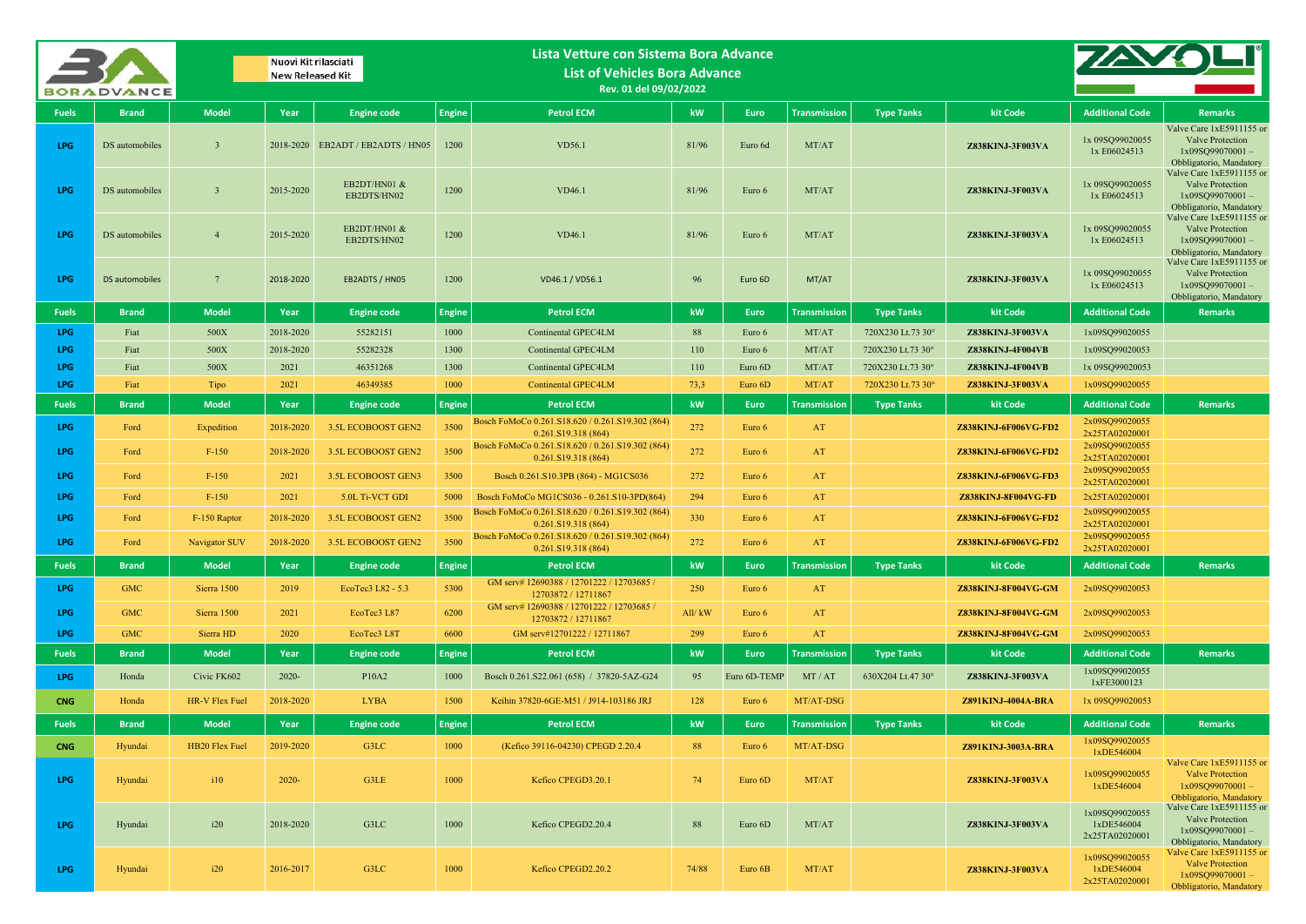|              | <b>BORADVANCE</b> |                 | Nuovi Kit rilasciati<br><b>New Released Kit</b> |                                   |               | Lista Vetture con Sistema Bora Advance<br><b>List of Vehicles Bora Advance</b><br>Rev. 01 del 09/02/2022 |        |              |                     |                   |                           |                                                |                                                                                                                                  |
|--------------|-------------------|-----------------|-------------------------------------------------|-----------------------------------|---------------|----------------------------------------------------------------------------------------------------------|--------|--------------|---------------------|-------------------|---------------------------|------------------------------------------------|----------------------------------------------------------------------------------------------------------------------------------|
| <b>Fuels</b> | <b>Brand</b>      | <b>Model</b>    | Year                                            | <b>Engine code</b>                | <b>Engine</b> | <b>Petrol ECM</b>                                                                                        | kW     | <b>Euro</b>  | <b>Transmission</b> | <b>Type Tanks</b> | kit Code                  | <b>Additional Code</b>                         | <b>Remarks</b>                                                                                                                   |
| LPG          | DS automobiles    | $\mathbf{3}$    |                                                 | 2018-2020 EB2ADT / EB2ADTS / HN05 | 1200          | <b>VD56.1</b>                                                                                            | 81/96  | Euro 6d      | MT/AT               |                   | Z838KINJ-3F003VA          | 1x 09SQ99020055<br>1x E06024513                | Valve Care 1xE5911155 or<br>Valve Protection<br>1x09SQ99070001-<br>Obbligatorio, Mandatory                                       |
| LPG          | DS automobiles    | $\overline{3}$  | 2015-2020                                       | EB2DT/HN01 &<br>EB2DTS/HN02       | 1200          | VD46.1                                                                                                   | 81/96  | Euro 6       | MT/AT               |                   | Z838KINJ-3F003VA          | 1x 09SQ99020055<br>1x E06024513                | Valve Care 1xE5911155 or<br><b>Valve Protection</b><br>$1x09SO99070001 -$<br>Obbligatorio, Mandatory<br>Valve Care 1xE5911155 or |
| LPG          | DS automobiles    | $\overline{4}$  | 2015-2020                                       | EB2DT/HN01 &<br>EB2DTS/HN02       | 1200          | VD46.1                                                                                                   | 81/96  | Euro 6       | MT/AT               |                   | Z838KINJ-3F003VA          | 1x 09SQ99020055<br>1x E06024513                | Valve Protection<br>$1x09SO99070001 -$<br>Obbligatorio, Mandatory<br>Valve Care 1xE5911155 or                                    |
| LPG.         | DS automobiles    | $7\overline{ }$ | 2018-2020                                       | EB2ADTS / HN05                    | 1200          | VD46.1 / VD56.1                                                                                          | 96     | Euro 6D      | MT/AT               |                   | Z838KINJ-3F003VA          | 1x 09SQ99020055<br>1x E06024513                | <b>Valve Protection</b><br>1x09SQ99070001-<br>Obbligatorio, Mandatory                                                            |
| <b>Fuels</b> | <b>Brand</b>      | <b>Model</b>    | Year                                            | <b>Engine code</b>                | <b>Engine</b> | <b>Petrol ECM</b>                                                                                        | kW     | Euro         | <b>Transmission</b> | <b>Type Tanks</b> | kit Code                  | <b>Additional Code</b>                         | <b>Remarks</b>                                                                                                                   |
| LPG          | Fiat              | 500X            | 2018-2020                                       | 55282151                          | 1000          | Continental GPEC4LM                                                                                      | 88     | Euro 6       | MT/AT               | 720X230 Lt.73 30° | Z838KINJ-3F003VA          | 1x09SQ99020055                                 |                                                                                                                                  |
| LPG.         | Fiat              | 500X            | 2018-2020                                       | 55282328                          | 1300          | Continental GPEC4LM                                                                                      | 110    | Euro 6       | MT/AT               | 720X230 Lt.73 30° | Z838KINJ-4F004VB          | 1x09SQ99020053                                 |                                                                                                                                  |
| LPG          | Fiat              | 500X            | 2021                                            | 46351268                          | 1300          | Continental GPEC4LM                                                                                      | 110    | Euro 6D      | MT/AT               | 720X230 Lt.73 30° | Z838KINJ-4F004VB          | 1x 09SQ99020053                                |                                                                                                                                  |
| LPG          | Fiat              | Tipo            | 2021                                            | 46349385                          | 1000          | <b>Continental GPEC4LM</b>                                                                               | 73,3   | Euro 6D      | MT/AT               | 720X230 Lt.73 30° | Z838KINJ-3F003VA          | 1x09SQ99020055                                 |                                                                                                                                  |
| <b>Fuels</b> | <b>Brand</b>      | <b>Model</b>    | Year                                            | <b>Engine code</b>                | <b>Engine</b> | <b>Petrol ECM</b>                                                                                        | kW     | Euro         | Transmission        | <b>Type Tanks</b> | kit Code                  | <b>Additional Code</b>                         | <b>Remarks</b>                                                                                                                   |
| LPG          | Ford              | Expedition      | 2018-2020                                       | 3.5L ECOBOOST GEN2                | 3500          | Bosch FoMoCo 0.261.S18.620 / 0.261.S19.302 (864)<br>0.261.S19.318 (864)                                  | 272    | Euro 6       | AT                  |                   | Z838KINJ-6F006VG-FD2      | 2x09SO99020055<br>2x25TA02020001               |                                                                                                                                  |
| <b>LPG</b>   | Ford              | $F-150$         | 2018-2020                                       | 3.5L ECOBOOST GEN2                | 3500          | Bosch FoMoCo 0.261.S18.620 / 0.261.S19.302 (864)<br>0.261.S19.318(864)                                   | 272    | Euro 6       | AT                  |                   | Z838KINJ-6F006VG-FD2      | 2x09SQ99020055<br>2x25TA02020001               |                                                                                                                                  |
| LPG          | Ford              | $F-150$         | 2021                                            | 3.5L ECOBOOST GEN3                | 3500          | Bosch 0.261.S10.3PB (864) - MG1CS036                                                                     | 272    | Euro 6       | AT                  |                   | Z838KINJ-6F006VG-FD3      | 2x09SQ99020055<br>2x25TA02020001               |                                                                                                                                  |
| LPG          | Ford              | $F-150$         | 2021                                            | 5.0L Ti-VCT GDI                   | 5000          | Bosch FoMoCo MG1CS036 - 0.261.S10-3PD(864)                                                               | 294    | Euro 6       | AT                  |                   | Z838KINJ-8F004VG-FD       | 2x25TA02020001                                 |                                                                                                                                  |
| LPG          | Ford              | F-150 Raptor    | 2018-2020                                       | 3.5L ECOBOOST GEN2                | 3500          | Bosch FoMoCo 0.261.S18.620 / 0.261.S19.302 (864)<br>0.261.S19.318(864)                                   | 330    | Euro 6       | AT                  |                   | Z838KINJ-6F006VG-FD2      | 2x09SQ99020055<br>2x25TA02020001               |                                                                                                                                  |
| LPG          | Ford              | Navigator SUV   | 2018-2020                                       | 3.5L ECOBOOST GEN2                | 3500          | Bosch FoMoCo 0.261.S18.620 / 0.261.S19.302 (864)<br>0.261.S19.318(864)                                   | 272    | Euro 6       | AT                  |                   | Z838KINJ-6F006VG-FD2      | 2x09SQ99020055<br>2x25TA02020001               |                                                                                                                                  |
| <b>Fuels</b> | <b>Brand</b>      | <b>Model</b>    | Year                                            | <b>Engine code</b>                | <b>Engine</b> | <b>Petrol ECM</b>                                                                                        | kW     | Euro         | <b>Transmission</b> | <b>Type Tanks</b> | kit Code                  | <b>Additional Code</b>                         | <b>Remarks</b>                                                                                                                   |
| LPG.         | <b>GMC</b>        | Sierra 1500     | 2019                                            | EcoTec3 L82 - 5.3                 | 5300          | GM serv# 12690388 / 12701222 / 12703685 /<br>12703872 / 12711867                                         | 250    | Euro 6       | AT                  |                   | Z838KINJ-8F004VG-GM       | 2x09SQ99020053                                 |                                                                                                                                  |
| LPG          | <b>GMC</b>        | Sierra 1500     | 2021                                            | EcoTec3 L87                       | 6200          | GM serv# 12690388 / 12701222 / 12703685 /<br>12703872 / 12711867                                         | All/kW | Euro 6       | AT                  |                   | Z838KINJ-8F004VG-GM       | 2x09SQ99020053                                 |                                                                                                                                  |
| LPG          | <b>GMC</b>        | Sierra HD       | 2020                                            | EcoTec3 L8T                       | 6600          | GM serv#12701222 / 12711867                                                                              | 299    | Euro 6       | AT                  |                   | Z838KINJ-8F004VG-GM       | 2x09SQ99020053                                 |                                                                                                                                  |
| <b>Fuels</b> | <b>Brand</b>      | <b>Model</b>    | Year                                            | <b>Engine code</b>                | <b>Engine</b> | <b>Petrol ECM</b>                                                                                        | kW     | Euro         | <b>Transmission</b> | <b>Type Tanks</b> | kit Code                  | <b>Additional Code</b>                         | <b>Remarks</b>                                                                                                                   |
| <b>LPG</b>   | Honda             | Civic FK602     | $2020 -$                                        | P10A2                             | 1000          | Bosch 0.261.S22.061 (658) / 37820-5AZ-G24                                                                | 95     | Euro 6D-TEMP | MT/AT               | 630X204 Lt.47 30° | Z838KINJ-3F003VA          | 1x09SQ99020055<br>1xFE3000123                  |                                                                                                                                  |
| <b>CNG</b>   | Honda             | HR-V Flex Fuel  | 2018-2020                                       | <b>LYBA</b>                       | 1500          | Keihin 37820-6GE-M51 / J914-103186 JRJ                                                                   | 128    | Euro 6       | MT/AT-DSG           |                   | <b>Z891KINJ-4004A-BRA</b> | 1x 09SQ99020053                                |                                                                                                                                  |
| <b>Fuels</b> | <b>Brand</b>      | <b>Model</b>    | Year                                            | <b>Engine code</b>                | <b>Engine</b> | <b>Petrol ECM</b>                                                                                        | kW     | Euro         | <b>Transmission</b> | <b>Type Tanks</b> | kit Code                  | <b>Additional Code</b>                         | <b>Remarks</b>                                                                                                                   |
| <b>CNG</b>   | Hyundai           | HB20 Flex Fuel  | 2019-2020                                       | G3LC                              | 1000          | (Kefico 39116-04230) CPEGD 2.20.4                                                                        | 88     | Euro 6       | MT/AT-DSG           |                   | Z891KINJ-3003A-BRA        | 1x09SQ99020055                                 |                                                                                                                                  |
| <b>LPG</b>   | Hyundai           | 110             | $2020 -$                                        | G3LE                              | 1000          | Kefico CPEGD3.20.1                                                                                       | 74     | Euro 6D      | MT/AT               |                   | Z838KINJ-3F003VA          | 1xDE546004<br>1x09SQ99020055<br>1xDE546004     | Valve Care 1xE5911155 or<br><b>Valve Protection</b><br>$1x09SO99070001 -$<br>Obbligatorio, Mandatory                             |
| LPG          | Hyundai           | i20             | 2018-2020                                       | G3LC                              | 1000          | Kefico CPEGD2.20.4                                                                                       | 88     | Euro 6D      | MT/AT               |                   | Z838KINJ-3F003VA          | 1x09SQ99020055<br>1xDE546004<br>2x25TA02020001 | Valve Care 1xE5911155 or<br>Valve Protection<br>1x09SQ99070001-<br>Obbligatorio, Mandatory                                       |
| LPG          | Hyundai           | i20             | 2016-2017                                       | G3LC                              | 1000          | Kefico CPEGD2.20.2                                                                                       | 74/88  | Euro 6B      | MT/AT               |                   | Z838KINJ-3F003VA          | 1x09SQ99020055<br>1xDE546004<br>2x25TA02020001 | Valve Care 1xE5911155 or<br><b>Valve Protection</b><br>1x09SQ99070001-<br>Obbligatorio, Mandatory                                |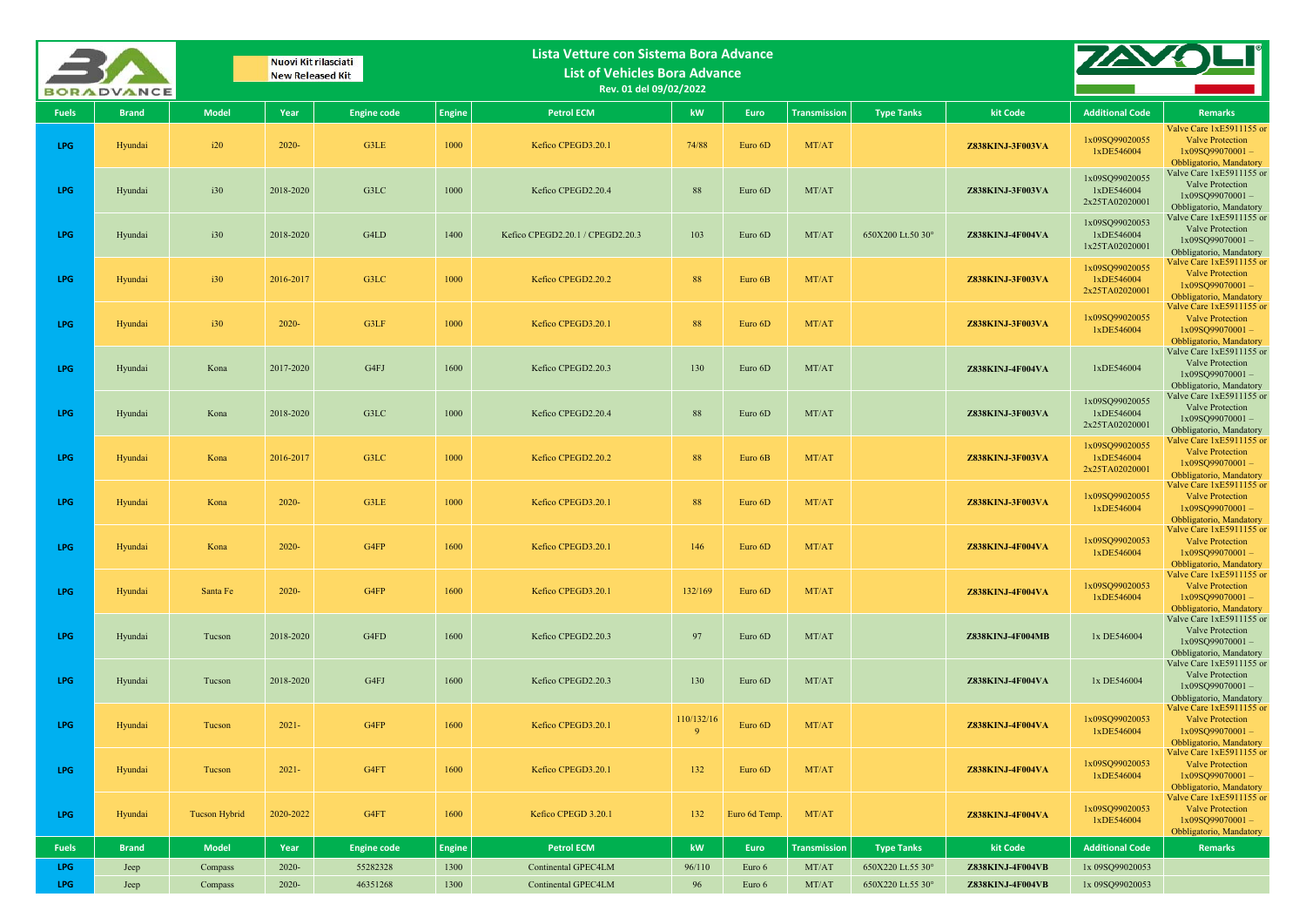|              | <b>BORADVANCE</b> |                      | Nuovi Kit rilasciati<br><b>New Released Kit</b> |                    |               | Lista Vetture con Sistema Bora Advance<br><b>List of Vehicles Bora Advance</b><br>Rev. 01 del 09/02/2022 |                        |               |                     |                   |                         |                                                |                                                                                                      |
|--------------|-------------------|----------------------|-------------------------------------------------|--------------------|---------------|----------------------------------------------------------------------------------------------------------|------------------------|---------------|---------------------|-------------------|-------------------------|------------------------------------------------|------------------------------------------------------------------------------------------------------|
| <b>Fuels</b> | <b>Brand</b>      | <b>Model</b>         | Year                                            | <b>Engine code</b> | <b>Engine</b> | <b>Petrol ECM</b>                                                                                        | kW                     | Euro          | <b>Transmission</b> | <b>Type Tanks</b> | kit Code                | <b>Additional Code</b>                         | Remarks                                                                                              |
| LPG          | Hyundai           | i20                  | 2020-                                           | G3LE               | 1000          | Kefico CPEGD3.20.1                                                                                       | 74/88                  | Euro 6D       | MT/AT               |                   | Z838KINJ-3F003VA        | 1x09SO99020055<br>1xDE546004                   | Valve Care 1xE5911155 or<br><b>Valve Protection</b><br>$1x09SQ99070001 -$<br>Obbligatorio, Mandatory |
| LPG          | Hyundai           | i30                  | 2018-2020                                       | G3LC               | 1000          | Kefico CPEGD2.20.4                                                                                       | 88                     | Euro 6D       | MT/AT               |                   | Z838KINJ-3F003VA        | 1x09SQ99020055<br>1xDE546004<br>2x25TA02020001 | Valve Care 1xE5911155 or<br>Valve Protection<br>1x09SQ99070001-<br>Obbligatorio, Mandatory           |
| <b>LPG</b>   | Hyundai           | i30                  | 2018-2020                                       | G4LD               | 1400          | Kefico CPEGD2.20.1 / CPEGD2.20.3                                                                         | 103                    | Euro 6D       | MT/AT               | 650X200 Lt.50 30° | Z838KINJ-4F004VA        | 1x09SQ99020053<br>1xDE546004<br>1x25TA02020001 | Valve Care 1xE5911155 or<br>Valve Protection<br>$1x09SQ99070001 -$<br>Obbligatorio, Mandatory        |
| LPG          | Hyundai           | i30                  | 2016-2017                                       | G3LC               | 1000          | Kefico CPEGD2.20.2                                                                                       | 88                     | Euro 6B       | MT/AT               |                   | Z838KINJ-3F003VA        | 1x09SQ99020055<br>1xDE546004<br>2x25TA02020001 | Valve Care 1xE5911155 or<br><b>Valve Protection</b><br>$1x09SQ99070001 -$<br>Obbligatorio, Mandatory |
| <b>LPG</b>   | Hyundai           | i30                  | 2020-                                           | G3LF               | 1000          | Kefico CPEGD3.20.1                                                                                       | 88                     | Euro 6D       | MT/AT               |                   | Z838KINJ-3F003VA        | 1x09SQ99020055<br>1xDE546004                   | Valve Care 1xE5911155 or<br><b>Valve Protection</b><br>$1x09SO99070001 -$<br>Obbligatorio, Mandatory |
| <b>LPG</b>   | Hyundai           | Kona                 | 2017-2020                                       | G4FJ               | 1600          | Kefico CPEGD2.20.3                                                                                       | 130                    | Euro 6D       | MT/AT               |                   | Z838KINJ-4F004VA        | 1xDE546004                                     | Valve Care 1xE5911155 or<br><b>Valve Protection</b><br>$1x09SO99070001 -$<br>Obbligatorio, Mandatory |
| LPG          | Hyundai           | Kona                 | 2018-2020                                       | G3LC               | 1000          | Kefico CPEGD2.20.4                                                                                       | 88                     | Euro 6D       | MT/AT               |                   | Z838KINJ-3F003VA        | 1x09SQ99020055<br>1xDE546004<br>2x25TA02020001 | Valve Care 1xE5911155 or<br>Valve Protection<br>$1x09SQ99070001 -$<br>Obbligatorio, Mandatory        |
| LPG          | Hyundai           | Kona                 | 2016-2017                                       | G3LC               | 1000          | Kefico CPEGD2.20.2                                                                                       | 88                     | Euro 6B       | MT/AT               |                   | Z838KINJ-3F003VA        | 1x09SQ99020055<br>1xDE546004<br>2x25TA02020001 | Valve Care 1xE5911155 or<br><b>Valve Protection</b><br>$1x09SQ99070001 -$<br>Obbligatorio, Mandatory |
| LPG          | Hyundai           | Kona                 | $2020 -$                                        | G3LE               | 1000          | Kefico CPEGD3.20.1                                                                                       | 88                     | Euro 6D       | MT/AT               |                   | <b>Z838KINJ-3F003VA</b> | 1x09SQ99020055<br>1xDE546004                   | Valve Care 1xE5911155 or<br><b>Valve Protection</b><br>$1x09SQ99070001 -$<br>Obbligatorio, Mandatory |
| <b>LPG</b>   | Hyundai           | Kona                 | 2020-                                           | G4FP               | 1600          | Kefico CPEGD3.20.1                                                                                       | 146                    | Euro 6D       | MT/AT               |                   | <b>Z838KINJ-4F004VA</b> | 1x09SQ99020053<br>1xDE546004                   | Valve Care 1xE5911155 or<br><b>Valve Protection</b><br>$1x09SQ99070001 -$<br>Obbligatorio, Mandatory |
| LPG          | Hyundai           | Santa Fe             | 2020-                                           | G4FP               | 1600          | Kefico CPEGD3.20.1                                                                                       | 132/169                | Euro 6D       | MT/AT               |                   | <b>Z838KINJ-4F004VA</b> | 1x09SQ99020053<br>1xDE546004                   | Valve Care 1xE5911155 or<br><b>Valve Protection</b><br>$1x09SO99070001 -$<br>Obbligatorio, Mandatory |
| LPG          | Hyundai           | Tucson               | 2018-2020                                       | G4FD               | 1600          | Kefico CPEGD2.20.3                                                                                       | 97                     | Euro 6D       | MT/AT               |                   | Z838KINJ-4F004MB        | 1x DE546004                                    | Valve Care 1xE5911155 or<br>Valve Protection<br>$1x09SO99070001 -$<br>Obbligatorio, Mandatory        |
| LPG          | Hyundai           | Tucson               | 2018-2020                                       | G4FJ               | 1600          | Kefico CPEGD2.20.3                                                                                       | 130                    | Euro 6D       | MT/AT               |                   | Z838KINJ-4F004VA        | 1x DE546004                                    | Valve Care 1xE5911155 or<br><b>Valve Protection</b><br>$1x09SQ99070001 -$<br>Obbligatorio, Mandatory |
| LPG          | Hyundai           | Tucson               | $2021 -$                                        | G4FP               | 1600          | Kefico CPEGD3.20.1                                                                                       | 110/132/16<br>$\alpha$ | Euro 6D       | MT/AT               |                   | <b>Z838KINJ-4F004VA</b> | 1x09SQ99020053<br>1xDE546004                   | Valve Care 1xE5911155 or<br><b>Valve Protection</b><br>$1x09SQ99070001 -$<br>Obbligatorio, Mandatory |
| LPG          | Hyundai           | Tucson               | $2021 -$                                        | G4FT               | 1600          | Kefico CPEGD3.20.1                                                                                       | 132                    | Euro 6D       | MT/AT               |                   | <b>Z838KINJ-4F004VA</b> | 1x09SQ99020053<br>1xDE546004                   | Valve Care 1xE5911155 or<br><b>Valve Protection</b><br>$1x09SQ99070001 -$<br>Obbligatorio, Mandatory |
| LPG          | Hyundai           | <b>Tucson Hybrid</b> | 2020-2022                                       | G4FT               | 1600          | Kefico CPEGD 3.20.1                                                                                      | 132                    | Euro 6d Temp. | MT/AT               |                   | <b>Z838KINJ-4F004VA</b> | 1x09SQ99020053<br>1xDE546004                   | Valve Care 1xE5911155 or<br><b>Valve Protection</b><br>$1x09SQ99070001 -$<br>Obbligatorio, Mandatory |
| <b>Fuels</b> | <b>Brand</b>      | <b>Model</b>         | Year                                            | <b>Engine code</b> | <b>Engine</b> | <b>Petrol ECM</b>                                                                                        | kW                     | Euro          | Transmission        | <b>Type Tanks</b> | kit Code                | <b>Additional Code</b>                         | <b>Remarks</b>                                                                                       |
| LPG          | Jeep              | Compass              | $2020 -$                                        | 55282328           | 1300          | Continental GPEC4LM                                                                                      | 96/110                 | Euro 6        | MT/AT               | 650X220 Lt.55 30° | Z838KINJ-4F004VB        | 1x 09SQ99020053                                |                                                                                                      |
| LPG          | Jeep              | Compass              | $2020 -$                                        | 46351268           | 1300          | Continental GPEC4LM                                                                                      | 96                     | Euro 6        | MT/AT               | 650X220 Lt.55 30° | <b>Z838KINJ-4F004VB</b> | 1x 09SQ99020053                                |                                                                                                      |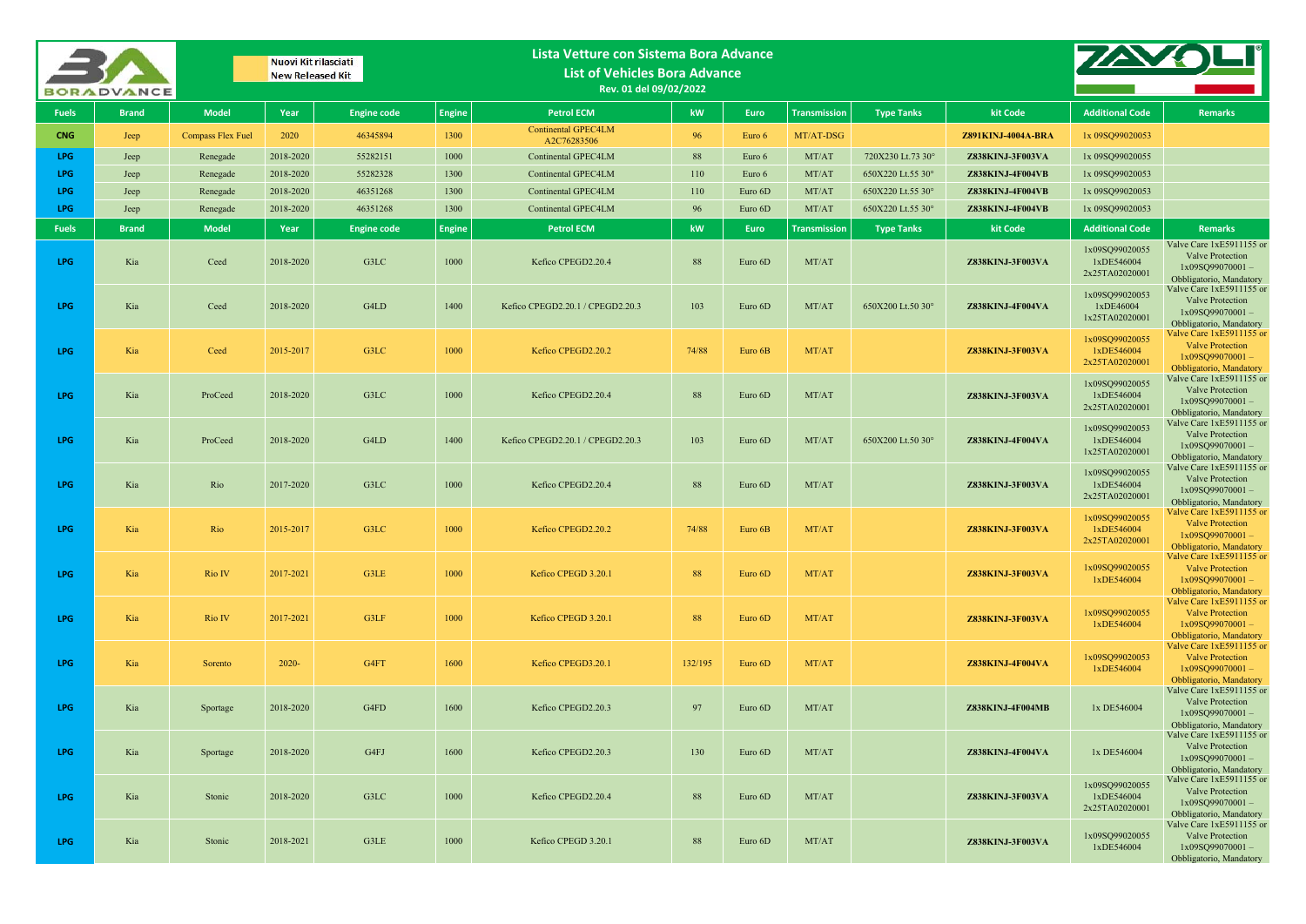|              | <b>BORADVANCE</b> |                          | Nuovi Kit rilasciati<br><b>New Released Kit</b> |                    |               | Lista Vetture con Sistema Bora Advance<br><b>List of Vehicles Bora Advance</b><br>Rev. 01 del 09/02/2022 |         |         |                     |                   |                         |                                                |                                                                                                      |
|--------------|-------------------|--------------------------|-------------------------------------------------|--------------------|---------------|----------------------------------------------------------------------------------------------------------|---------|---------|---------------------|-------------------|-------------------------|------------------------------------------------|------------------------------------------------------------------------------------------------------|
| <b>Fuels</b> | <b>Brand</b>      | <b>Model</b>             | Year                                            | <b>Engine code</b> | <b>Engine</b> | <b>Petrol ECM</b>                                                                                        | kW      | Euro    | <b>Transmission</b> | <b>Type Tanks</b> | kit Code                | <b>Additional Code</b>                         | <b>Remarks</b>                                                                                       |
| <b>CNG</b>   | Jeep              | <b>Compass Flex Fuel</b> | 2020                                            | 46345894           | 1300          | <b>Continental GPEC4LM</b><br>A2C76283506                                                                | 96      | Euro 6  | MT/AT-DSG           |                   | Z891KINJ-4004A-BRA      | 1x 09SQ99020053                                |                                                                                                      |
| LPG          | Jeep              | Renegade                 | 2018-2020                                       | 55282151           | 1000          | Continental GPEC4LM                                                                                      | 88      | Euro 6  | MT/AT               | 720X230 Lt.73 30° | Z838KINJ-3F003VA        | 1x 09SQ99020055                                |                                                                                                      |
| LPG          | Jeep              | Renegade                 | 2018-2020                                       | 55282328           | 1300          | Continental GPEC4LM                                                                                      | 110     | Euro 6  | MT/AT               | 650X220 Lt.55 30° | Z838KINJ-4F004VB        | 1x 09SQ99020053                                |                                                                                                      |
| <b>LPG</b>   | Jeep              | Renegade                 | 2018-2020                                       | 46351268           | 1300          | Continental GPEC4LM                                                                                      | 110     | Euro 6D | MT/AT               | 650X220 Lt.55 30° | Z838KINJ-4F004VB        | 1x 09SQ99020053                                |                                                                                                      |
| <b>LPG</b>   | Jeep              | Renegade                 | 2018-2020                                       | 46351268           | 1300          | Continental GPEC4LM                                                                                      | 96      | Euro 6D | MT/AT               | 650X220 Lt.55 30° | Z838KINJ-4F004VB        | 1x 09SQ99020053                                |                                                                                                      |
| <b>Fuels</b> | <b>Brand</b>      | <b>Model</b>             | Year                                            | <b>Engine code</b> | <b>Engine</b> | <b>Petrol ECM</b>                                                                                        | kW      | Euro,   | <b>Transmission</b> | <b>Type Tanks</b> | kit Code                | <b>Additional Code</b>                         | <b>Remarks</b>                                                                                       |
| LPG          | Kia               | Ceed                     | 2018-2020                                       | G3LC               | 1000          | Kefico CPEGD2.20.4                                                                                       | 88      | Euro 6D | MT/AT               |                   | Z838KINJ-3F003VA        | 1x09SO99020055<br>1xDE546004<br>2x25TA02020001 | Valve Care 1xE5911155 or<br>Valve Protection<br>$1x09SQ99070001 -$<br>Obbligatorio, Mandatory        |
| LPG          | Kia               | Ceed                     | 2018-2020                                       | G4LD               | 1400          | Kefico CPEGD2.20.1 / CPEGD2.20.3                                                                         | 103     | Euro 6D | MT/AT               | 650X200 Lt.50 30° | Z838KINJ-4F004VA        | 1x09SQ99020053<br>1xDE46004<br>1x25TA02020001  | Valve Care 1xE5911155 or<br>Valve Protection<br>$1x09SQ99070001 -$<br>Obbligatorio, Mandatory        |
| <b>LPG</b>   | Kia               | Ceed                     | 2015-2017                                       | G3LC               | 1000          | Kefico CPEGD2.20.2                                                                                       | 74/88   | Euro 6B | MT/AT               |                   | Z838KINJ-3F003VA        | 1x09SQ99020055<br>1xDE546004<br>2x25TA02020001 | Valve Care 1xE5911155 or<br><b>Valve Protection</b><br>$1x09SQ99070001 -$<br>Obbligatorio, Mandatory |
| LPG          | Kia               | ProCeed                  | 2018-2020                                       | G3LC               | 1000          | Kefico CPEGD2.20.4                                                                                       | 88      | Euro 6D | MT/AT               |                   | Z838KINJ-3F003VA        | 1x09SQ99020055<br>1xDE546004<br>2x25TA02020001 | Valve Care 1xE5911155 or<br>Valve Protection<br>$1x09SO99070001 -$<br>Obbligatorio, Mandatory        |
| LPG          | Kia               | ProCeed                  | 2018-2020                                       | G4LD               | 1400          | Kefico CPEGD2.20.1 / CPEGD2.20.3                                                                         | 103     | Euro 6D | MT/AT               | 650X200 Lt.50 30° | Z838KINJ-4F004VA        | 1x09SQ99020053<br>1xDE546004<br>1x25TA02020001 | Valve Care 1xE5911155 or<br>Valve Protection<br>$1x09SQ99070001 -$<br>Obbligatorio, Mandatory        |
| <b>LPG</b>   | Kia               | Rio                      | 2017-2020                                       | G3LC               | 1000          | Kefico CPEGD2.20.4                                                                                       | 88      | Euro 6D | MT/AT               |                   | Z838KINJ-3F003VA        | 1x09SQ99020055<br>1xDE546004<br>2x25TA02020001 | Valve Care 1xE5911155 or<br><b>Valve Protection</b><br>$1x09SQ99070001 -$<br>Obbligatorio, Mandatory |
| <b>LPG</b>   | Kia               | Rio                      | 2015-2017                                       | G3LC               | 1000          | Kefico CPEGD2.20.2                                                                                       | 74/88   | Euro 6B | MT/AT               |                   | <b>Z838KINJ-3F003VA</b> | 1x09SQ99020055<br>1xDE546004<br>2x25TA02020001 | Valve Care 1xE5911155 or<br><b>Valve Protection</b><br>$1x09SQ99070001 -$<br>Obbligatorio, Mandatory |
| <b>LPG</b>   | Kia               | Rio IV                   | 2017-2021                                       | G3LE               | 1000          | Kefico CPEGD 3.20.1                                                                                      | 88      | Euro 6D | MT/AT               |                   | Z838KINJ-3F003VA        | 1x09SQ99020055<br>1xDE546004                   | Valve Care 1xE5911155 or<br><b>Valve Protection</b><br>$1x09SQ99070001 -$<br>Obbligatorio, Mandatory |
| LPG          | Kia               | Rio IV                   | 2017-2021                                       | G3LF               | 1000          | Kefico CPEGD 3.20.1                                                                                      | 88      | Euro 6D | MT/AT               |                   | Z838KINJ-3F003VA        | 1x09SQ99020055<br>1xDE546004                   | Valve Care 1xE5911155 or<br><b>Valve Protection</b><br>$1x09SQ99070001 -$<br>Obbligatorio, Mandatory |
| LPG          | Kia               | Sorento                  | $2020 -$                                        | G4FT               | 1600          | Kefico CPEGD3.20.1                                                                                       | 132/195 | Euro 6D | MT/AT               |                   | Z838KINJ-4F004VA        | 1x09SQ99020053<br>$1x$ DE546004                | Valve Care 1xE5911155 or<br><b>Valve Protection</b><br>$1x09SO99070001 -$<br>Obbligatorio, Mandatory |
| <b>LPG</b>   | Kia               | Sportage                 | 2018-2020                                       | G4FD               | 1600          | Kefico CPEGD2.20.3                                                                                       | 97      | Euro 6D | MT/AT               |                   | Z838KINJ-4F004MB        | 1x DE546004                                    | Valve Care 1xE5911155 or<br><b>Valve Protection</b><br>$1x09SQ99070001 -$<br>Obbligatorio, Mandatory |
| LPG          | Kia               | Sportage                 | 2018-2020                                       | G4FJ               | 1600          | Kefico CPEGD2.20.3                                                                                       | 130     | Euro 6D | MT/AT               |                   | Z838KINJ-4F004VA        | 1x DE546004                                    | Valve Care 1xE5911155 or<br><b>Valve Protection</b><br>$1x09SO99070001 -$<br>Obbligatorio, Mandatory |
| LPG          | Kia               | Stonic                   | 2018-2020                                       | G3LC               | 1000          | Kefico CPEGD2.20.4                                                                                       | 88      | Euro 6D | MT/AT               |                   | Z838KINJ-3F003VA        | 1x09SQ99020055<br>1xDE546004<br>2x25TA02020001 | Valve Care 1xE5911155 or<br>Valve Protection<br>1x09SQ99070001-<br>Obbligatorio, Mandatory           |
| LPG.         | Kia               | Stonic                   | 2018-2021                                       | G3LE               | 1000          | Kefico CPEGD 3.20.1                                                                                      | 88      | Euro 6D | MT/AT               |                   | Z838KINJ-3F003VA        | 1x09SQ99020055<br>1xDE546004                   | Valve Care 1xE5911155 or<br>Valve Protection<br>1x09SQ99070001-<br>Obbligatorio, Mandatory           |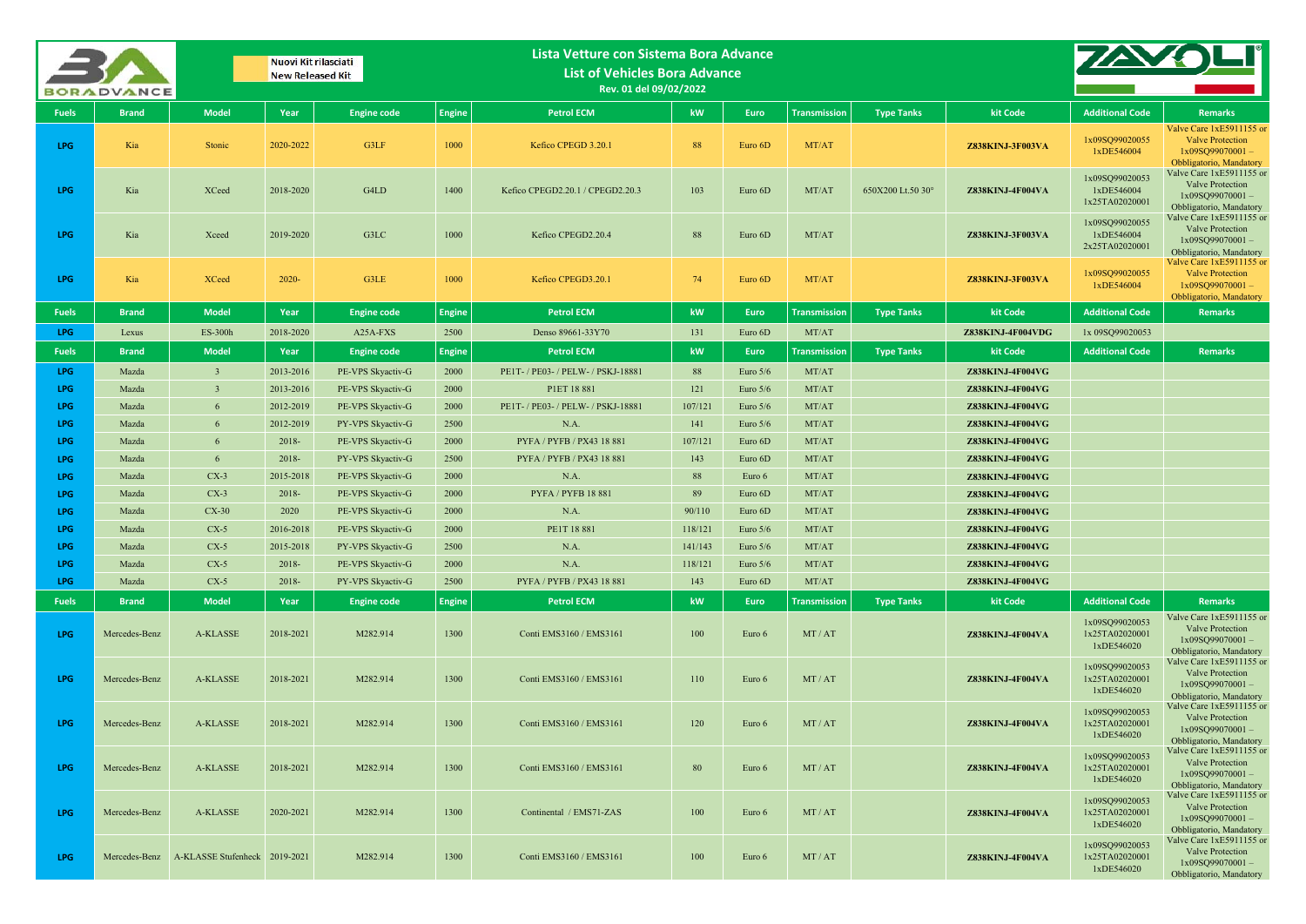|              | <b>BORADVANCE</b> |                                             | Nuovi Kit rilasciati<br><b>New Released Kit</b> |                                        |               | Lista Vetture con Sistema Bora Advance<br><b>List of Vehicles Bora Advance</b><br>Rev. 01 del 09/02/2022 |          |                   |                     |                   |                                      |                                                |                                                                                                      |
|--------------|-------------------|---------------------------------------------|-------------------------------------------------|----------------------------------------|---------------|----------------------------------------------------------------------------------------------------------|----------|-------------------|---------------------|-------------------|--------------------------------------|------------------------------------------------|------------------------------------------------------------------------------------------------------|
| <b>Fuels</b> | <b>Brand</b>      | <b>Model</b>                                | Year                                            | <b>Engine code</b>                     | <b>Engine</b> | <b>Petrol ECM</b>                                                                                        | kW       | <b>Euro</b>       | <b>Transmission</b> | <b>Type Tanks</b> | kit Code                             | <b>Additional Code</b>                         | <b>Remarks</b>                                                                                       |
| LPG          | Kia               | Stonic                                      | 2020-2022                                       | G3LF                                   | 1000          | Kefico CPEGD 3.20.1                                                                                      | 88       | Euro 6D           | MT/AT               |                   | Z838KINJ-3F003VA                     | 1x09SQ99020055<br>1xDE546004                   | Valve Care 1xE5911155 or<br><b>Valve Protection</b><br>$1x09SQ99070001 -$<br>Obbligatorio, Mandatory |
| LPG          | Kia               | <b>XCeed</b>                                | 2018-2020                                       | G4LD                                   | 1400          | Kefico CPEGD2.20.1 / CPEGD2.20.3                                                                         | 103      | Euro 6D           | MT/AT               | 650X200 Lt.50 30° | Z838KINJ-4F004VA                     | 1x09SQ99020053<br>1xDE546004<br>1x25TA02020001 | Valve Care 1xE5911155 or<br>Valve Protection<br>$1x09SO99070001 -$<br>Obbligatorio, Mandatory        |
| LPG          | Kia               | Xceed                                       | 2019-2020                                       | G3LC                                   | 1000          | Kefico CPEGD2.20.4                                                                                       | 88       | Euro 6D           | MT/AT               |                   | Z838KINJ-3F003VA                     | 1x09SQ99020055<br>1xDE546004<br>2x25TA02020001 | Valve Care 1xE5911155 or<br><b>Valve Protection</b><br>$1x09SO99070001 -$<br>Obbligatorio, Mandatory |
| LPG          | Kia               | <b>XCeed</b>                                | $2020 -$                                        | G3LE                                   | 1000          | Kefico CPEGD3.20.1                                                                                       | 74       | Euro 6D           | MT/AT               |                   | Z838KINJ-3F003VA                     | 1x09SQ99020055<br>1xDE546004                   | Valve Care 1xE5911155 or<br><b>Valve Protection</b><br>$1x09SQ99070001 -$<br>Obbligatorio, Mandatory |
| <b>Fuels</b> | <b>Brand</b>      | <b>Model</b>                                | Year                                            | <b>Engine code</b>                     | <b>Engine</b> | <b>Petrol ECM</b>                                                                                        | kW       | Euro              | <b>Transmission</b> | <b>Type Tanks</b> | kit Code                             | <b>Additional Code</b>                         | <b>Remarks</b>                                                                                       |
| <b>LPG</b>   | Lexus             | <b>ES-300h</b>                              | 2018-2020                                       | A25A-FXS                               | 2500          | Denso 89661-33Y70                                                                                        | 131      | Euro 6D           | MT/AT               |                   | Z838KINJ-4F004VDG                    | 1x 09SQ99020053                                |                                                                                                      |
| <b>Fuels</b> | <b>Brand</b>      | <b>Model</b>                                | Year                                            | <b>Engine code</b>                     | <b>Engine</b> | <b>Petrol ECM</b>                                                                                        | kW       | Euro              | <b>Transmission</b> | <b>Type Tanks</b> | kit Code                             | <b>Additional Code</b>                         | <b>Remarks</b>                                                                                       |
| LPG          | Mazda             | $\overline{\mathbf{3}}$                     | 2013-2016                                       | PE-VPS Skyactiv-G                      | 2000          | PE1T- / PE03- / PELW- / PSKJ-18881                                                                       | 88       | Euro $5/6$        | MT/AT               |                   | Z838KINJ-4F004VG                     |                                                |                                                                                                      |
| LPG          | Mazda             | 3                                           | 2013-2016                                       | PE-VPS Skyactiv-G                      | 2000          | P1ET 18 881                                                                                              | 121      | Euro $5/6$        | MT/AT               |                   | Z838KINJ-4F004VG                     |                                                |                                                                                                      |
| LPG          | Mazda             | 6                                           | 2012-2019                                       | PE-VPS Skyactiv-G                      | 2000          | PE1T- / PE03- / PELW- / PSKJ-18881                                                                       | 107/121  | Euro $5/6$        | MT/AT               |                   | Z838KINJ-4F004VG                     |                                                |                                                                                                      |
| LPG          | Mazda             | 6                                           | 2012-2019                                       | PY-VPS Skyactiv-G                      | 2500          | N.A.                                                                                                     | 141      | Euro $5/6$        | MT/AT               |                   | Z838KINJ-4F004VG                     |                                                |                                                                                                      |
| LPG          | Mazda             | 6                                           | 2018-                                           | PE-VPS Skyactiv-G                      | 2000          | PYFA / PYFB / PX43 18 881                                                                                | 107/121  | Euro 6D           | MT/AT               |                   | Z838KINJ-4F004VG                     |                                                |                                                                                                      |
| LPG          | Mazda             | 6                                           | 2018-                                           | PY-VPS Skyactiv-G                      | 2500          | PYFA / PYFB / PX43 18 881                                                                                | 143      | Euro 6D           | MT/AT               |                   | <b>Z838KINJ-4F004VG</b>              |                                                |                                                                                                      |
| LPG<br>LPG   | Mazda<br>Mazda    | $CX-3$<br>$CX-3$                            | 2015-2018<br>2018-                              | PE-VPS Skyactiv-G<br>PE-VPS Skyactiv-G | 2000<br>2000  | N.A.<br><b>PYFA / PYFB 18 881</b>                                                                        | 88<br>89 | Euro 6<br>Euro 6D | MT/AT<br>MT/AT      |                   | Z838KINJ-4F004VG<br>Z838KINJ-4F004VG |                                                |                                                                                                      |
| LPG          | Mazda             | $CX-30$                                     | 2020                                            | PE-VPS Skyactiv-G                      | 2000          | N.A.                                                                                                     | 90/110   | Euro 6D           | MT/AT               |                   | Z838KINJ-4F004VG                     |                                                |                                                                                                      |
| LPG          | Mazda             | $CX-5$                                      | 2016-2018                                       | PE-VPS Skyactiv-G                      | 2000          | PE1T 18 881                                                                                              | 118/121  | Euro $5/6$        | MT/AT               |                   | <b>Z838KINJ-4F004VG</b>              |                                                |                                                                                                      |
| LPG          | Mazda             | $CX-5$                                      | 2015-2018                                       | PY-VPS Skyactiv-G                      | 2500          | N.A.                                                                                                     | 141/143  | Euro $5/6$        | MT/AT               |                   | Z838KINJ-4F004VG                     |                                                |                                                                                                      |
| LPG          | Mazda             | $CX-5$                                      | 2018-                                           | PE-VPS Skyactiv-G                      | 2000          | N.A.                                                                                                     | 118/121  | Euro $5/6$        | MT/AT               |                   | Z838KINJ-4F004VG                     |                                                |                                                                                                      |
| LPG          | Mazda             | $CX-5$                                      | 2018-                                           | PY-VPS Skyactiv-G                      | 2500          | PYFA / PYFB / PX43 18 881                                                                                | 143      | Euro 6D           | MT/AT               |                   | Z838KINJ-4F004VG                     |                                                |                                                                                                      |
| <b>Fuels</b> | <b>Brand</b>      | <b>Model</b>                                | Year                                            | <b>Engine code</b>                     | <b>Engine</b> | <b>Petrol ECM</b>                                                                                        | kW       | <b>Euro</b>       | <b>Transmission</b> | <b>Type Tanks</b> | kit Code                             | <b>Additional Code</b>                         | <b>Remarks</b>                                                                                       |
| LPG          | Mercedes-Benz     | A-KLASSE                                    | 2018-2021                                       | M282.914                               | 1300          | Conti EMS3160 / EMS3161                                                                                  | 100      | Euro 6            | MT/AT               |                   | Z838KINJ-4F004VA                     | 1x09SQ99020053<br>1x25TA02020001<br>1xDE546020 | Valve Care 1xE5911155 or<br>Valve Protection<br>$1x09SQ99070001 -$<br>Obbligatorio, Mandatory        |
| LPG          | Mercedes-Benz     | A-KLASSE                                    | 2018-2021                                       | M282.914                               | 1300          | Conti EMS3160 / EMS3161                                                                                  | 110      | Euro 6            | MT/AT               |                   | Z838KINJ-4F004VA                     | 1x09SQ99020053<br>1x25TA02020001<br>1xDE546020 | Valve Care 1xE5911155 or<br>Valve Protection<br>$1x09SO99070001 -$<br>Obbligatorio, Mandatory        |
| LPG          | Mercedes-Benz     | <b>A-KLASSE</b>                             | 2018-2021                                       | M282.914                               | 1300          | Conti EMS3160 / EMS3161                                                                                  | 120      | Euro 6            | MT/AT               |                   | Z838KINJ-4F004VA                     | 1x09SQ99020053<br>1x25TA02020001<br>1xDE546020 | Valve Care 1xE5911155 or<br><b>Valve Protection</b><br>$1x09SQ99070001 -$<br>Obbligatorio, Mandatory |
| LPG          | Mercedes-Benz     | A-KLASSE                                    | 2018-2021                                       | M282.914                               | 1300          | Conti EMS3160 / EMS3161                                                                                  | 80       | Euro 6            | MT/AT               |                   | Z838KINJ-4F004VA                     | 1x09SQ99020053<br>1x25TA02020001<br>1xDE546020 | Valve Care 1xE5911155 or<br>Valve Protection<br>$1x09SQ99070001 -$<br>Obbligatorio, Mandatory        |
| LPG          | Mercedes-Benz     | A-KLASSE                                    | 2020-2021                                       | M282.914                               | 1300          | Continental / EMS71-ZAS                                                                                  | 100      | Euro 6            | MT/AT               |                   | Z838KINJ-4F004VA                     | 1x09SQ99020053<br>1x25TA02020001<br>1xDE546020 | Valve Care 1xE5911155 or<br>Valve Protection<br>$1x09SQ99070001 -$<br>Obbligatorio, Mandatory        |
| LPG.         |                   | Mercedes-Benz A-KLASSE Stufenheck 2019-2021 |                                                 | M282.914                               | 1300          | Conti EMS3160 / EMS3161                                                                                  | 100      | Euro 6            | MT/AT               |                   | Z838KINJ-4F004VA                     | 1x09SQ99020053<br>1x25TA02020001<br>1xDE546020 | Valve Care 1xE5911155 or<br>Valve Protection<br>1x09SQ99070001-<br>Obbligatorio, Mandatory           |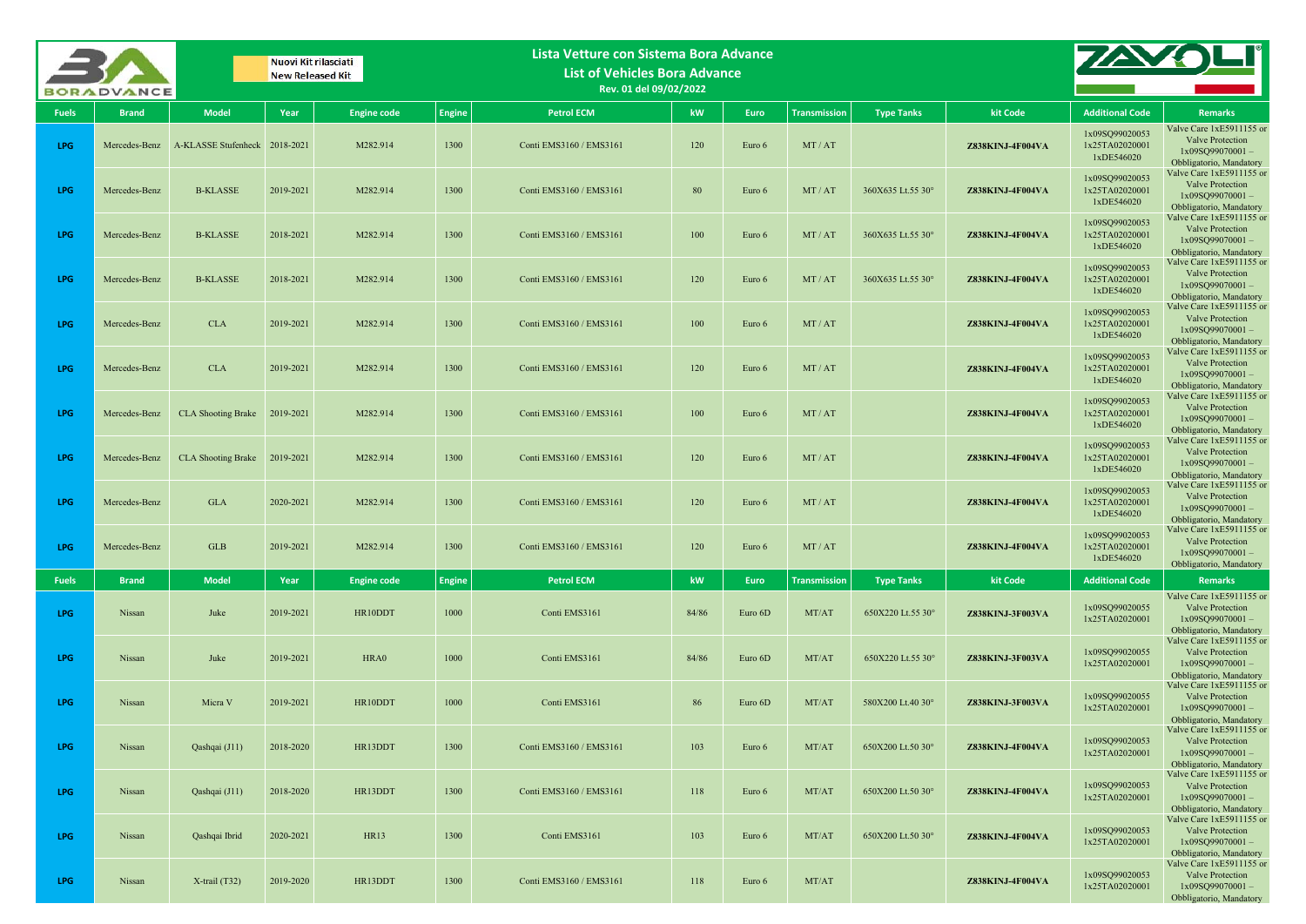|              | <b>BORADVANCE</b> |                               | Nuovi Kit rilasciati<br><b>New Released Kit</b> |                    |               | Lista Vetture con Sistema Bora Advance<br><b>List of Vehicles Bora Advance</b><br>Rev. 01 del 09/02/2022 |       |             |                     |                   |                         |                                                |                                                                                                                           |
|--------------|-------------------|-------------------------------|-------------------------------------------------|--------------------|---------------|----------------------------------------------------------------------------------------------------------|-------|-------------|---------------------|-------------------|-------------------------|------------------------------------------------|---------------------------------------------------------------------------------------------------------------------------|
| <b>Fuels</b> | <b>Brand</b>      | <b>Model</b>                  | Year                                            | <b>Engine code</b> | <b>Engine</b> | <b>Petrol ECM</b>                                                                                        | kW    | <b>Euro</b> | <b>Transmission</b> | <b>Type Tanks</b> | kit Code                | <b>Additional Code</b>                         | <b>Remarks</b>                                                                                                            |
| <b>LPG</b>   | Mercedes-Benz     | A-KLASSE Stufenheck 2018-2021 |                                                 | M282.914           | 1300          | Conti EMS3160 / EMS3161                                                                                  | 120   | Euro 6      | MT/AT               |                   | Z838KINJ-4F004VA        | 1x09SQ99020053<br>1x25TA02020001<br>1xDE546020 | Valve Care 1xE5911155 or<br>Valve Protection<br>$1x09SQ99070001 -$<br>Obbligatorio, Mandatory                             |
| <b>LPG</b>   | Mercedes-Benz     | <b>B-KLASSE</b>               | 2019-2021                                       | M282.914           | 1300          | Conti EMS3160 / EMS3161                                                                                  | 80    | Euro 6      | MT/AT               | 360X635 Lt.55 30° | Z838KINJ-4F004VA        | 1x09SQ99020053<br>1x25TA02020001<br>1xDE546020 | Valve Care 1xE5911155 or<br>Valve Protection<br>$1x09SQ99070001 -$<br>Obbligatorio, Mandatory                             |
| <b>LPG</b>   | Mercedes-Benz     | <b>B-KLASSE</b>               | 2018-2021                                       | M282.914           | 1300          | Conti EMS3160 / EMS3161                                                                                  | 100   | Euro 6      | MT/AT               | 360X635 Lt.55 30° | <b>Z838KINJ-4F004VA</b> | 1x09SQ99020053<br>1x25TA02020001<br>1xDE546020 | Valve Care 1xE5911155 or<br>Valve Protection<br>1x09SQ99070001-<br>Obbligatorio, Mandatory                                |
| <b>LPG</b>   | Mercedes-Benz     | <b>B-KLASSE</b>               | 2018-2021                                       | M282.914           | 1300          | Conti EMS3160 / EMS3161                                                                                  | 120   | Euro 6      | MT/AT               | 360X635 Lt.55 30° | <b>Z838KINJ-4F004VA</b> | 1x09SQ99020053<br>1x25TA02020001<br>1xDE546020 | Valve Care 1xE5911155 or<br>Valve Protection<br>$1x09SQ99070001 -$<br>Obbligatorio, Mandatory                             |
| <b>LPG</b>   | Mercedes-Benz     | <b>CLA</b>                    | 2019-2021                                       | M282.914           | 1300          | Conti EMS3160 / EMS3161                                                                                  | 100   | Euro 6      | MT/AT               |                   | Z838KINJ-4F004VA        | 1x09SQ99020053<br>1x25TA02020001<br>1xDE546020 | Valve Care 1xE5911155 or<br>Valve Protection<br>$1x09SO99070001 -$<br>Obbligatorio, Mandatory                             |
| <b>LPG</b>   | Mercedes-Benz     | <b>CLA</b>                    | 2019-2021                                       | M282.914           | 1300          | Conti EMS3160 / EMS3161                                                                                  | 120   | Euro 6      | MT/AT               |                   | <b>Z838KINJ-4F004VA</b> | 1x09SQ99020053<br>1x25TA02020001<br>1xDE546020 | Valve Care 1xE5911155 or<br>Valve Protection<br>$1x09SQ99070001 -$<br>Obbligatorio, Mandatory                             |
| <b>LPG</b>   | Mercedes-Benz     | <b>CLA Shooting Brake</b>     | 2019-2021                                       | M282.914           | 1300          | Conti EMS3160 / EMS3161                                                                                  | 100   | Euro 6      | MT/AT               |                   | Z838KINJ-4F004VA        | 1x09SQ99020053<br>1x25TA02020001<br>1xDE546020 | Valve Care 1xE5911155 or<br>Valve Protection<br>$1x09SO99070001 -$<br>Obbligatorio, Mandatory<br>Valve Care 1xE5911155 or |
| <b>LPG</b>   | Mercedes-Benz     | <b>CLA Shooting Brake</b>     | 2019-2021                                       | M282.914           | 1300          | Conti EMS3160 / EMS3161                                                                                  | 120   | Euro 6      | MT/AT               |                   | <b>Z838KINJ-4F004VA</b> | 1x09SQ99020053<br>1x25TA02020001<br>1xDE546020 | Valve Protection<br>$1x09SO99070001 -$<br>Obbligatorio, Mandatory                                                         |
| <b>LPG</b>   | Mercedes-Benz     | <b>GLA</b>                    | 2020-2021                                       | M282.914           | 1300          | Conti EMS3160 / EMS3161                                                                                  | 120   | Euro 6      | MT/AT               |                   | <b>Z838KINJ-4F004VA</b> | 1x09SQ99020053<br>1x25TA02020001<br>1xDE546020 | Valve Care 1xE5911155 or<br>Valve Protection<br>$1x09SQ99070001 -$<br>Obbligatorio, Mandatory                             |
| <b>LPG</b>   | Mercedes-Benz     | GLB                           | 2019-2021                                       | M282.914           | 1300          | Conti EMS3160 / EMS3161                                                                                  | 120   | Euro 6      | MT/AT               |                   | <b>Z838KINJ-4F004VA</b> | 1x09SQ99020053<br>1x25TA02020001<br>1xDE546020 | Valve Care 1xE5911155 or<br>Valve Protection<br>$1x09SQ99070001 -$<br>Obbligatorio, Mandatory                             |
| <b>Fuels</b> | <b>Brand</b>      | <b>Model</b>                  | Year                                            | <b>Engine code</b> | <b>Engine</b> | <b>Petrol ECM</b>                                                                                        | kW    | <b>Euro</b> | <b>Transmission</b> | <b>Type Tanks</b> | kit Code                | <b>Additional Code</b>                         | <b>Remarks</b>                                                                                                            |
| LPG          | Nissan            | Juke                          | 2019-2021                                       | HR10DDT            | 1000          | Conti EMS3161                                                                                            | 84/86 | Euro 6D     | MT/AT               | 650X220 Lt.55 30° | Z838KINJ-3F003VA        | 1x09SQ99020055<br>1x25TA02020001               | Valve Care 1xE5911155 or<br>Valve Protection<br>1x09SQ99070001-<br>Obbligatorio, Mandatory                                |
| <b>LPG</b>   | Nissan            | Juke                          | 2019-2021                                       | HRA0               | 1000          | Conti EMS3161                                                                                            | 84/86 | Euro 6D     | MT/AT               | 650X220 Lt.55 30° | <b>Z838KINJ-3F003VA</b> | 1x09SQ99020055<br>1x25TA02020001               | Valve Care 1xE5911155 or<br>Valve Protection<br>$1x09SQ99070001 -$<br>Obbligatorio, Mandatory                             |
| <b>LPG</b>   | Nissan            | Micra V                       | 2019-2021                                       | HR10DDT            | 1000          | Conti EMS3161                                                                                            | 86    | Euro 6D     | MT/AT               | 580X200 Lt.40 30° | Z838KINJ-3F003VA        | 1x09SQ99020055<br>1x25TA02020001               | Valve Care 1xE5911155 or<br><b>Valve Protection</b><br>$1x09SQ99070001 -$<br>Obbligatorio, Mandatory                      |
| LPG          | Nissan            | Qashqai (J11)                 | 2018-2020                                       | HR13DDT            | 1300          | Conti EMS3160 / EMS3161                                                                                  | 103   | Euro 6      | MT/AT               | 650X200 Lt.50 30° | Z838KINJ-4F004VA        | 1x09SQ99020053<br>1x25TA02020001               | Valve Care 1xE5911155 or<br>Valve Protection<br>$1x09SQ99070001 -$<br>Obbligatorio, Mandatory                             |
| LPG          | Nissan            | Qashqai (J11)                 | 2018-2020                                       | HR13DDT            | 1300          | Conti EMS3160 / EMS3161                                                                                  | 118   | Euro 6      | MT/AT               | 650X200 Lt.50 30° | Z838KINJ-4F004VA        | 1x09SQ99020053<br>1x25TA02020001               | Valve Care 1xE5911155 or<br>Valve Protection<br>$1x09SO99070001 -$<br>Obbligatorio, Mandatory                             |
| LPG          | Nissan            | Qashqai Ibrid                 | 2020-2021                                       | <b>HR13</b>        | 1300          | Conti EMS3161                                                                                            | 103   | Euro 6      | MT/AT               | 650X200 Lt.50 30° | Z838KINJ-4F004VA        | 1x09SQ99020053<br>1x25TA02020001               | Valve Care 1xE5911155 or<br>Valve Protection<br>1x09SQ99070001-<br>Obbligatorio, Mandatory                                |
| LPG          | Nissan            | $X$ -trail (T32)              | 2019-2020                                       | HR13DDT            | 1300          | Conti EMS3160 / EMS3161                                                                                  | 118   | Euro 6      | MT/AT               |                   | Z838KINJ-4F004VA        | 1x09SQ99020053<br>1x25TA02020001               | Valve Care 1xE5911155 or<br>Valve Protection<br>1x09SQ99070001-<br>Obbligatorio, Mandatory                                |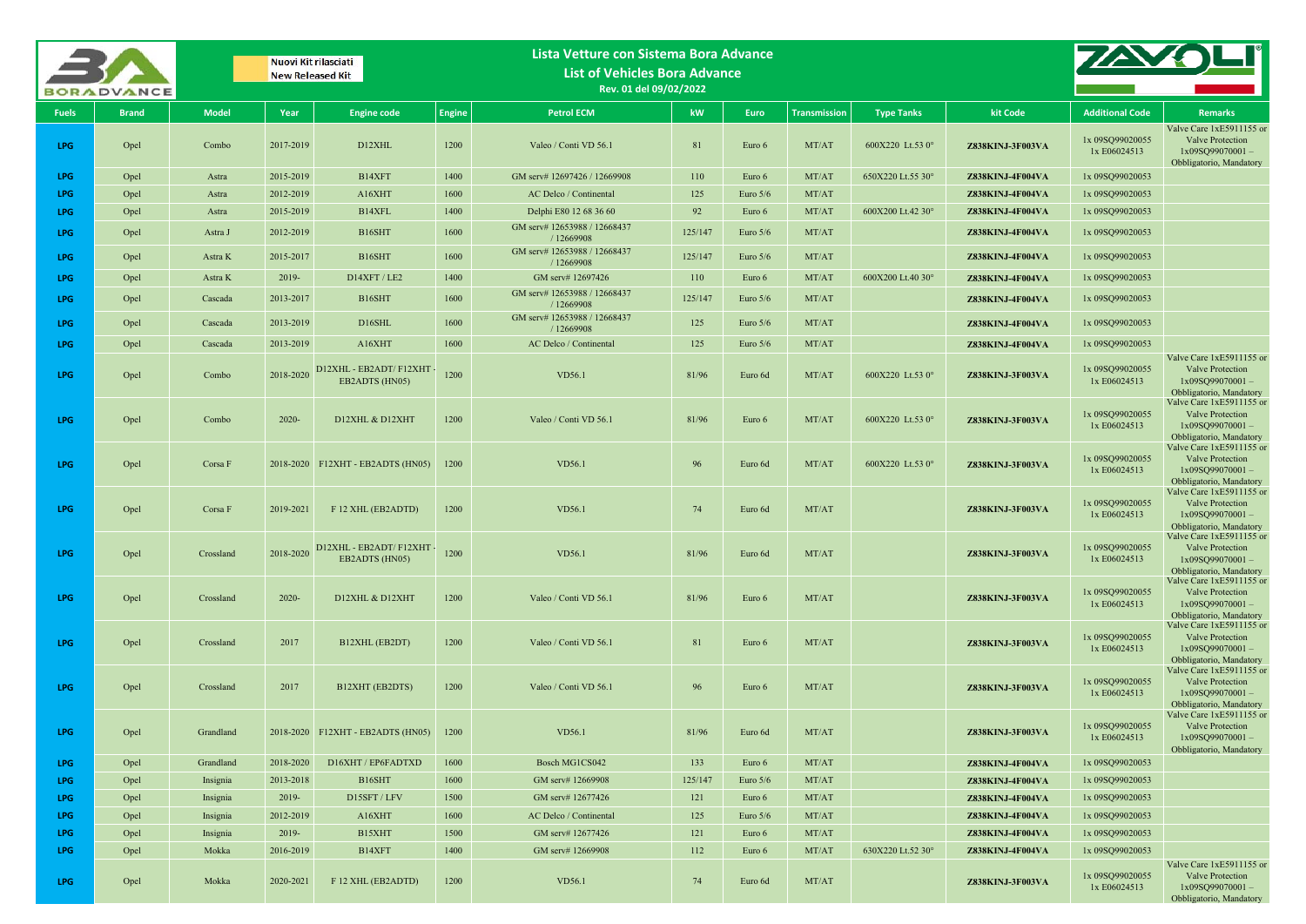|              | <b>BORADVANCE</b> |              | Nuovi Kit rilasciati<br><b>New Released Kit</b> |                                             |               | Lista Vetture con Sistema Bora Advance<br><b>List of Vehicles Bora Advance</b><br>Rev. 01 del 09/02/2022 |         |            |                     |                   |                         |                                 |                                                                                                   |
|--------------|-------------------|--------------|-------------------------------------------------|---------------------------------------------|---------------|----------------------------------------------------------------------------------------------------------|---------|------------|---------------------|-------------------|-------------------------|---------------------------------|---------------------------------------------------------------------------------------------------|
| <b>Fuels</b> | <b>Brand</b>      | <b>Model</b> | Year                                            | <b>Engine code</b>                          | <b>Engine</b> | <b>Petrol ECM</b>                                                                                        | kW      | Euro       | <b>Transmission</b> | <b>Type Tanks</b> | kit Code                | <b>Additional Code</b>          | <b>Remarks</b>                                                                                    |
| LPG          | Opel              | Combo        | 2017-2019                                       | D12XHL                                      | 1200          | Valeo / Conti VD 56.1                                                                                    | 81      | Euro 6     | MT/AT               | 600X220 Lt.53 0°  | Z838KINJ-3F003VA        | 1x 09SQ99020055<br>1x E06024513 | Valve Care 1xE5911155 or<br>Valve Protection<br>1x09SQ99070001-<br>Obbligatorio, Mandatory        |
| <b>LPG</b>   | Opel              | Astra        | 2015-2019                                       | B14XFT                                      | 1400          | GM serv# 12697426 / 12669908                                                                             | 110     | Euro 6     | MT/AT               | 650X220 Lt.55 30° | Z838KINJ-4F004VA        | 1x 09SQ99020053                 |                                                                                                   |
| LPG          | Opel              | Astra        | 2012-2019                                       | A16XHT                                      | 1600          | AC Delco / Continental                                                                                   | 125     | Euro $5/6$ | MT/AT               |                   | <b>Z838KINJ-4F004VA</b> | 1x 09SQ99020053                 |                                                                                                   |
| <b>LPG</b>   | Opel              | Astra        | 2015-2019                                       | B14XFL                                      | 1400          | Delphi E80 12 68 36 60                                                                                   | 92      | Euro 6     | MT/AT               | 600X200 Lt.42 30° | Z838KINJ-4F004VA        | 1x 09SQ99020053                 |                                                                                                   |
| LPG          | Opel              | Astra J      | 2012-2019                                       | B16SHT                                      | 1600          | GM serv# 12653988 / 12668437<br>/ 12669908                                                               | 125/147 | Euro 5/6   | MT/AT               |                   | Z838KINJ-4F004VA        | 1x 09SQ99020053                 |                                                                                                   |
| <b>LPG</b>   | Opel              | Astra K      | 2015-2017                                       | B16SHT                                      | 1600          | GM serv# 12653988 / 12668437<br>/ 12669908                                                               | 125/147 | Euro $5/6$ | MT/AT               |                   | Z838KINJ-4F004VA        | 1x 09SQ99020053                 |                                                                                                   |
| <b>LPG</b>   | Opel              | Astra K      | 2019-                                           | D14XFT / LE2                                | 1400          | GM serv# 12697426                                                                                        | 110     | Euro 6     | MT/AT               | 600X200 Lt.40 30° | <b>Z838KINJ-4F004VA</b> | 1x 09SQ99020053                 |                                                                                                   |
| <b>LPG</b>   | Opel              | Cascada      | 2013-2017                                       | B <sub>16</sub> SHT                         | 1600          | GM serv# 12653988 / 12668437<br>/12669908                                                                | 125/147 | Euro $5/6$ | MT/AT               |                   | Z838KINJ-4F004VA        | 1x 09SQ99020053                 |                                                                                                   |
| <b>LPG</b>   | Opel              | Cascada      | 2013-2019                                       | D16SHL                                      | 1600          | GM serv# 12653988 / 12668437<br>/ 12669908                                                               | 125     | Euro 5/6   | MT/AT               |                   | <b>Z838KINJ-4F004VA</b> | 1x 09SQ99020053                 |                                                                                                   |
| LPG          | Opel              | Cascada      | 2013-2019                                       | A16XHT                                      | 1600          | AC Delco / Continental                                                                                   | 125     | Euro $5/6$ | MT/AT               |                   | <b>Z838KINJ-4F004VA</b> | 1x 09SQ99020053                 |                                                                                                   |
| <b>LPG</b>   | Opel              | Combo        | 2018-2020                                       | D12XHL - EB2ADT/ F12XHT<br>EB2ADTS (HN05)   | 1200          | VD56.1                                                                                                   | 81/96   | Euro 6d    | MT/AT               | 600X220 Lt.53 0°  | <b>Z838KINJ-3F003VA</b> | 1x 09SQ99020055<br>1x E06024513 | Valve Care 1xE5911155 or<br>Valve Protection<br>$1x09SQ99070001 -$<br>Obbligatorio, Mandatory     |
| LPG          | Opel              | Combo        | $2020 -$                                        | D12XHL & D12XHT                             | 1200          | Valeo / Conti VD 56.1                                                                                    | 81/96   | Euro 6     | MT/AT               | 600X220 Lt.53 0°  | Z838KINJ-3F003VA        | 1x 09SQ99020055<br>1x E06024513 | Valve Care 1xE5911155 or<br><b>Valve Protection</b><br>1x09SQ99070001-<br>Obbligatorio, Mandatory |
| LPG          | Opel              | Corsa F      | 2018-2020                                       | F12XHT - EB2ADTS (HN05)                     | 1200          | VD56.1                                                                                                   | 96      | Euro 6d    | MT/AT               | 600X220 Lt.53 0°  | Z838KINJ-3F003VA        | 1x 09SQ99020055<br>1x E06024513 | Valve Care 1xE5911155 or<br>Valve Protection<br>1x09SQ99070001-<br>Obbligatorio, Mandatory        |
| LPG.         | Opel              | Corsa F      | 2019-2021                                       | F 12 XHL (EB2ADTD)                          | 1200          | VD56.1                                                                                                   | 74      | Euro 6d    | MT/AT               |                   | Z838KINJ-3F003VA        | 1x 09SQ99020055<br>1x E06024513 | Valve Care 1xE5911155 or<br>Valve Protection<br>1x09SQ99070001-<br>Obbligatorio, Mandatory        |
| <b>LPG</b>   | Opel              | Crossland    | 2018-2020                                       | D12XHL - EB2ADT/ F12XHT -<br>EB2ADTS (HN05) | 1200          | VD56.1                                                                                                   | 81/96   | Euro 6d    | MT/AT               |                   | Z838KINJ-3F003VA        | 1x 09SQ99020055<br>1x E06024513 | Valve Care 1xE5911155 or<br>Valve Protection<br>1x09SQ99070001-<br>Obbligatorio, Mandatory        |
| <b>LPG</b>   | Opel              | Crossland    | $2020 -$                                        | D12XHL & D12XHT                             | 1200          | Valeo / Conti VD 56.1                                                                                    | 81/96   | Euro 6     | MT/AT               |                   | <b>Z838KINJ-3F003VA</b> | 1x 09SQ99020055<br>1x E06024513 | Valve Care 1xE5911155 or<br>Valve Protection<br>$1x09SO99070001 -$<br>Obbligatorio, Mandatory     |
| LPG          | Opel              | Crossland    | 2017                                            | B12XHL (EB2DT)                              | 1200          | Valeo / Conti VD 56.1                                                                                    | 81      | Euro 6     | MT/AT               |                   | Z838KINJ-3F003VA        | 1x 09SQ99020055<br>1x E06024513 | Valve Care 1xE5911155 or<br>Valve Protection<br>1x09SQ99070001-<br>Obbligatorio, Mandatory        |
| LPG          | Opel              | Crossland    | 2017                                            | B12XHT (EB2DTS)                             | 1200          | Valeo / Conti VD 56.1                                                                                    | 96      | Euro 6     | MT/AT               |                   | Z838KINJ-3F003VA        | 1x 09SQ99020055<br>1x E06024513 | Valve Care 1xE5911155 or<br>Valve Protection<br>1x09SQ99070001-<br>Obbligatorio, Mandatory        |
| LPG          | Opel              | Grandland    |                                                 | 2018-2020 F12XHT - EB2ADTS (HN05)           | 1200          | VD56.1                                                                                                   | 81/96   | Euro 6d    | MT/AT               |                   | Z838KINJ-3F003VA        | 1x 09SQ99020055<br>1x E06024513 | Valve Care 1xE5911155 or<br>Valve Protection<br>$1x09SQ99070001 -$<br>Obbligatorio, Mandatory     |
| LPG          | Opel              | Grandland    | 2018-2020                                       | D16XHT / EP6FADTXD                          | 1600          | Bosch MG1CS042                                                                                           | 133     | Euro 6     | MT/AT               |                   | Z838KINJ-4F004VA        | 1x 09SQ99020053                 |                                                                                                   |
| LPG          | Opel              | Insignia     | 2013-2018                                       | B16SHT                                      | 1600          | GM serv# 12669908                                                                                        | 125/147 | Euro 5/6   | MT/AT               |                   | Z838KINJ-4F004VA        | 1x 09SQ99020053                 |                                                                                                   |
| LPG          | Opel              | Insignia     | $2019 -$                                        | D15SFT / LFV                                | 1500          | GM serv# 12677426                                                                                        | 121     | Euro 6     | MT/AT               |                   | Z838KINJ-4F004VA        | 1x 09SQ99020053                 |                                                                                                   |
| <b>LPG</b>   | Opel              | Insignia     | 2012-2019                                       | A16XHT                                      | 1600          | AC Delco / Continental                                                                                   | 125     | Euro 5/6   | MT/AT               |                   | Z838KINJ-4F004VA        | 1x 09SQ99020053                 |                                                                                                   |
| <b>LPG</b>   | Opel              | Insignia     | 2019-                                           | B15XHT                                      | 1500          | GM serv# 12677426                                                                                        | 121     | Euro 6     | MT/AT               |                   | Z838KINJ-4F004VA        | 1x 09SQ99020053                 |                                                                                                   |
| LPG          | Opel              | Mokka        | 2016-2019                                       | B14XFT                                      | 1400          | GM serv# 12669908                                                                                        | 112     | Euro 6     | MT/AT               | 630X220 Lt.52 30° | Z838KINJ-4F004VA        | 1x 09SQ99020053                 |                                                                                                   |
| LPG          | Opel              | Mokka        | 2020-2021                                       | F 12 XHL (EB2ADTD)                          | 1200          | VD56.1                                                                                                   | 74      | Euro 6d    | MT/AT               |                   | Z838KINJ-3F003VA        | 1x 09SQ99020055<br>1x E06024513 | Valve Care 1xE5911155 or<br>Valve Protection<br>1x09SQ99070001-<br>Obbligatorio, Mandatory        |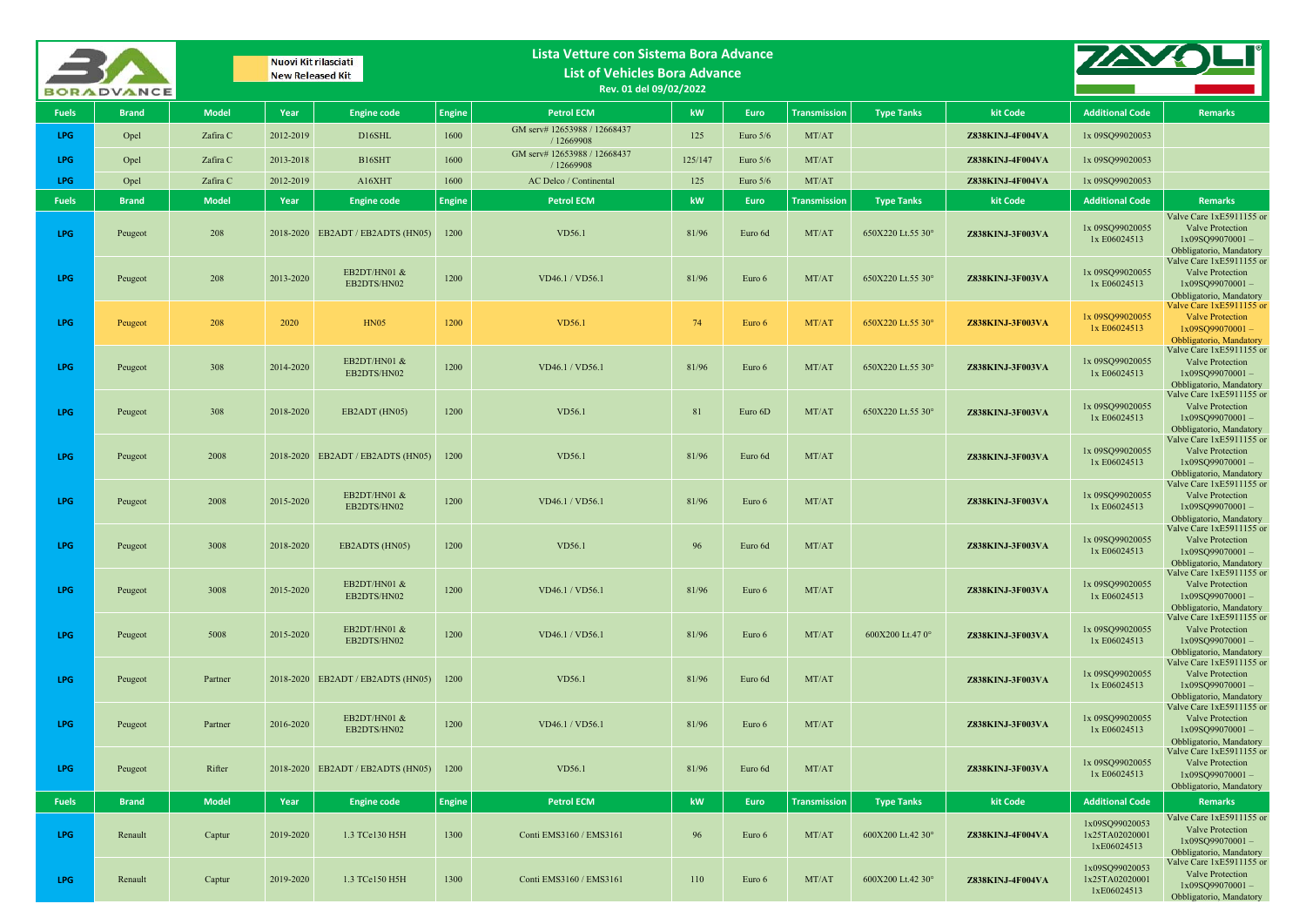|              | <b>BORADVANCE</b> |              |           | Nuovi Kit rilasciati<br><b>New Released Kit</b> |               | Lista Vetture con Sistema Bora Advance<br><b>List of Vehicles Bora Advance</b><br>Rev. 01 del 09/02/2022 |         |            |                     |                   |                  |                                                 |                                                                                                      |
|--------------|-------------------|--------------|-----------|-------------------------------------------------|---------------|----------------------------------------------------------------------------------------------------------|---------|------------|---------------------|-------------------|------------------|-------------------------------------------------|------------------------------------------------------------------------------------------------------|
| <b>Fuels</b> | <b>Brand</b>      | <b>Model</b> | Year      | <b>Engine code</b>                              | <b>Engine</b> | <b>Petrol ECM</b>                                                                                        | kW      | Euro       | <b>Transmission</b> | <b>Type Tanks</b> | kit Code         | <b>Additional Code</b>                          | <b>Remarks</b>                                                                                       |
| LPG          | Opel              | Zafira C     | 2012-2019 | D16SHL                                          | 1600          | GM serv# 12653988 / 12668437<br>/ 12669908                                                               | 125     | Euro 5/6   | MT/AT               |                   | Z838KINJ-4F004VA | 1x 09SQ99020053                                 |                                                                                                      |
| LPG          | Opel              | Zafira C     | 2013-2018 | B16SHT                                          | 1600          | GM serv# 12653988 / 12668437<br>/ 12669908                                                               | 125/147 | Euro $5/6$ | MT/AT               |                   | Z838KINJ-4F004VA | 1x 09SQ99020053                                 |                                                                                                      |
| LPG          | Opel              | Zafira C     | 2012-2019 | A16XHT                                          | 1600          | AC Delco / Continental                                                                                   | 125     | Euro $5/6$ | MT/AT               |                   | Z838KINJ-4F004VA | 1x 09SQ99020053                                 |                                                                                                      |
| <b>Fuels</b> | <b>Brand</b>      | <b>Model</b> | Year      | <b>Engine code</b>                              | <b>Engine</b> | <b>Petrol ECM</b>                                                                                        | kW      | Euro       | <b>Transmission</b> | <b>Type Tanks</b> | kit Code         | <b>Additional Code</b>                          | <b>Remarks</b>                                                                                       |
| LPG          | Peugeot           | 208          |           | 2018-2020 EB2ADT / EB2ADTS (HN05)               | 1200          | VD56.1                                                                                                   | 81/96   | Euro 6d    | MT/AT               | 650X220 Lt.55 30° | Z838KINJ-3F003VA | 1x 09SQ99020055<br>1x E06024513                 | Valve Care 1xE5911155 or<br>Valve Protection<br>$1x09SQ99070001 -$<br>Obbligatorio, Mandatory        |
| LPG          | Peugeot           | 208          | 2013-2020 | EB2DT/HN01 &<br>EB2DTS/HN02                     | 1200          | VD46.1 / VD56.1                                                                                          | 81/96   | Euro 6     | MT/AT               | 650X220 Lt.55 30° | Z838KINJ-3F003VA | 1x 09SQ99020055<br>1x E06024513                 | Valve Care 1xE5911155 or<br><b>Valve Protection</b><br>$1x09SQ99070001 -$<br>Obbligatorio, Mandatory |
| LPG          | Peugeot           | 208          | 2020      | <b>HN05</b>                                     | 1200          | <b>VD56.1</b>                                                                                            | 74      | Euro 6     | MT/AT               | 650X220 Lt.55 30° | Z838KINJ-3F003VA | 1x 09SQ99020055<br>1x E06024513                 | Valve Care 1xE5911155 or<br><b>Valve Protection</b><br>$1x09SO99070001 -$<br>Obbligatorio, Mandatory |
| <b>LPG</b>   | Peugeot           | 308          | 2014-2020 | EB2DT/HN01 &<br>EB2DTS/HN02                     | 1200          | VD46.1 / VD56.1                                                                                          | 81/96   | Euro 6     | MT/AT               | 650X220 Lt.55 30° | Z838KINJ-3F003VA | 1x 09SQ99020055<br>1x E06024513                 | Valve Care 1xE5911155 or<br><b>Valve Protection</b><br>$1x09SQ99070001 -$<br>Obbligatorio, Mandatory |
| LPG          | Peugeot           | 308          | 2018-2020 | EB2ADT (HN05)                                   | 1200          | VD56.1                                                                                                   | 81      | Euro 6D    | MT/AT               | 650X220 Lt.55 30° | Z838KINJ-3F003VA | 1x 09SQ99020055<br>1x E06024513                 | Valve Care 1xE5911155 or<br>Valve Protection<br>$1x09SQ99070001 -$<br>Obbligatorio, Mandatory        |
| LPG          | Peugeot           | 2008         |           | 2018-2020 EB2ADT / EB2ADTS (HN05)               | 1200          | VD56.1                                                                                                   | 81/96   | Euro 6d    | MT/AT               |                   | Z838KINJ-3F003VA | 1x 09SQ99020055<br>1x E06024513                 | Valve Care 1xE5911155 or<br>Valve Protection<br>$1x09SQ99070001 -$<br>Obbligatorio, Mandatory        |
| LPG          | Peugeot           | 2008         | 2015-2020 | EB2DT/HN01 &<br>EB2DTS/HN02                     | 1200          | VD46.1 / VD56.1                                                                                          | 81/96   | Euro 6     | MT/AT               |                   | Z838KINJ-3F003VA | 1x 09SQ99020055<br>1x E06024513                 | Valve Care 1xE5911155 or<br><b>Valve Protection</b><br>1x09SQ99070001-<br>Obbligatorio, Mandatory    |
| LPG          | Peugeot           | 3008         | 2018-2020 | EB2ADTS (HN05)                                  | 1200          | VD56.1                                                                                                   | 96      | Euro 6d    | MT/AT               |                   | Z838KINJ-3F003VA | 1x 09SQ99020055<br>1x E06024513                 | Valve Care 1xE5911155 or<br>Valve Protection<br>$1x09SO99070001 -$<br>Obbligatorio, Mandatory        |
| <b>LPG</b>   | Peugeot           | 3008         | 2015-2020 | EB2DT/HN01 &<br>EB2DTS/HN02                     | 1200          | VD46.1 / VD56.1                                                                                          | 81/96   | Euro 6     | MT/AT               |                   | Z838KINJ-3F003VA | 1x 09SQ99020055<br>1x E06024513                 | Valve Care 1xE5911155 or<br><b>Valve Protection</b><br>$1x09SQ99070001 -$<br>Obbligatorio, Mandatory |
| LPG          | Peugeot           | 5008         | 2015-2020 | EB2DT/HN01 &<br>EB2DTS/HN02                     | 1200          | VD46.1 / VD56.1                                                                                          | 81/96   | Euro 6     | MT/AT               | 600X200 Lt.47 0°  | Z838KINJ-3F003VA | 1x 09SQ99020055<br>1x E06024513                 | Valve Care 1xE5911155 or<br>Valve Protection<br>$1x09SQ99070001 -$<br>Obbligatorio, Mandatory        |
| LPG          | Peugeot           | Partner      |           | 2018-2020 EB2ADT / EB2ADTS (HN05)               | 1200          | VD56.1                                                                                                   | 81/96   | Euro 6d    | MT/AT               |                   | Z838KINJ-3F003VA | 1x 09SQ99020055<br>1x E06024513                 | Valve Care 1xE5911155 or<br>Valve Protection<br>$1x09SQ99070001 -$<br>Obbligatorio, Mandatory        |
| LPG          | Peugeot           | Partner      | 2016-2020 | EB2DT/HN01 &<br>EB2DTS/HN02                     | 1200          | VD46.1 / VD56.1                                                                                          | 81/96   | Euro 6     | MT/AT               |                   | Z838KINJ-3F003VA | 1x 09SQ99020055<br>1x E06024513                 | Valve Care 1xE5911155 or<br>Valve Protection<br>1x09SQ99070001-<br>Obbligatorio, Mandatory           |
| LPG          | Peugeot           | Rifter       |           | 2018-2020 EB2ADT / EB2ADTS (HN05)               | 1200          | VD56.1                                                                                                   | 81/96   | Euro 6d    | MT/AT               |                   | Z838KINJ-3F003VA | 1x 09SQ99020055<br>1x E06024513                 | Valve Care 1xE5911155 or<br>Valve Protection<br>$1x09SQ99070001 -$<br>Obbligatorio, Mandatory        |
| <b>Fuels</b> | <b>Brand</b>      | <b>Model</b> | Year      | <b>Engine code</b>                              | <b>Engine</b> | <b>Petrol ECM</b>                                                                                        | kW      | Euro       | <b>Transmission</b> | <b>Type Tanks</b> | kit Code         | <b>Additional Code</b>                          | <b>Remarks</b>                                                                                       |
| LPG          | Renault           | Captur       | 2019-2020 | 1.3 TCe130 H5H                                  | 1300          | Conti EMS3160 / EMS3161                                                                                  | 96      | Euro 6     | MT/AT               | 600X200 Lt.42 30° | Z838KINJ-4F004VA | 1x09SQ99020053<br>1x25TA02020001<br>1xE06024513 | Valve Care 1xE5911155 or<br>Valve Protection<br>$1x09SQ99070001 -$<br>Obbligatorio, Mandatory        |
| LPG          | Renault           | Captur       | 2019-2020 | 1.3 TCe150 H5H                                  | 1300          | Conti EMS3160 / EMS3161                                                                                  | 110     | Euro 6     | MT/AT               | 600X200 Lt.42 30° | Z838KINJ-4F004VA | 1x09SQ99020053<br>1x25TA02020001<br>1xE06024513 | Valve Care 1xE5911155 or<br>Valve Protection<br>1x09SQ99070001-<br>Obbligatorio, Mandatory           |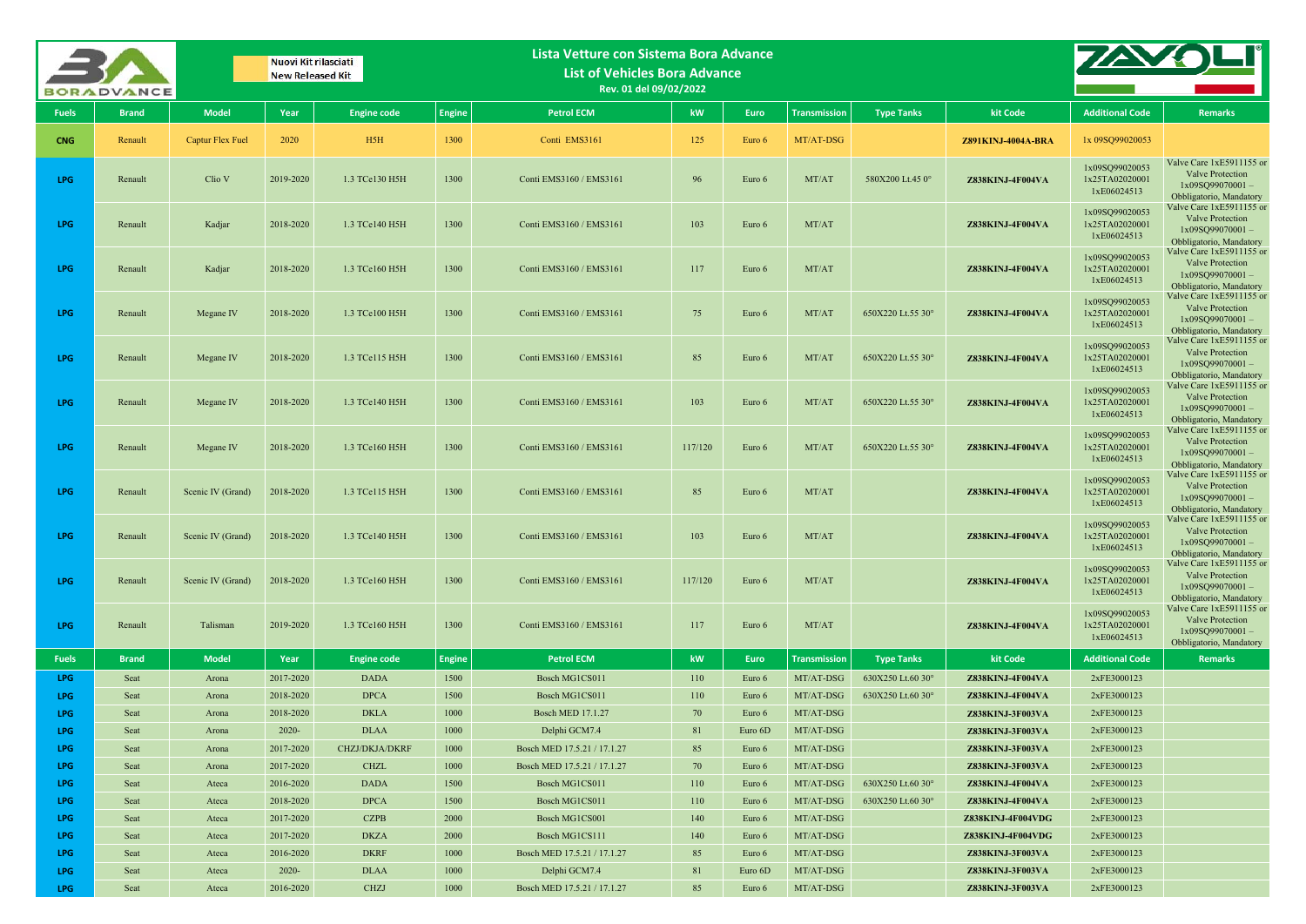|              | <b>BORADVANCE</b> |                   | Nuovi Kit rilasciati<br><b>New Released Kit</b> |                            |               | Lista Vetture con Sistema Bora Advance<br><b>List of Vehicles Bora Advance</b><br>Rev. 01 del 09/02/2022 |           |                  |                        |                   |                                      |                                                 |                                                                                                      |
|--------------|-------------------|-------------------|-------------------------------------------------|----------------------------|---------------|----------------------------------------------------------------------------------------------------------|-----------|------------------|------------------------|-------------------|--------------------------------------|-------------------------------------------------|------------------------------------------------------------------------------------------------------|
| <b>Fuels</b> | <b>Brand</b>      | <b>Model</b>      | Year                                            | <b>Engine code</b>         | <b>Engine</b> | <b>Petrol ECM</b>                                                                                        | kW        | Euro             | <b>Transmission</b>    | <b>Type Tanks</b> | kit Code                             | <b>Additional Code</b>                          | Remarks                                                                                              |
| <b>CNG</b>   | Renault           | Captur Flex Fuel  | 2020                                            | H <sub>5</sub> H           | 1300          | Conti EMS3161                                                                                            | 125       | Euro 6           | MT/AT-DSG              |                   | <b>Z891KINJ-4004A-BRA</b>            | 1x 09SQ99020053                                 |                                                                                                      |
| LPG          | Renault           | Clio V            | 2019-2020                                       | 1.3 TCe130 H5H             | 1300          | Conti EMS3160 / EMS3161                                                                                  | 96        | Euro 6           | MT/AT                  | 580X200 Lt.45 0°  | <b>Z838KINJ-4F004VA</b>              | 1x09SQ99020053<br>1x25TA02020001<br>1xE06024513 | Valve Care 1xE5911155 or<br>Valve Protection<br>$1x09SO99070001 -$<br>Obbligatorio, Mandatory        |
| LPG          | Renault           | Kadjar            | 2018-2020                                       | 1.3 TCe140 H5H             | 1300          | Conti EMS3160 / EMS3161                                                                                  | 103       | Euro 6           | MT/AT                  |                   | Z838KINJ-4F004VA                     | 1x09SO99020053<br>1x25TA02020001<br>1xE06024513 | Valve Care 1xE5911155 or<br>Valve Protection<br>1x09SQ99070001-<br>Obbligatorio, Mandatory           |
| LPG          | Renault           | Kadjar            | 2018-2020                                       | 1.3 TCe160 H5H             | 1300          | Conti EMS3160 / EMS3161                                                                                  | 117       | Euro 6           | MT/AT                  |                   | Z838KINJ-4F004VA                     | 1x09SQ99020053<br>1x25TA02020001<br>1xE06024513 | Valve Care 1xE5911155 or<br>Valve Protection<br>$1x09SQ99070001 -$<br>Obbligatorio, Mandatory        |
| <b>LPG</b>   | Renault           | Megane IV         | 2018-2020                                       | 1.3 TCe100 H5H             | 1300          | Conti EMS3160 / EMS3161                                                                                  | 75        | Euro 6           | MT/AT                  | 650X220 Lt.55 30° | Z838KINJ-4F004VA                     | 1x09SQ99020053<br>1x25TA02020001<br>1xE06024513 | Valve Care 1xE5911155 or<br>Valve Protection<br>1x09SQ99070001-<br>Obbligatorio, Mandatory           |
| <b>LPG</b>   | Renault           | Megane IV         | 2018-2020                                       | 1.3 TCe115 H5H             | 1300          | Conti EMS3160 / EMS3161                                                                                  | 85        | Euro 6           | MT/AT                  | 650X220 Lt.55 30° | Z838KINJ-4F004VA                     | 1x09SQ99020053<br>1x25TA02020001<br>1xE06024513 | Valve Care 1xE5911155 or<br>Valve Protection<br>$1x09SO99070001 -$<br>Obbligatorio, Mandatory        |
| LPG          | Renault           | Megane IV         | 2018-2020                                       | 1.3 TCe140 H5H             | 1300          | Conti EMS3160 / EMS3161                                                                                  | 103       | Euro 6           | MT/AT                  | 650X220 Lt.55 30° | Z838KINJ-4F004VA                     | 1x09SQ99020053<br>1x25TA02020001<br>1xE06024513 | Valve Care 1xE5911155 or<br>Valve Protection<br>$1x09SO99070001 -$<br>Obbligatorio, Mandatory        |
| LPG          | Renault           | Megane IV         | 2018-2020                                       | 1.3 TCe160 H5H             | 1300          | Conti EMS3160 / EMS3161                                                                                  | 117/120   | Euro 6           | MT/AT                  | 650X220 Lt.55 30° | <b>Z838KINJ-4F004VA</b>              | 1x09SQ99020053<br>1x25TA02020001<br>1xE06024513 | Valve Care 1xE5911155 or<br>Valve Protection<br>$1x09SQ99070001 -$<br>Obbligatorio, Mandatory        |
| LPG          | Renault           | Scenic IV (Grand) | 2018-2020                                       | 1.3 TCe115 H5H             | 1300          | Conti EMS3160 / EMS3161                                                                                  | 85        | Euro 6           | MT/AT                  |                   | Z838KINJ-4F004VA                     | 1x09SQ99020053<br>1x25TA02020001<br>1xE06024513 | Valve Care 1xE5911155 or<br>Valve Protection<br>$1x09SQ99070001 -$<br>Obbligatorio, Mandatory        |
| <b>LPG</b>   | Renault           | Scenic IV (Grand) | 2018-2020                                       | 1.3 TCe140 H5H             | 1300          | Conti EMS3160 / EMS3161                                                                                  | 103       | Euro 6           | MT/AT                  |                   | Z838KINJ-4F004VA                     | 1x09SQ99020053<br>1x25TA02020001<br>1xE06024513 | Valve Care 1xE5911155 or<br>Valve Protection<br>$1x09SQ99070001 -$<br>Obbligatorio, Mandatory        |
| LPG          | Renault           | Scenic IV (Grand) | 2018-2020                                       | 1.3 TCe160 H5H             | 1300          | Conti EMS3160 / EMS3161                                                                                  | 117/120   | Euro 6           | MT/AT                  |                   | Z838KINJ-4F004VA                     | 1x09SQ99020053<br>1x25TA02020001<br>1xE06024513 | Valve Care 1xE5911155 or<br><b>Valve Protection</b><br>$1x09SO99070001 -$<br>Obbligatorio, Mandatory |
| LPG          | Renault           | Talisman          | 2019-2020                                       | 1.3 TCe160 H5H             | 1300          | Conti EMS3160 / EMS3161                                                                                  | 117       | Euro 6           | MT/AT                  |                   | Z838KINJ-4F004VA                     | 1x09SQ99020053<br>1x25TA02020001<br>1xE06024513 | Valve Care 1xE5911155 or<br><b>Valve Protection</b><br>$1x09SO99070001 -$<br>Obbligatorio, Mandatory |
| <b>Fuels</b> | <b>Brand</b>      | <b>Model</b>      | Year                                            | <b>Engine code</b>         | <b>Engine</b> | <b>Petrol ECM</b>                                                                                        | kW        | <b>Euro</b>      | <b>Transmission</b>    | <b>Type Tanks</b> | kit Code                             | <b>Additional Code</b>                          | <b>Remarks</b>                                                                                       |
| LPG.         | Seat              | Arona             | 2017-2020                                       | <b>DADA</b>                | 1500          | Bosch MG1CS011                                                                                           | 110       | Euro 6           | MT/AT-DSG              | 630X250 Lt.60 30° | Z838KINJ-4F004VA                     | 2xFE3000123                                     |                                                                                                      |
| <b>LPG</b>   | Seat              | Arona             | 2018-2020                                       | <b>DPCA</b>                | 1500          | Bosch MG1CS011                                                                                           | 110       | Euro 6           | MT/AT-DSG              | 630X250 Lt.60 30° | Z838KINJ-4F004VA                     | 2xFE3000123                                     |                                                                                                      |
| <b>LPG</b>   | Seat              | Arona             | 2018-2020                                       | <b>DKLA</b>                | 1000          | <b>Bosch MED 17.1.27</b>                                                                                 | 70        | Euro 6           | MT/AT-DSG              |                   | Z838KINJ-3F003VA                     | 2xFE3000123                                     |                                                                                                      |
| LPG          | Seat              | Arona             | 2020-                                           | <b>DLAA</b>                | 1000          | Delphi GCM7.4                                                                                            | 81        | Euro 6D          | MT/AT-DSG              |                   | Z838KINJ-3F003VA                     | 2xFE3000123                                     |                                                                                                      |
| LPG.         | Seat              | Arona             | 2017-2020                                       | CHZJ/DKJA/DKRF             | 1000          | Bosch MED 17.5.21 / 17.1.27                                                                              | 85        | Euro 6           | MT/AT-DSG              |                   | Z838KINJ-3F003VA                     | 2xFE3000123                                     |                                                                                                      |
| LPG<br>LPG   | Seat<br>Seat      | Arona             | 2017-2020<br>2016-2020                          | <b>CHZL</b><br><b>DADA</b> | 1000<br>1500  | Bosch MED 17.5.21 / 17.1.27<br>Bosch MG1CS011                                                            | 70<br>110 | Euro 6<br>Euro 6 | MT/AT-DSG<br>MT/AT-DSG | 630X250 Lt.60 30° | Z838KINJ-3F003VA<br>Z838KINJ-4F004VA | 2xFE3000123<br>2xFE3000123                      |                                                                                                      |
| LPG          | Seat              | Ateca<br>Ateca    | 2018-2020                                       | <b>DPCA</b>                | 1500          | Bosch MG1CS011                                                                                           | 110       | Euro 6           | MT/AT-DSG              | 630X250 Lt.60 30° | <b>Z838KINJ-4F004VA</b>              | 2xFE3000123                                     |                                                                                                      |
| LPG          | Seat              | Ateca             | 2017-2020                                       | <b>CZPB</b>                | 2000          | Bosch MG1CS001                                                                                           | 140       | Euro 6           | MT/AT-DSG              |                   | Z838KINJ-4F004VDG                    | 2xFE3000123                                     |                                                                                                      |
| LPG          | Seat              | Ateca             | 2017-2020                                       | <b>DKZA</b>                | 2000          | Bosch MG1CS111                                                                                           | 140       | Euro 6           | MT/AT-DSG              |                   | Z838KINJ-4F004VDG                    | 2xFE3000123                                     |                                                                                                      |
| LPG          | Seat              | Ateca             | 2016-2020                                       | <b>DKRF</b>                | 1000          | Bosch MED 17.5.21 / 17.1.27                                                                              | 85        | Euro 6           | MT/AT-DSG              |                   | Z838KINJ-3F003VA                     | 2xFE3000123                                     |                                                                                                      |
| <b>LPG</b>   | Seat              | Ateca             | $2020 -$                                        | <b>DLAA</b>                | 1000          | Delphi GCM7.4                                                                                            | 81        | Euro 6D          | MT/AT-DSG              |                   | Z838KINJ-3F003VA                     | 2xFE3000123                                     |                                                                                                      |
| LPG          | Seat              | Ateca             | 2016-2020                                       | <b>CHZJ</b>                | 1000          | Bosch MED 17.5.21 / 17.1.27                                                                              | 85        | Euro 6           | MT/AT-DSG              |                   | Z838KINJ-3F003VA                     | 2xFE3000123                                     |                                                                                                      |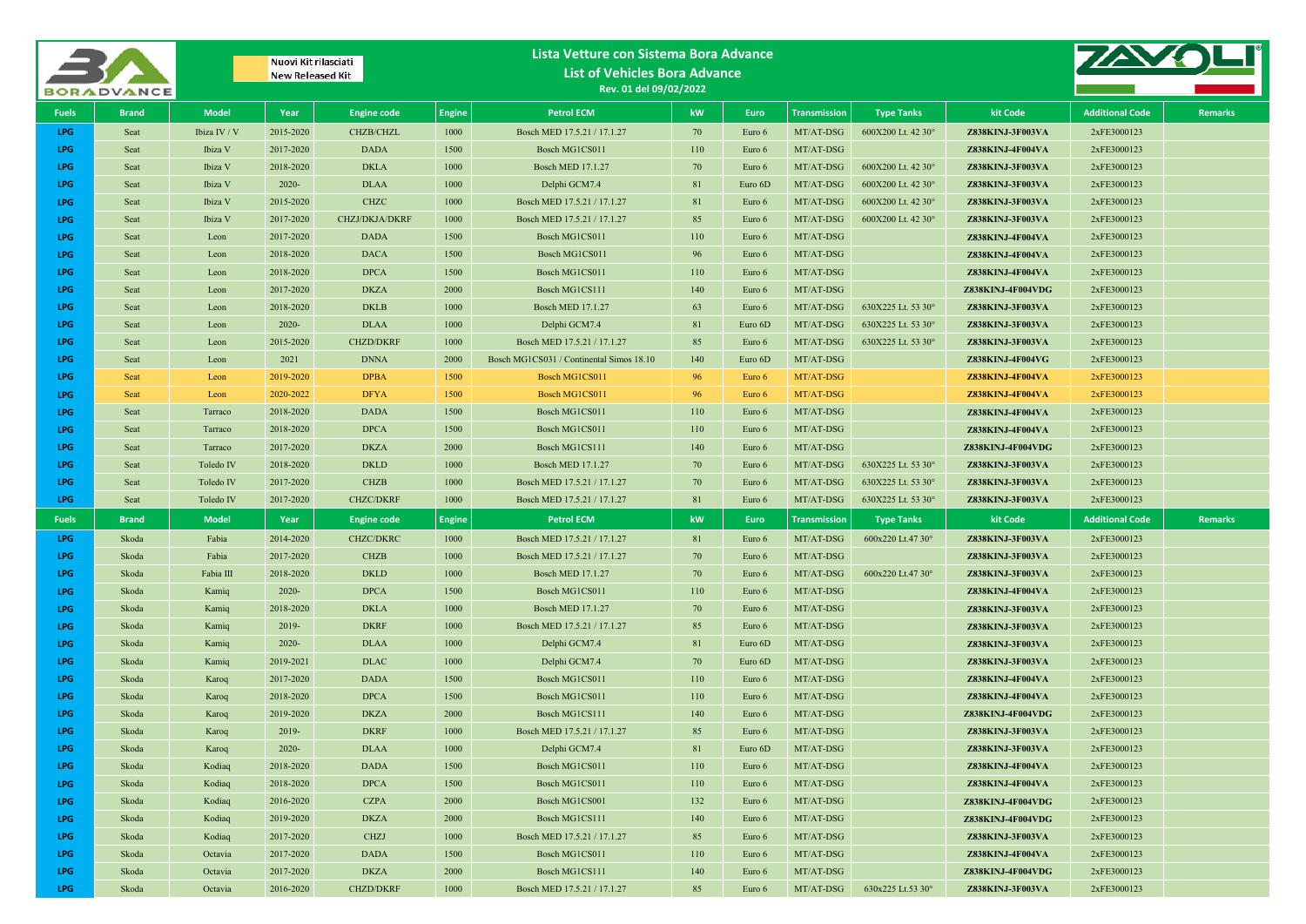|              | <b>BORADVANCE</b> |              | Nuovi Kit rilasciati<br><b>New Released Kit</b> |                                 |               | Lista Vetture con Sistema Bora Advance<br><b>List of Vehicles Bora Advance</b><br>Rev. 01 del 09/02/2022 |           |         |                        |                    |                                       |                            |                |
|--------------|-------------------|--------------|-------------------------------------------------|---------------------------------|---------------|----------------------------------------------------------------------------------------------------------|-----------|---------|------------------------|--------------------|---------------------------------------|----------------------------|----------------|
| <b>Fuels</b> | <b>Brand</b>      | <b>Model</b> | Year                                            | <b>Engine code</b>              | <b>Engine</b> | <b>Petrol ECM</b>                                                                                        | kW        | Euro    | <b>Transmission</b>    | <b>Type Tanks</b>  | kit Code                              | <b>Additional Code</b>     | <b>Remarks</b> |
| LPG          | Seat              | Ibiza IV / V | 2015-2020                                       | CHZB/CHZL                       | 1000          | Bosch MED 17.5.21 / 17.1.27                                                                              | 70        | Euro 6  | MT/AT-DSG              | 600X200 Lt. 42 30° | Z838KINJ-3F003VA                      | 2xFE3000123                |                |
| LPG          | Seat              | Ibiza V      | 2017-2020                                       | <b>DADA</b>                     | 1500          | Bosch MG1CS011                                                                                           | 110       | Euro 6  | MT/AT-DSG              |                    | Z838KINJ-4F004VA                      | 2xFE3000123                |                |
| LPG          | Seat              | Ibiza V      | 2018-2020                                       | <b>DKLA</b>                     | 1000          | <b>Bosch MED 17.1.27</b>                                                                                 | 70        | Euro 6  | MT/AT-DSG              | 600X200 Lt. 42 30° | Z838KINJ-3F003VA                      | 2xFE3000123                |                |
| LPG.         | Seat              | Ibiza V      | $2020 -$                                        | <b>DLAA</b>                     | 1000          | Delphi GCM7.4                                                                                            | 81        | Euro 6D | MT/AT-DSG              | 600X200 Lt. 42 30° | Z838KINJ-3F003VA                      | 2xFE3000123                |                |
| LPG          | Seat              | Ibiza V      | 2015-2020                                       | <b>CHZC</b>                     | 1000          | Bosch MED 17.5.21 / 17.1.27                                                                              | 81        | Euro 6  | MT/AT-DSG              | 600X200 Lt. 42 30° | Z838KINJ-3F003VA                      | 2xFE3000123                |                |
| LPG          | Seat              | Ibiza V      | 2017-2020                                       | <b>CHZJ/DKJA/DKRF</b>           | 1000          | Bosch MED 17.5.21 / 17.1.27                                                                              | 85        | Euro 6  | MT/AT-DSG              | 600X200 Lt. 42 30° | Z838KINJ-3F003VA                      | 2xFE3000123                |                |
| <b>LPG</b>   | Seat              | Leon         | 2017-2020                                       | <b>DADA</b>                     | 1500          | Bosch MG1CS011                                                                                           | 110       | Euro 6  | MT/AT-DSG              |                    | Z838KINJ-4F004VA                      | 2xFE3000123                |                |
| LPG          | Seat              | Leon         | 2018-2020                                       | <b>DACA</b>                     | 1500          | Bosch MG1CS011                                                                                           | 96        | Euro 6  | MT/AT-DSG              |                    | Z838KINJ-4F004VA                      | 2xFE3000123                |                |
| LPG          | Seat              | Leon         | 2018-2020                                       | <b>DPCA</b>                     | 1500          | Bosch MG1CS011                                                                                           | 110       | Euro 6  | MT/AT-DSG              |                    | Z838KINJ-4F004VA                      | 2xFE3000123                |                |
| LPG          | Seat              | Leon         | 2017-2020                                       | <b>DKZA</b>                     | 2000          | Bosch MG1CS111                                                                                           | 140       | Euro 6  | MT/AT-DSG              |                    | Z838KINJ-4F004VDG                     | 2xFE3000123                |                |
| LPG          | Seat              | Leon         | 2018-2020                                       | <b>DKLB</b>                     | 1000          | Bosch MED 17.1.27                                                                                        | 63        | Euro 6  | MT/AT-DSG              | 630X225 Lt. 53 30° | Z838KINJ-3F003VA                      | 2xFE3000123                |                |
| LPG          | Seat              | Leon         | $2020 -$                                        | <b>DLAA</b>                     | 1000          | Delphi GCM7.4                                                                                            | 81        | Euro 6D | MT/AT-DSG              | 630X225 Lt. 53 30° | Z838KINJ-3F003VA                      | 2xFE3000123                |                |
| LPG          | Seat              | Leon         | 2015-2020                                       | <b>CHZD/DKRF</b>                | 1000          | Bosch MED 17.5.21 / 17.1.27                                                                              | 85        | Euro 6  | MT/AT-DSG              | 630X225 Lt. 53 30° | Z838KINJ-3F003VA                      | 2xFE3000123                |                |
| LPG          | Seat              | Leon         | 2021                                            | <b>DNNA</b>                     | 2000          | Bosch MG1CS031 / Continental Simos 18.10                                                                 | 140       | Euro 6D | MT/AT-DSG              |                    | Z838KINJ-4F004VG                      | 2xFE3000123                |                |
| LPG          | Seat              | Leon         | 2019-2020                                       | <b>DPBA</b>                     | 1500          | Bosch MG1CS011                                                                                           | 96        | Euro 6  | MT/AT-DSG              |                    | Z838KINJ-4F004VA                      | 2xFE3000123                |                |
| LPG          | Seat              | Leon         | 2020-2022                                       | <b>DFYA</b>                     | 1500          | Bosch MG1CS011                                                                                           | 96        | Euro 6  | MT/AT-DSG              |                    | Z838KINJ-4F004VA                      | 2xFE3000123                |                |
| LPG          | Seat              | Tarraco      | 2018-2020                                       | <b>DADA</b>                     | 1500          | Bosch MG1CS011                                                                                           | 110       | Euro 6  | MT/AT-DSG              |                    | Z838KINJ-4F004VA                      | 2xFE3000123                |                |
| LPG          | Seat              | Tarraco      | 2018-2020                                       | <b>DPCA</b>                     | 1500          | Bosch MG1CS011                                                                                           | 110       | Euro 6  | MT/AT-DSG              |                    | Z838KINJ-4F004VA                      | 2xFE3000123                |                |
| LPG          | Seat              | Tarraco      | 2017-2020                                       | <b>DKZA</b>                     | 2000          | Bosch MG1CS111                                                                                           | 140       | Euro 6  | MT/AT-DSG              |                    | Z838KINJ-4F004VDG                     | 2xFE3000123                |                |
| LPG          | Seat              | Toledo IV    | 2018-2020                                       | <b>DKLD</b>                     | 1000          | <b>Bosch MED 17.1.27</b>                                                                                 | 70        | Euro 6  | MT/AT-DSG              | 630X225 Lt. 53 30° | Z838KINJ-3F003VA                      | 2xFE3000123                |                |
| LPG.         | Seat              | Toledo IV    | 2017-2020                                       | <b>CHZB</b>                     | 1000          | Bosch MED 17.5.21 / 17.1.27                                                                              | 70        | Euro 6  | MT/AT-DSG              | 630X225 Lt. 53 30° | Z838KINJ-3F003VA                      | 2xFE3000123                |                |
| LPG          | Seat              | Toledo IV    | 2017-2020                                       | <b>CHZC/DKRF</b>                | 1000          | Bosch MED 17.5.21 / 17.1.27                                                                              | 81        | Euro 6  | MT/AT-DSG              | 630X225 Lt. 53 30° | Z838KINJ-3F003VA                      | 2xFE3000123                |                |
| <b>Fuels</b> | <b>Brand</b>      | <b>Model</b> | Year                                            | <b>Engine code</b>              | <b>Engine</b> | <b>Petrol ECM</b>                                                                                        | kW        | Euro    | <b>Transmission</b>    | <b>Type Tanks</b>  | kit Code                              | <b>Additional Code</b>     | Remarks        |
| LPG.         | Skoda             | Fabia        | 2014-2020                                       | <b>CHZC/DKRC</b>                | 1000          | Bosch MED 17.5.21 / 17.1.27                                                                              | 81        | Euro 6  | MT/AT-DSG              | 600x220 Lt.47 30°  | Z838KINJ-3F003VA                      | 2xFE3000123                |                |
| LPG          | Skoda             | Fabia        | 2017-2020                                       | <b>CHZB</b>                     | 1000          | Bosch MED 17.5.21 / 17.1.27                                                                              | 70        | Euro 6  | MT/AT-DSG              |                    | Z838KINJ-3F003VA                      | 2xFE3000123                |                |
| LPG          | Skoda             | Fabia III    | 2018-2020                                       | <b>DKLD</b>                     | 1000          | <b>Bosch MED 17.1.27</b>                                                                                 | 70        | Euro 6  | MT/AT-DSG              | 600x220 Lt.47 30°  | Z838KINJ-3F003VA                      | 2xFE3000123                |                |
| LPG          | Skoda             | Kamiq        | $2020 -$                                        | <b>DPCA</b>                     | 1500          | Bosch MG1CS011                                                                                           | 110       | Euro 6  | MT/AT-DSG              |                    | Z838KINJ-4F004VA                      | 2xFE3000123                |                |
| LPG          | Skoda             | Kamiq        | 2018-2020                                       | <b>DKLA</b>                     | 1000          | <b>Bosch MED 17.1.27</b>                                                                                 | 70        | Euro 6  | MT/AT-DSG              |                    | Z838KINJ-3F003VA                      | 2xFE3000123                |                |
| LPG          | Skoda             | Kamiq        | 2019-                                           | <b>DKRF</b>                     | 1000          | Bosch MED 17.5.21 / 17.1.27                                                                              | 85        | Euro 6  | MT/AT-DSG              |                    | Z838KINJ-3F003VA                      | 2xFE3000123                |                |
| LPG          | Skoda             | Kamiq        | $2020 -$                                        | <b>DLAA</b>                     | 1000          | Delphi GCM7.4                                                                                            | 81        | Euro 6D | MT/AT-DSG              |                    | Z838KINJ-3F003VA                      | 2xFE3000123                |                |
| LPG          | Skoda             | Kamiq        | 2019-2021                                       | <b>DLAC</b>                     | 1000          | Delphi GCM7.4                                                                                            | 70        | Euro 6D | MT/AT-DSG              |                    | Z838KINJ-3F003VA                      | 2xFE3000123                |                |
| LPG          | Skoda             | Karoq        | 2017-2020                                       | <b>DADA</b>                     | 1500          | Bosch MG1CS011                                                                                           | 110       | Euro 6  | MT/AT-DSG              |                    | Z838KINJ-4F004VA                      | 2xFE3000123                |                |
| LPG          | Skoda             | Karoq        | 2018-2020                                       | <b>DPCA</b>                     | 1500          | Bosch MG1CS011                                                                                           | 110       | Euro 6  | MT/AT-DSG              |                    | Z838KINJ-4F004VA                      | 2xFE3000123                |                |
| LPG          | Skoda             | Karoq        | 2019-2020                                       | <b>DKZA</b>                     | 2000          | Bosch MG1CS111                                                                                           | 140       | Euro 6  | MT/AT-DSG              |                    | Z838KINJ-4F004VDG                     | 2xFE3000123                |                |
| LPG          | Skoda             | Karoq        | 2019-                                           | <b>DKRF</b>                     | 1000          | Bosch MED 17.5.21 / 17.1.27                                                                              | 85        | Euro 6  | MT/AT-DSG              |                    | Z838KINJ-3F003VA                      | 2xFE3000123                |                |
| LPG          | Skoda             | Karoq        | $2020 -$                                        | <b>DLAA</b>                     | 1000          | Delphi GCM7.4                                                                                            | 81        | Euro 6D | MT/AT-DSG              |                    | Z838KINJ-3F003VA                      | 2xFE3000123                |                |
| LPG          | Skoda             | Kodiaq       | 2018-2020                                       | <b>DADA</b>                     | 1500          | Bosch MG1CS011                                                                                           | 110       | Euro 6  | MT/AT-DSG              |                    | Z838KINJ-4F004VA                      | 2xFE3000123                |                |
| LPG          | Skoda             | Kodiaq       | 2018-2020                                       | <b>DPCA</b>                     | 1500          | Bosch MG1CS011                                                                                           | 110       | Euro 6  | MT/AT-DSG              |                    | Z838KINJ-4F004VA                      | 2xFE3000123                |                |
| LPG          | Skoda             | Kodiaq       | 2016-2020                                       | <b>CZPA</b>                     | 2000          | Bosch MG1CS001                                                                                           | 132       | Euro 6  | MT/AT-DSG              |                    | Z838KINJ-4F004VDG                     | 2xFE3000123                |                |
| LPG          | Skoda             | Kodiaq       | 2019-2020                                       | <b>DKZA</b>                     | 2000          | Bosch MG1CS111                                                                                           | 140       | Euro 6  | MT/AT-DSG              |                    | Z838KINJ-4F004VDG                     | 2xFE3000123                |                |
| LPG.         | Skoda             | Kodiaq       | 2017-2020                                       | <b>CHZJ</b>                     | 1000          | Bosch MED 17.5.21 / 17.1.27                                                                              | 85        | Euro 6  | MT/AT-DSG              |                    | Z838KINJ-3F003VA                      | 2xFE3000123                |                |
| LPG          | Skoda             | Octavia      | 2017-2020                                       | <b>DADA</b>                     | 1500          | Bosch MG1CS011                                                                                           | 110       | Euro 6  | MT/AT-DSG              |                    | Z838KINJ-4F004VA                      | 2xFE3000123                |                |
| LPG<br>LPG   | Skoda             | Octavia      | 2017-2020<br>2016-2020                          | <b>DKZA</b><br><b>CHZD/DKRF</b> | 2000<br>1000  | Bosch MG1CS111<br>Bosch MED 17.5.21 / 17.1.27                                                            | 140<br>85 | Euro 6  | MT/AT-DSG<br>MT/AT-DSG | 630x225 Lt.53 30°  | Z838KINJ-4F004VDG<br>Z838KINJ-3F003VA | 2xFE3000123<br>2xFE3000123 |                |
|              | Skoda             | Octavia      |                                                 |                                 |               |                                                                                                          |           | Euro 6  |                        |                    |                                       |                            |                |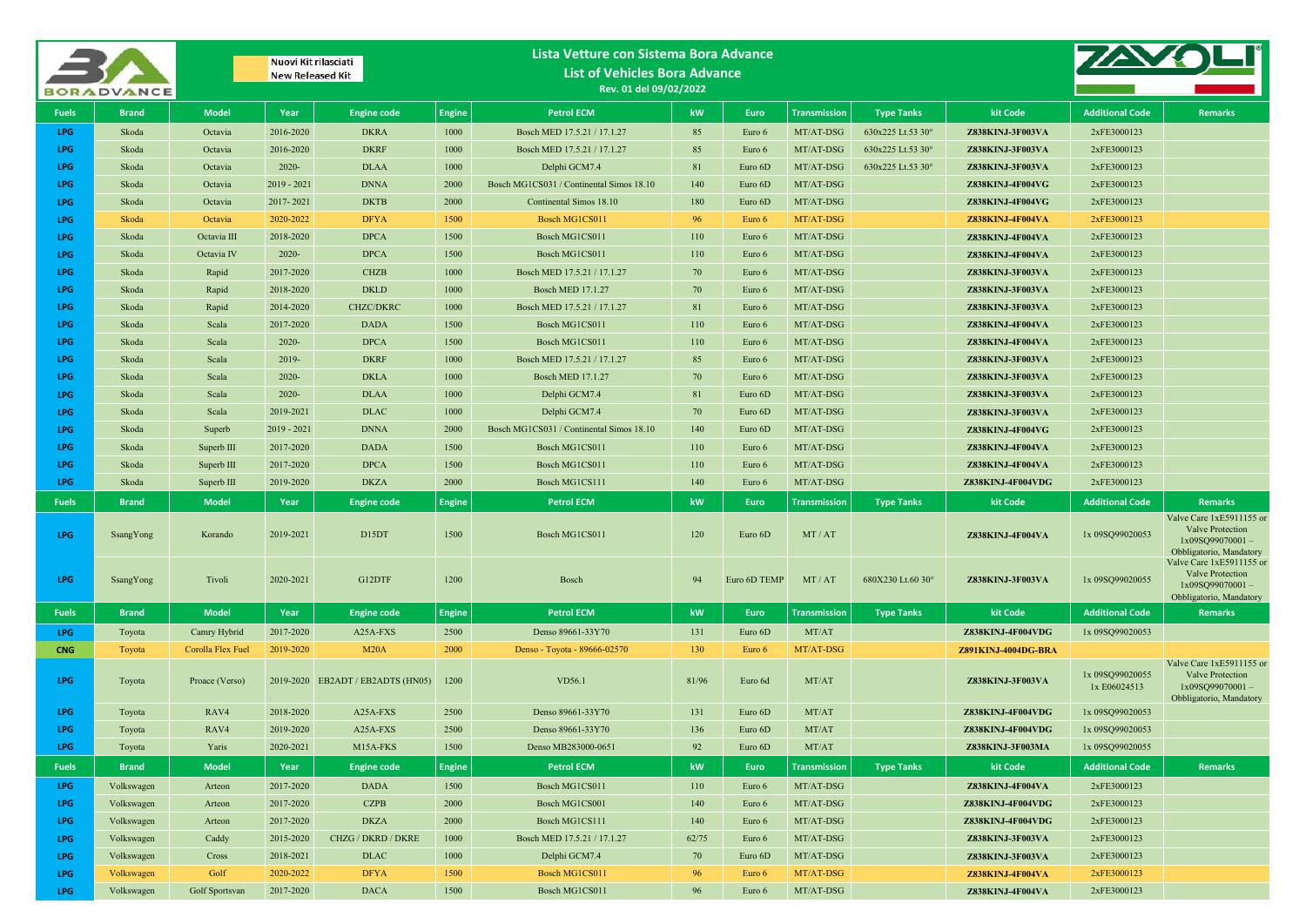|              | <b>BORADVANCE</b> |                   |               | Nuovi Kit rilasciati<br><b>New Released Kit</b> |               | Lista Vetture con Sistema Bora Advance<br><b>List of Vehicles Bora Advance</b><br>Rev. 01 del 09/02/2022 |                        |              |                     |                   |                         |                                 |                                                                                                   |
|--------------|-------------------|-------------------|---------------|-------------------------------------------------|---------------|----------------------------------------------------------------------------------------------------------|------------------------|--------------|---------------------|-------------------|-------------------------|---------------------------------|---------------------------------------------------------------------------------------------------|
| <b>Fuels</b> | <b>Brand</b>      | <b>Model</b>      | Year          | <b>Engine code</b>                              | <b>Engine</b> | <b>Petrol ECM</b>                                                                                        | kW                     | <b>Euro</b>  | <b>Transmission</b> | <b>Type Tanks</b> | kit Code                | <b>Additional Code</b>          | <b>Remarks</b>                                                                                    |
| LPG          | Skoda             | Octavia           | 2016-2020     | <b>DKRA</b>                                     | 1000          | Bosch MED 17.5.21 / 17.1.27                                                                              | 85                     | Euro 6       | MT/AT-DSG           | 630x225 Lt.53 30° | Z838KINJ-3F003VA        | 2xFE3000123                     |                                                                                                   |
| <b>LPG</b>   | Skoda             | Octavia           | 2016-2020     | <b>DKRF</b>                                     | 1000          | Bosch MED 17.5.21 / 17.1.27                                                                              | 85                     | Euro 6       | MT/AT-DSG           | 630x225 Lt.53 30° | Z838KINJ-3F003VA        | 2xFE3000123                     |                                                                                                   |
| LPG          | Skoda             | Octavia           | $2020 -$      | <b>DLAA</b>                                     | 1000          | Delphi GCM7.4                                                                                            | 81                     | Euro 6D      | MT/AT-DSG           | 630x225 Lt.53 30° | Z838KINJ-3F003VA        | 2xFE3000123                     |                                                                                                   |
| <b>LPG</b>   | Skoda             | Octavia           | $2019 - 2021$ | <b>DNNA</b>                                     | 2000          | Bosch MG1CS031 / Continental Simos 18.10                                                                 | 140                    | Euro 6D      | MT/AT-DSG           |                   | Z838KINJ-4F004VG        | 2xFE3000123                     |                                                                                                   |
| <b>LPG</b>   | Skoda             | Octavia           | 2017-2021     | <b>DKTB</b>                                     | 2000          | Continental Simos 18.10                                                                                  | 180                    | Euro 6D      | MT/AT-DSG           |                   | Z838KINJ-4F004VG        | 2xFE3000123                     |                                                                                                   |
| <b>LPG</b>   | Skoda             | Octavia           | 2020-2022     | <b>DFYA</b>                                     | 1500          | Bosch MG1CS011                                                                                           | 96                     | Euro 6       | MT/AT-DSG           |                   | <b>Z838KINJ-4F004VA</b> | 2xFE3000123                     |                                                                                                   |
| <b>LPG</b>   | Skoda             | Octavia III       | 2018-2020     | <b>DPCA</b>                                     | 1500          | Bosch MG1CS011                                                                                           | 110                    | Euro 6       | MT/AT-DSG           |                   | <b>Z838KINJ-4F004VA</b> | 2xFE3000123                     |                                                                                                   |
| <b>LPG</b>   | Skoda             | Octavia IV        | $2020 -$      | <b>DPCA</b>                                     | 1500          | Bosch MG1CS011                                                                                           | 110                    | Euro 6       | MT/AT-DSG           |                   | Z838KINJ-4F004VA        | 2xFE3000123                     |                                                                                                   |
| <b>LPG</b>   | Skoda             | Rapid             | 2017-2020     | <b>CHZB</b>                                     | 1000          | Bosch MED 17.5.21 / 17.1.27                                                                              | 70                     | Euro 6       | MT/AT-DSG           |                   | Z838KINJ-3F003VA        | 2xFE3000123                     |                                                                                                   |
| <b>LPG</b>   | Skoda             | Rapid             | 2018-2020     | <b>DKLD</b>                                     | 1000          | <b>Bosch MED 17.1.27</b>                                                                                 | 70                     | Euro 6       | MT/AT-DSG           |                   | Z838KINJ-3F003VA        | 2xFE3000123                     |                                                                                                   |
| <b>LPG</b>   | Skoda             | Rapid             | 2014-2020     | <b>CHZC/DKRC</b>                                | 1000          | Bosch MED 17.5.21 / 17.1.27                                                                              | 81                     | Euro 6       | MT/AT-DSG           |                   | <b>Z838KINJ-3F003VA</b> | 2xFE3000123                     |                                                                                                   |
| LPG          | Skoda             | Scala             | 2017-2020     | <b>DADA</b>                                     | 1500          | Bosch MG1CS011                                                                                           | 110                    | Euro 6       | MT/AT-DSG           |                   | Z838KINJ-4F004VA        | 2xFE3000123                     |                                                                                                   |
| <b>LPG</b>   | Skoda             | Scala             | $2020 -$      | <b>DPCA</b>                                     | 1500          | Bosch MG1CS011                                                                                           | 110                    | Euro 6       | MT/AT-DSG           |                   | Z838KINJ-4F004VA        | 2xFE3000123                     |                                                                                                   |
| <b>LPG</b>   | Skoda             | Scala             | $2019 -$      | <b>DKRF</b>                                     | 1000          | Bosch MED 17.5.21 / 17.1.27                                                                              | 85                     | Euro 6       | MT/AT-DSG           |                   | Z838KINJ-3F003VA        | 2xFE3000123                     |                                                                                                   |
| <b>LPG</b>   | Skoda             | Scala             | $2020 -$      | <b>DKLA</b>                                     | 1000          | <b>Bosch MED 17.1.27</b>                                                                                 | 70                     | Euro 6       | MT/AT-DSG           |                   | Z838KINJ-3F003VA        | 2xFE3000123                     |                                                                                                   |
| <b>LPG</b>   | Skoda             | Scala             | $2020 -$      | <b>DLAA</b>                                     | 1000          | Delphi GCM7.4                                                                                            | 81                     | Euro 6D      | MT/AT-DSG           |                   | Z838KINJ-3F003VA        | 2xFE3000123                     |                                                                                                   |
| <b>LPG</b>   | Skoda             | Scala             | 2019-2021     | <b>DLAC</b>                                     | 1000          | Delphi GCM7.4                                                                                            | 70                     | Euro 6D      | MT/AT-DSG           |                   | Z838KINJ-3F003VA        | 2xFE3000123                     |                                                                                                   |
| <b>LPG</b>   | Skoda             | Superb            | $2019 - 2021$ | <b>DNNA</b>                                     | 2000          | Bosch MG1CS031 / Continental Simos 18.10                                                                 | 140                    | Euro 6D      | MT/AT-DSG           |                   | Z838KINJ-4F004VG        | 2xFE3000123                     |                                                                                                   |
| <b>LPG</b>   | Skoda             | Superb III        | 2017-2020     | <b>DADA</b>                                     | 1500          | Bosch MG1CS011                                                                                           | 110                    | Euro 6       | MT/AT-DSG           |                   | <b>Z838KINJ-4F004VA</b> | 2xFE3000123                     |                                                                                                   |
| <b>LPG</b>   | Skoda             | Superb III        | 2017-2020     | <b>DPCA</b>                                     | 1500          | Bosch MG1CS011                                                                                           | 110                    | Euro 6       | MT/AT-DSG           |                   | <b>Z838KINJ-4F004VA</b> | 2xFE3000123                     |                                                                                                   |
| LPG          | Skoda             | Superb $III$      | 2019-2020     | <b>DKZA</b>                                     | 2000          | Bosch MG1CS111                                                                                           | 140                    | Euro 6       | MT/AT-DSG           |                   | Z838KINJ-4F004VDG       | 2xFE3000123                     |                                                                                                   |
| <b>Fuels</b> | <b>Brand</b>      | <b>Model</b>      | Year          | <b>Engine code</b>                              | <b>Engine</b> | <b>Petrol ECM</b>                                                                                        | kW                     | <b>Euro</b>  | <b>Transmission</b> | <b>Type Tanks</b> | kit Code                | <b>Additional Code</b>          | <b>Remarks</b>                                                                                    |
| <b>LPG</b>   | SsangYong         | Korando           | 2019-2021     | D <sub>15</sub> DT                              | 1500          | Bosch MG1CS011                                                                                           | 120                    | Euro 6D      | MT/AT               |                   | Z838KINJ-4F004VA        | 1x 09SQ99020053                 | Valve Care 1xE5911155 or<br>Valve Protection<br>1x09SQ99070001-<br>Obbligatorio, Mandatory        |
| <b>LPG</b>   | SsangYong         | Tivoli            | 2020-2021     | G12DTF                                          | 1200          | Bosch                                                                                                    | 94                     | Euro 6D TEMP | MT/AT               | 680X230 Lt.60 30° | <b>Z838KINJ-3F003VA</b> | 1x 09SQ99020055                 | Valve Care 1xE5911155 or<br>Valve Protection<br>1x09SQ99070001-<br>Obbligatorio, Mandatory        |
| <b>Fuels</b> | <b>Brand</b>      | <b>Model</b>      | Year          | <b>Engine code</b>                              | <b>Engine</b> | <b>Petrol ECM</b>                                                                                        | kW                     | Euro         | <b>Transmission</b> | <b>Type Tanks</b> | kit Code                | <b>Additional Code</b>          | <b>Remarks</b>                                                                                    |
| LPG          | Toyota            | Camry Hybrid      | 2017-2020     | A25A-FXS                                        | 2500          | Denso 89661-33Y70                                                                                        | 131                    | Euro 6D      | MT/AT               |                   | Z838KINJ-4F004VDG       | 1x 09SQ99020053                 |                                                                                                   |
| <b>CNG</b>   | Toyota            | Corolla Flex Fuel | 2019-2020     | M20A                                            | 2000          | Denso - Toyota - 89666-02570                                                                             | 130                    | Euro 6       | MT/AT-DSG           |                   | Z891KINJ-4004DG-BRA     |                                 |                                                                                                   |
| LPG          | Toyota            | Proace (Verso)    |               | 2019-2020 EB2ADT / EB2ADTS (HN05)               | 1200          | VD56.1                                                                                                   | 81/96                  | Euro 6d      | MT/AT               |                   | Z838KINJ-3F003VA        | 1x 09SQ99020055<br>1x E06024513 | Valve Care 1xE5911155 or<br><b>Valve Protection</b><br>1x09SQ99070001-<br>Obbligatorio, Mandatory |
| <b>LPG</b>   | Toyota            | RAV4              | 2018-2020     | A25A-FXS                                        | 2500          | Denso 89661-33Y70                                                                                        | 131                    | Euro 6D      | MT/AT               |                   | Z838KINJ-4F004VDG       | 1x 09SQ99020053                 |                                                                                                   |
| LPG.         | Toyota            | RAV4              | 2019-2020     | A25A-FXS                                        | 2500          | Denso 89661-33Y70                                                                                        | 136                    | Euro 6D      | MT/AT               |                   | Z838KINJ-4F004VDG       | 1x 09SQ99020053                 |                                                                                                   |
| LPG          | Toyota            | Yaris             | 2020-2021     | M15A-FKS                                        | 1500          | Denso MB283000-0651                                                                                      | 92                     | Euro 6D      | MT/AT               |                   | Z838KINJ-3F003MA        | 1x 09SQ99020055                 |                                                                                                   |
| <b>Fuels</b> | <b>Brand</b>      | <b>Model</b>      | Year          | <b>Engine code</b>                              | Engine        | <b>Petrol ECM</b>                                                                                        | $\mathbf{k}\mathbf{W}$ | Euro         | <b>Transmission</b> | <b>Type Tanks</b> | kit Code                | <b>Additional Code</b>          | <b>Remarks</b>                                                                                    |
| LPG          | Volkswagen        | Arteon            | 2017-2020     | <b>DADA</b>                                     | 1500          | Bosch MG1CS011                                                                                           | 110                    | Euro 6       | MT/AT-DSG           |                   | Z838KINJ-4F004VA        | 2xFE3000123                     |                                                                                                   |
| LPG          | Volkswagen        | Arteon            | 2017-2020     | <b>CZPB</b>                                     | 2000          | Bosch MG1CS001                                                                                           | 140                    | Euro 6       | MT/AT-DSG           |                   | Z838KINJ-4F004VDG       | 2xFE3000123                     |                                                                                                   |
| <b>LPG</b>   | Volkswagen        | Arteon            | 2017-2020     | <b>DKZA</b>                                     | 2000          | Bosch MG1CS111                                                                                           | 140                    | Euro 6       | MT/AT-DSG           |                   | Z838KINJ-4F004VDG       | 2xFE3000123                     |                                                                                                   |
| LPG          | Volkswagen        | Caddy             | 2015-2020     | CHZG / DKRD / DKRE                              | 1000          | Bosch MED 17.5.21 / 17.1.27                                                                              | 62/75                  | Euro 6       | MT/AT-DSG           |                   | Z838KINJ-3F003VA        | 2xFE3000123                     |                                                                                                   |
| LPG          | Volkswagen        | Cross             | 2018-2021     | <b>DLAC</b>                                     | 1000          | Delphi GCM7.4                                                                                            | 70                     | Euro 6D      | MT/AT-DSG           |                   | Z838KINJ-3F003VA        | 2xFE3000123                     |                                                                                                   |
| LPG          | Volkswagen        | Golf              | 2020-2022     | <b>DFYA</b>                                     | 1500          | Bosch MG1CS011                                                                                           | 96                     | Euro 6       | MT/AT-DSG           |                   | <b>Z838KINJ-4F004VA</b> | 2xFE3000123                     |                                                                                                   |
| LPG          | Volkswagen        | Golf Sportsvan    | 2017-2020     | <b>DACA</b>                                     | 1500          | Bosch MG1CS011                                                                                           | 96                     | Euro 6       | MT/AT-DSG           |                   | Z838KINJ-4F004VA        | 2xFE3000123                     |                                                                                                   |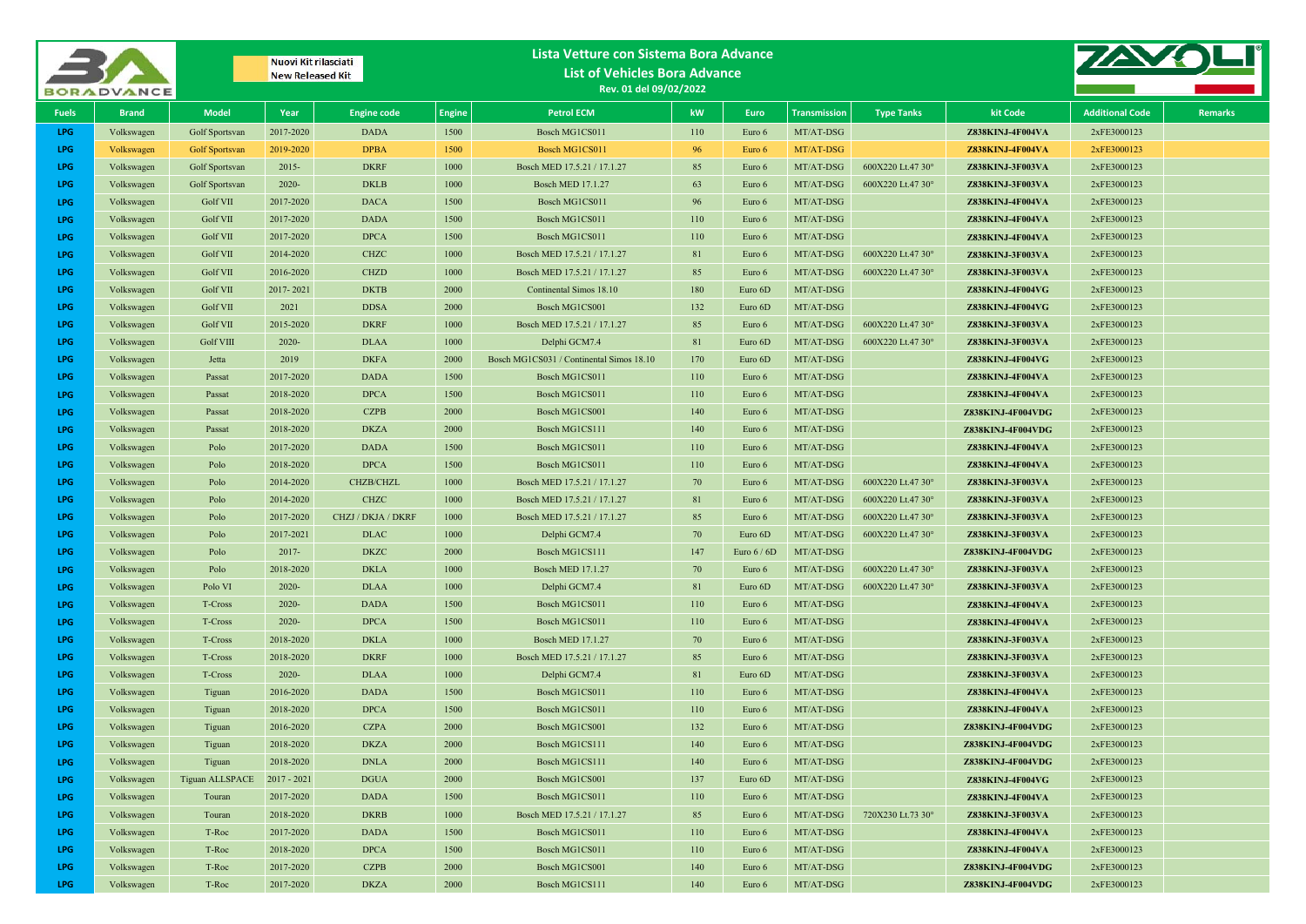| <b>BORADVANCE</b>        |                          |                       | Nuovi Kit rilasciati<br><b>New Released Kit</b> |                          |               | Lista Vetture con Sistema Bora Advance<br><b>List of Vehicles Bora Advance</b><br>Rev. 01 del 09/02/2022 |          |                   |                        |                   |                                      |                            |                |
|--------------------------|--------------------------|-----------------------|-------------------------------------------------|--------------------------|---------------|----------------------------------------------------------------------------------------------------------|----------|-------------------|------------------------|-------------------|--------------------------------------|----------------------------|----------------|
| <b>Fuels</b>             | <b>Brand</b>             | <b>Model</b>          | Year                                            | <b>Engine code</b>       | <b>Engine</b> | <b>Petrol ECM</b>                                                                                        | kW       | Euro              | <b>Transmission</b>    | <b>Type Tanks</b> | kit Code                             | <b>Additional Code</b>     | <b>Remarks</b> |
| LPG                      | Volkswagen               | Golf Sportsvan        | 2017-2020                                       | <b>DADA</b>              | 1500          | Bosch MG1CS011                                                                                           | 110      | Euro 6            | MT/AT-DSG              |                   | Z838KINJ-4F004VA                     | 2xFE3000123                |                |
| LPG                      | Volkswagen               | <b>Golf Sportsvan</b> | 2019-2020                                       | <b>DPBA</b>              | 1500          | Bosch MG1CS011                                                                                           | 96       | Euro 6            | MT/AT-DSG              |                   | Z838KINJ-4F004VA                     | 2xFE3000123                |                |
| <b>LPG</b>               | Volkswagen               | Golf Sportsvan        | $2015 -$                                        | <b>DKRF</b>              | 1000          | Bosch MED 17.5.21 / 17.1.27                                                                              | 85       | Euro 6            | MT/AT-DSG              | 600X220 Lt.47 30° | Z838KINJ-3F003VA                     | 2xFE3000123                |                |
| <b>LPG</b>               | Volkswagen               | Golf Sportsvan        | $2020 -$                                        | <b>DKLB</b>              | 1000          | <b>Bosch MED 17.1.27</b>                                                                                 | 63       | Euro 6            | MT/AT-DSG              | 600X220 Lt.47 30° | Z838KINJ-3F003VA                     | 2xFE3000123                |                |
| <b>LPG</b>               | Volkswagen               | <b>Golf VII</b>       | 2017-2020                                       | <b>DACA</b>              | 1500          | Bosch MG1CS011                                                                                           | 96       | Euro 6            | MT/AT-DSG              |                   | Z838KINJ-4F004VA                     | 2xFE3000123                |                |
| <b>LPG</b>               | Volkswagen               | <b>Golf VII</b>       | 2017-2020                                       | <b>DADA</b>              | 1500          | Bosch MG1CS011                                                                                           | 110      | Euro 6            | MT/AT-DSG              |                   | Z838KINJ-4F004VA                     | 2xFE3000123                |                |
| <b>LPG</b>               | Volkswagen               | Golf VII              | 2017-2020                                       | <b>DPCA</b>              | 1500          | Bosch MG1CS011                                                                                           | 110      | Euro 6            | MT/AT-DSG              |                   | Z838KINJ-4F004VA                     | 2xFE3000123                |                |
| <b>LPG</b>               | Volkswagen               | <b>Golf VII</b>       | 2014-2020                                       | <b>CHZC</b>              | 1000          | Bosch MED 17.5.21 / 17.1.27                                                                              | 81       | Euro 6            | MT/AT-DSG              | 600X220 Lt.47 30° | Z838KINJ-3F003VA                     | 2xFE3000123                |                |
| <b>LPG</b>               | Volkswagen               | <b>Golf VII</b>       | 2016-2020                                       | <b>CHZD</b>              | 1000          | Bosch MED 17.5.21 / 17.1.27                                                                              | 85       | Euro 6            | MT/AT-DSG              | 600X220 Lt.47 30° | Z838KINJ-3F003VA                     | 2xFE3000123                |                |
| <b>LPG</b>               | Volkswagen               | Golf VII              | 2017-2021                                       | <b>DKTB</b>              | 2000          | Continental Simos 18.10                                                                                  | 180      | Euro 6D           | MT/AT-DSG              |                   | Z838KINJ-4F004VG                     | 2xFE3000123                |                |
| <b>LPG</b>               | Volkswagen               | <b>Golf VII</b>       | 2021                                            | <b>DDSA</b>              | 2000          | Bosch MG1CS001                                                                                           | 132      | Euro 6D           | MT/AT-DSG              |                   | Z838KINJ-4F004VG                     | 2xFE3000123                |                |
| <b>LPG</b>               | Volkswagen               | <b>Golf VII</b>       | 2015-2020                                       | <b>DKRF</b>              | 1000          | Bosch MED 17.5.21 / 17.1.27                                                                              | 85       | Euro 6            | MT/AT-DSG              | 600X220 Lt.47 30° | Z838KINJ-3F003VA                     | 2xFE3000123                |                |
| <b>LPG</b>               | Volkswagen               | <b>Golf VIII</b>      | $2020 -$                                        | <b>DLAA</b>              | 1000          | Delphi GCM7.4                                                                                            | 81       | Euro 6D           | MT/AT-DSG              | 600X220 Lt.47 30° | Z838KINJ-3F003VA                     | 2xFE3000123                |                |
| <b>LPG</b>               | Volkswagen               | Jetta                 | 2019                                            | <b>DKFA</b>              | 2000          | Bosch MG1CS031 / Continental Simos 18.10                                                                 | 170      | Euro 6D           | MT/AT-DSG              |                   | Z838KINJ-4F004VG                     | 2xFE3000123                |                |
| <b>LPG</b>               | Volkswagen               | Passat                | 2017-2020                                       | <b>DADA</b>              | 1500          | Bosch MG1CS011                                                                                           | 110      | Euro 6            | MT/AT-DSG              |                   | Z838KINJ-4F004VA                     | 2xFE3000123                |                |
| <b>LPG</b>               | Volkswagen               | Passat                | 2018-2020                                       | <b>DPCA</b>              | 1500          | Bosch MG1CS011                                                                                           | 110      | Euro 6            | MT/AT-DSG              |                   | Z838KINJ-4F004VA                     | 2xFE3000123                |                |
| <b>LPG</b>               | Volkswagen               | Passat                | 2018-2020                                       | <b>CZPB</b>              | 2000          | Bosch MG1CS001                                                                                           | 140      | Euro 6            | MT/AT-DSG              |                   | Z838KINJ-4F004VDG                    | 2xFE3000123                |                |
| <b>LPG</b>               | Volkswagen               | Passat                | 2018-2020                                       | <b>DKZA</b>              | 2000          | Bosch MG1CS111                                                                                           | 140      | Euro 6            | MT/AT-DSG              |                   | Z838KINJ-4F004VDG                    | 2xFE3000123                |                |
| <b>LPG</b>               | Volkswagen               | Polo                  | 2017-2020                                       | <b>DADA</b>              | 1500          | Bosch MG1CS011                                                                                           | 110      | Euro 6            | MT/AT-DSG              |                   | Z838KINJ-4F004VA                     | 2xFE3000123                |                |
| <b>LPG</b>               | Volkswagen               | Polo                  | 2018-2020<br>2014-2020                          | <b>DPCA</b><br>CHZB/CHZL | 1500<br>1000  | Bosch MG1CS011<br>Bosch MED 17.5.21 / 17.1.27                                                            | 110      | Euro 6<br>Euro 6  | MT/AT-DSG<br>MT/AT-DSG | 600X220 Lt.47 30° | Z838KINJ-4F004VA                     | 2xFE3000123<br>2xFE3000123 |                |
| <b>LPG</b><br><b>LPG</b> | Volkswagen               | Polo                  | 2014-2020                                       | <b>CHZC</b>              | 1000          | Bosch MED 17.5.21 / 17.1.27                                                                              | 70<br>81 |                   |                        | 600X220 Lt.47 30° | Z838KINJ-3F003VA<br>Z838KINJ-3F003VA | 2xFE3000123                |                |
| <b>LPG</b>               | Volkswagen<br>Volkswagen | Polo                  | 2017-2020                                       | CHZJ / DKJA / DKRF       | 1000          | Bosch MED 17.5.21 / 17.1.27                                                                              | 85       | Euro 6            | MT/AT-DSG<br>MT/AT-DSG | 600X220 Lt.47 30° | Z838KINJ-3F003VA                     | 2xFE3000123                |                |
| <b>LPG</b>               | Volkswagen               | Polo<br>Polo          | 2017-2021                                       | <b>DLAC</b>              | 1000          | Delphi GCM7.4                                                                                            | 70       | Euro 6<br>Euro 6D | MT/AT-DSG              | 600X220 Lt.47 30° | Z838KINJ-3F003VA                     | 2xFE3000123                |                |
| <b>LPG</b>               | Volkswagen               | Polo                  | $2017 -$                                        | <b>DKZC</b>              | 2000          | Bosch MG1CS111                                                                                           | 147      | Euro $6/6D$       | MT/AT-DSG              |                   | Z838KINJ-4F004VDG                    | 2xFE3000123                |                |
| <b>LPG</b>               | Volkswagen               | Polo                  | 2018-2020                                       | <b>DKLA</b>              | 1000          | <b>Bosch MED 17.1.27</b>                                                                                 | 70       | Euro 6            | MT/AT-DSG              | 600X220 Lt.47 30° | Z838KINJ-3F003VA                     | 2xFE3000123                |                |
| <b>LPG</b>               | Volkswagen               | Polo VI               | $2020 -$                                        | <b>DLAA</b>              | 1000          | Delphi GCM7.4                                                                                            | 81       | Euro 6D           | MT/AT-DSG              | 600X220 Lt.47 30° | Z838KINJ-3F003VA                     | 2xFE3000123                |                |
| <b>LPG</b>               | Volkswagen               | T-Cross               | $2020 -$                                        | <b>DADA</b>              | 1500          | Bosch MG1CS011                                                                                           | 110      | Euro 6            | MT/AT-DSG              |                   | Z838KINJ-4F004VA                     | 2xFE3000123                |                |
| <b>LPG</b>               | Volkswagen               | T-Cross               | $2020 -$                                        | <b>DPCA</b>              | 1500          | Bosch MG1CS011                                                                                           | 110      | Euro 6            | MT/AT-DSG              |                   | Z838KINJ-4F004VA                     | 2xFE3000123                |                |
| <b>LPG</b>               | Volkswagen               | T-Cross               | 2018-2020                                       | <b>DKLA</b>              | 1000          | <b>Bosch MED 17.1.27</b>                                                                                 | 70       | Euro 6            | MT/AT-DSG              |                   | Z838KINJ-3F003VA                     | 2xFE3000123                |                |
| <b>LPG</b>               | Volkswagen               | T-Cross               | 2018-2020                                       | <b>DKRF</b>              | 1000          | Bosch MED 17.5.21 / 17.1.27                                                                              | 85       | Euro 6            | MT/AT-DSG              |                   | Z838KINJ-3F003VA                     | 2xFE3000123                |                |
| <b>LPG</b>               | Volkswagen               | T-Cross               | $2020 -$                                        | <b>DLAA</b>              | 1000          | Delphi GCM7.4                                                                                            | 81       | Euro 6D           | MT/AT-DSG              |                   | Z838KINJ-3F003VA                     | 2xFE3000123                |                |
| <b>LPG</b>               | Volkswagen               | Tiguan                | 2016-2020                                       | <b>DADA</b>              | 1500          | Bosch MG1CS011                                                                                           | 110      | Euro 6            | MT/AT-DSG              |                   | Z838KINJ-4F004VA                     | 2xFE3000123                |                |
| <b>LPG</b>               | Volkswagen               | Tiguan                | 2018-2020                                       | <b>DPCA</b>              | 1500          | Bosch MG1CS011                                                                                           | 110      | Euro 6            | MT/AT-DSG              |                   | Z838KINJ-4F004VA                     | 2xFE3000123                |                |
| <b>LPG</b>               | Volkswagen               | Tiguan                | 2016-2020                                       | <b>CZPA</b>              | 2000          | Bosch MG1CS001                                                                                           | 132      | Euro 6            | MT/AT-DSG              |                   | Z838KINJ-4F004VDG                    | 2xFE3000123                |                |
| LPG                      | Volkswagen               | Tiguan                | 2018-2020                                       | <b>DKZA</b>              | 2000          | Bosch MG1CS111                                                                                           | 140      | Euro 6            | MT/AT-DSG              |                   | Z838KINJ-4F004VDG                    | 2xFE3000123                |                |
| LPG                      | Volkswagen               | Tiguan                | 2018-2020                                       | <b>DNLA</b>              | 2000          | Bosch MG1CS111                                                                                           | 140      | Euro 6            | MT/AT-DSG              |                   | Z838KINJ-4F004VDG                    | 2xFE3000123                |                |
| LPG                      | Volkswagen               | Tiguan ALLSPACE       | $2017 - 2021$                                   | <b>DGUA</b>              | 2000          | Bosch MG1CS001                                                                                           | 137      | Euro 6D           | MT/AT-DSG              |                   | Z838KINJ-4F004VG                     | 2xFE3000123                |                |
| <b>LPG</b>               | Volkswagen               | Touran                | 2017-2020                                       | <b>DADA</b>              | 1500          | Bosch MG1CS011                                                                                           | 110      | Euro 6            | MT/AT-DSG              |                   | Z838KINJ-4F004VA                     | 2xFE3000123                |                |
| LPG                      | Volkswagen               | Touran                | 2018-2020                                       | <b>DKRB</b>              | 1000          | Bosch MED 17.5.21 / 17.1.27                                                                              | 85       | Euro 6            | MT/AT-DSG              | 720X230 Lt.73 30° | Z838KINJ-3F003VA                     | 2xFE3000123                |                |
| LPG                      | Volkswagen               | T-Roc                 | 2017-2020                                       | <b>DADA</b>              | 1500          | Bosch MG1CS011                                                                                           | 110      | Euro 6            | MT/AT-DSG              |                   | Z838KINJ-4F004VA                     | 2xFE3000123                |                |
| LPG                      | Volkswagen               | T-Roc                 | 2018-2020                                       | <b>DPCA</b>              | 1500          | Bosch MG1CS011                                                                                           | 110      | Euro 6            | MT/AT-DSG              |                   | Z838KINJ-4F004VA                     | 2xFE3000123                |                |
| LPG                      | Volkswagen               | T-Roc                 | 2017-2020                                       | <b>CZPB</b>              | 2000          | Bosch MG1CS001                                                                                           | 140      | Euro 6            | MT/AT-DSG              |                   | Z838KINJ-4F004VDG                    | 2xFE3000123                |                |
| LPG                      | Volkswagen               | T-Roc                 | 2017-2020                                       | <b>DKZA</b>              | 2000          | Bosch MG1CS111                                                                                           | 140      | Euro 6            | MT/AT-DSG              |                   | Z838KINJ-4F004VDG                    | 2xFE3000123                |                |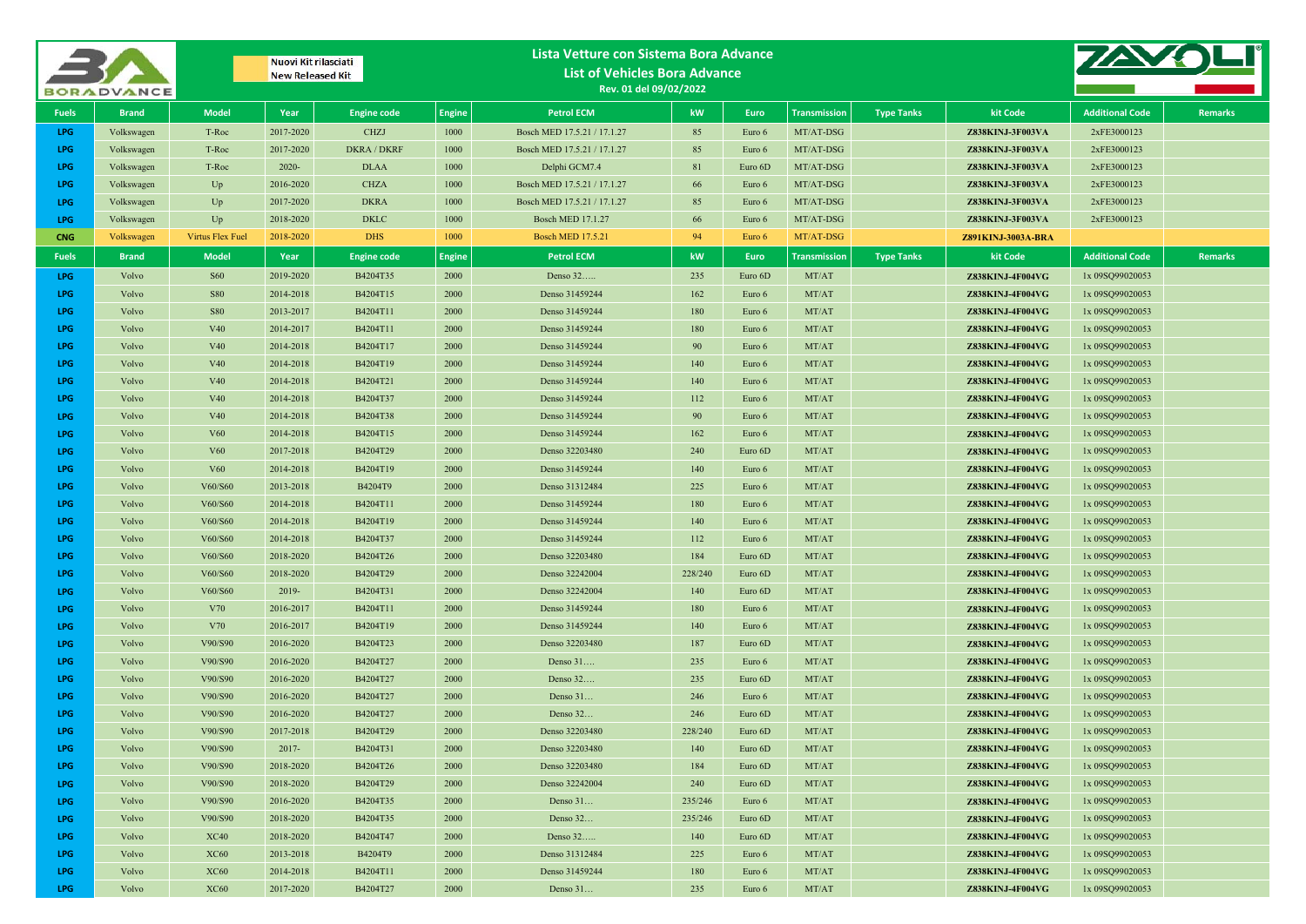|              | <b>BORADVANCE</b> | Nuovi Kit rilasciati<br><b>New Released Kit</b> |                        | Lista Vetture con Sistema Bora Advance<br><b>List of Vehicles Bora Advance</b><br>Rev. 01 del 09/02/2022 |               |                                  |            |                   |                     |                   |                                      |                                    |                |
|--------------|-------------------|-------------------------------------------------|------------------------|----------------------------------------------------------------------------------------------------------|---------------|----------------------------------|------------|-------------------|---------------------|-------------------|--------------------------------------|------------------------------------|----------------|
| <b>Fuels</b> | <b>Brand</b>      | <b>Model</b>                                    | Year                   | <b>Engine code</b>                                                                                       | <b>Engine</b> | <b>Petrol ECM</b>                | kW         | <b>Euro</b>       | <b>Transmission</b> | <b>Type Tanks</b> | kit Code                             | <b>Additional Code</b>             | <b>Remarks</b> |
| <b>LPG</b>   | Volkswagen        | T-Roc                                           | 2017-2020              | <b>CHZJ</b>                                                                                              | 1000          | Bosch MED 17.5.21 / 17.1.27      | 85         | Euro 6            | MT/AT-DSG           |                   | Z838KINJ-3F003VA                     | 2xFE3000123                        |                |
| LPG          | Volkswagen        | T-Roc                                           | 2017-2020              | <b>DKRA / DKRF</b>                                                                                       | 1000          | Bosch MED 17.5.21 / 17.1.27      | 85         | Euro 6            | MT/AT-DSG           |                   | Z838KINJ-3F003VA                     | 2xFE3000123                        |                |
| LPG          | Volkswagen        | T-Roc                                           | $2020 -$               | <b>DLAA</b>                                                                                              | 1000          | Delphi GCM7.4                    | 81         | Euro 6D           | MT/AT-DSG           |                   | Z838KINJ-3F003VA                     | 2xFE3000123                        |                |
| <b>LPG</b>   | Volkswagen        | $U_{p}$                                         | 2016-2020              | <b>CHZA</b>                                                                                              | 1000          | Bosch MED 17.5.21 / 17.1.27      | 66         | Euro 6            | MT/AT-DSG           |                   | Z838KINJ-3F003VA                     | 2xFE3000123                        |                |
| <b>LPG</b>   | Volkswagen        | Up                                              | 2017-2020              | <b>DKRA</b>                                                                                              | 1000          | Bosch MED 17.5.21 / 17.1.27      | 85         | Euro 6            | MT/AT-DSG           |                   | Z838KINJ-3F003VA                     | 2xFE3000123                        |                |
| LPG.         | Volkswagen        | Up                                              | 2018-2020              | <b>DKLC</b>                                                                                              | 1000          | <b>Bosch MED 17.1.27</b>         | 66         | Euro 6            | MT/AT-DSG           |                   | Z838KINJ-3F003VA                     | 2xFE3000123                        |                |
| <b>CNG</b>   | Volkswagen        | <b>Virtus Flex Fuel</b>                         | 2018-2020              | DHS                                                                                                      | 1000          | <b>Bosch MED 17.5.21</b>         | 94         | Euro 6            | MT/AT-DSG           |                   | Z891KINJ-3003A-BRA                   |                                    |                |
| <b>Fuels</b> | <b>Brand</b>      | <b>Model</b>                                    | Year                   | <b>Engine code</b>                                                                                       | <b>Engine</b> | <b>Petrol ECM</b>                | kW         | Euro              | <b>Transmission</b> | <b>Type Tanks</b> | kit Code                             | <b>Additional Code</b>             | <b>Remarks</b> |
| LPG          | Volvo             | <b>S60</b>                                      | 2019-2020              | B4204T35                                                                                                 | 2000          | Denso 32                         | 235        | Euro 6D           | MT/AT               |                   | Z838KINJ-4F004VG                     | 1x 09SQ99020053                    |                |
| LPG          | Volvo             | <b>S80</b>                                      | 2014-2018              | B4204T15                                                                                                 | 2000          | Denso 31459244                   | 162        | Euro 6            | MT/AT               |                   | Z838KINJ-4F004VG                     | 1x 09SQ99020053                    |                |
| <b>LPG</b>   | Volvo             | <b>S80</b>                                      | 2013-2017              | B4204T11                                                                                                 | 2000          | Denso 31459244                   | 180        | Euro 6            | MT/AT               |                   | Z838KINJ-4F004VG                     | 1x 09SQ99020053                    |                |
| LPG          | Volvo             | V40                                             | 2014-2017              | B4204T11                                                                                                 | 2000          | Denso 31459244                   | 180        | Euro 6            | MT/AT               |                   | Z838KINJ-4F004VG                     | 1x 09SQ99020053                    |                |
| <b>LPG</b>   | Volvo             | V <sub>40</sub>                                 | 2014-2018              | B4204T17                                                                                                 | 2000          | Denso 31459244                   | 90         | Euro 6            | MT/AT               |                   | Z838KINJ-4F004VG                     | 1x 09SQ99020053                    |                |
| <b>LPG</b>   | Volvo             | V <sub>40</sub>                                 | 2014-2018              | B4204T19                                                                                                 | 2000          | Denso 31459244                   | 140        | Euro 6            | MT/AT               |                   | Z838KINJ-4F004VG                     | 1x 09SQ99020053                    |                |
| LPG          | Volvo             | V <sub>40</sub>                                 | 2014-2018              | B4204T21                                                                                                 | 2000          | Denso 31459244                   | 140        | Euro 6            | MT/AT               |                   | Z838KINJ-4F004VG                     | 1x 09SQ99020053                    |                |
| <b>LPG</b>   | Volvo             | V <sub>40</sub>                                 | 2014-2018              | B4204T37                                                                                                 | 2000          | Denso 31459244                   | 112        | Euro 6            | MT/AT               |                   | Z838KINJ-4F004VG                     | 1x 09SQ99020053                    |                |
| <b>LPG</b>   | Volvo             | V <sub>40</sub>                                 | 2014-2018              | B4204T38                                                                                                 | 2000          | Denso 31459244                   | 90         | Euro 6            | MT/AT               |                   | Z838KINJ-4F004VG                     | 1x 09SQ99020053                    |                |
| <b>LPG</b>   | Volvo             | V60                                             | 2014-2018              | B4204T15                                                                                                 | 2000          | Denso 31459244                   | 162        | Euro 6            | MT/AT               |                   | Z838KINJ-4F004VG                     | 1x 09SQ99020053                    |                |
| LPG          | Volvo             | V60                                             | 2017-2018              | B4204T29                                                                                                 | 2000          | Denso 32203480                   | 240        | Euro 6D           | MT/AT               |                   | Z838KINJ-4F004VG                     | 1x 09SQ99020053                    |                |
| <b>LPG</b>   | Volvo             | <b>V60</b>                                      | 2014-2018              | B4204T19                                                                                                 | 2000          | Denso 31459244                   | 140        | Euro 6            | MT/AT               |                   | Z838KINJ-4F004VG                     | 1x 09SQ99020053                    |                |
| <b>LPG</b>   | Volvo             | V60/S60                                         | 2013-2018              | B4204T9                                                                                                  | 2000          | Denso 31312484                   | 225        | Euro 6            | MT/AT               |                   | Z838KINJ-4F004VG                     | 1x 09SQ99020053                    |                |
| <b>LPG</b>   | Volvo             | V60/S60                                         | 2014-2018              | B4204T11                                                                                                 | 2000          | Denso 31459244                   | 180        | Euro 6            | MT/AT               |                   | Z838KINJ-4F004VG                     | 1x 09SQ99020053                    |                |
| LPG          | Volvo             | V60/S60                                         | 2014-2018              | B4204T19                                                                                                 | 2000          | Denso 31459244                   | 140        | Euro 6            | MT/AT               |                   | Z838KINJ-4F004VG                     | 1x 09SQ99020053                    |                |
| <b>LPG</b>   | Volvo             | V60/S60                                         | 2014-2018              | B4204T37                                                                                                 | 2000          | Denso 31459244                   | 112        | Euro 6            | MT/AT               |                   | Z838KINJ-4F004VG                     | 1x 09SQ99020053                    |                |
| <b>LPG</b>   | Volvo             | V60/S60                                         | 2018-2020              | B4204T26                                                                                                 | 2000          | Denso 32203480                   | 184        | Euro 6D           | MT/AT               |                   | Z838KINJ-4F004VG                     | 1x 09SQ99020053                    |                |
| <b>LPG</b>   | Volvo             | V60/S60                                         | 2018-2020              | B4204T29                                                                                                 | 2000          | Denso 32242004                   | 228/240    | Euro 6D           | MT/AT               |                   | Z838KINJ-4F004VG                     | 1x 09SQ99020053                    |                |
| LPG          | Volvo             | V60/S60                                         | 2019-                  | B4204T31                                                                                                 | 2000          | Denso 32242004                   | 140        | Euro 6D           | MT/AT               |                   | Z838KINJ-4F004VG                     | 1x 09SQ99020053                    |                |
| <b>LPG</b>   | Volvo             | V70                                             | 2016-2017              | B4204T11                                                                                                 | 2000          | Denso 31459244                   | 180        | Euro 6            | MT/AT               |                   | Z838KINJ-4F004VG                     | 1x 09SQ99020053                    |                |
| LPG<br>LPG   | Volvo<br>Volvo    | V70                                             | 2016-2017<br>2016-2020 | B4204T19<br>B4204T23                                                                                     | 2000<br>2000  | Denso 31459244<br>Denso 32203480 | 140        | Euro 6<br>Euro 6D | MT/AT<br>MT/AT      |                   | Z838KINJ-4F004VG<br>Z838KINJ-4F004VG | 1x 09SQ99020053                    |                |
| LPG          | Volvo             | V90/S90<br>V90/S90                              | 2016-2020              | B4204T27                                                                                                 | 2000          | Denso 31                         | 187<br>235 | Euro 6            | MT/AT               |                   | Z838KINJ-4F004VG                     | 1x 09SQ99020053<br>1x 09SQ99020053 |                |
| LPG          | Volvo             | V90/S90                                         | 2016-2020              | B4204T27                                                                                                 | 2000          | Denso 32                         | 235        | Euro 6D           | MT/AT               |                   | Z838KINJ-4F004VG                     | 1x 09SQ99020053                    |                |
| LPG.         | Volvo             | V90/S90                                         | 2016-2020              | B4204T27                                                                                                 | 2000          | Denso 31                         | 246        | Euro 6            | MT/AT               |                   | Z838KINJ-4F004VG                     | 1x 09SQ99020053                    |                |
| <b>LPG</b>   | Volvo             | V90/S90                                         | 2016-2020              | B4204T27                                                                                                 | 2000          | Denso 32                         | 246        | Euro 6D           | MT/AT               |                   | Z838KINJ-4F004VG                     | 1x 09SQ99020053                    |                |
| LPG          | Volvo             | V90/S90                                         | 2017-2018              | B4204T29                                                                                                 | 2000          | Denso 32203480                   | 228/240    | Euro 6D           | MT/AT               |                   | Z838KINJ-4F004VG                     | 1x 09SQ99020053                    |                |
| LPG          | Volvo             | V90/S90                                         | $2017 -$               | B4204T31                                                                                                 | 2000          | Denso 32203480                   | 140        | Euro 6D           | MT/AT               |                   | Z838KINJ-4F004VG                     | 1x 09SQ99020053                    |                |
| LPG          | Volvo             | V90/S90                                         | 2018-2020              | B4204T26                                                                                                 | 2000          | Denso 32203480                   | 184        | Euro 6D           | MT/AT               |                   | Z838KINJ-4F004VG                     | 1x 09SQ99020053                    |                |
| LPG          | Volvo             | V90/S90                                         | 2018-2020              | B4204T29                                                                                                 | 2000          | Denso 32242004                   | 240        | Euro 6D           | MT/AT               |                   | Z838KINJ-4F004VG                     | 1x 09SQ99020053                    |                |
| LPG          | Volvo             | V90/S90                                         | 2016-2020              | B4204T35                                                                                                 | 2000          | Denso 31                         | 235/246    | Euro 6            | MT/AT               |                   | Z838KINJ-4F004VG                     | 1x 09SQ99020053                    |                |
| LPG          | Volvo             | V90/S90                                         | 2018-2020              | B4204T35                                                                                                 | 2000          | Denso 32                         | 235/246    | Euro 6D           | MT/AT               |                   | Z838KINJ-4F004VG                     | 1x 09SQ99020053                    |                |
| LPG          | Volvo             | XC40                                            | 2018-2020              | B4204T47                                                                                                 | 2000          | Denso 32                         | 140        | Euro 6D           | MT/AT               |                   | Z838KINJ-4F004VG                     | 1x 09SQ99020053                    |                |
| LPG          | Volvo             | <b>XC60</b>                                     | 2013-2018              | B4204T9                                                                                                  | 2000          | Denso 31312484                   | 225        | Euro 6            | MT/AT               |                   | Z838KINJ-4F004VG                     | 1x 09SQ99020053                    |                |
| LPG          | Volvo             | <b>XC60</b>                                     | 2014-2018              | B4204T11                                                                                                 | 2000          | Denso 31459244                   | 180        | Euro 6            | MT/AT               |                   | Z838KINJ-4F004VG                     | 1x 09SQ99020053                    |                |
| LPG          | Volvo             | <b>XC60</b>                                     | 2017-2020              | B4204T27                                                                                                 | 2000          | Denso 31                         | 235        | Euro 6            | MT/AT               |                   | Z838KINJ-4F004VG                     | 1x 09SQ99020053                    |                |